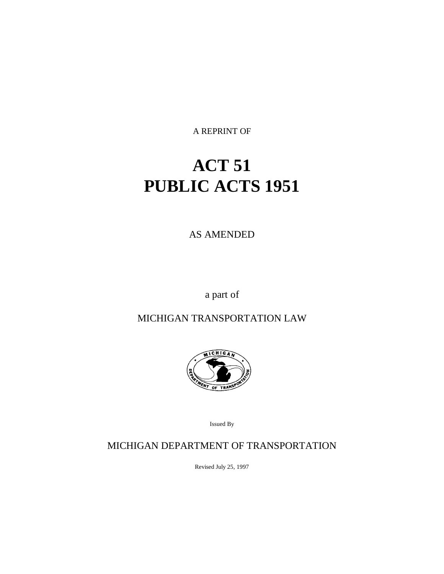A REPRINT OF

# **ACT 51 PUBLIC ACTS 1951**

AS AMENDED

a part of

MICHIGAN TRANSPORTATION LAW



Issued By

MICHIGAN DEPARTMENT OF TRANSPORTATION

Revised July 25, 1997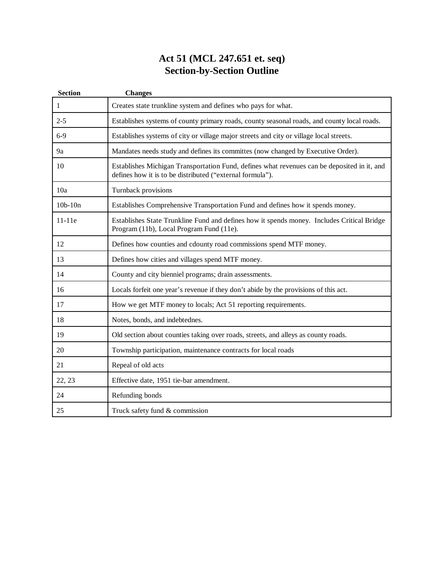# **Act 51 (MCL 247.651 et. seq) Section-by-Section Outline**

| <b>Section</b> | <b>Changes</b>                                                                                                                                           |
|----------------|----------------------------------------------------------------------------------------------------------------------------------------------------------|
| 1              | Creates state trunkline system and defines who pays for what.                                                                                            |
| $2 - 5$        | Establishes systems of county primary roads, county seasonal roads, and county local roads.                                                              |
| $6-9$          | Establishes systems of city or village major streets and city or village local streets.                                                                  |
| 9a             | Mandates needs study and defines its committes (now changed by Executive Order).                                                                         |
| 10             | Establishes Michigan Transportation Fund, defines what revenues can be deposited in it, and<br>defines how it is to be distributed ("external formula"). |
| 10a            | Turnback provisions                                                                                                                                      |
| $10b - 10n$    | Establishes Comprehensive Transportation Fund and defines how it spends money.                                                                           |
| $11-11e$       | Establishes State Trunkline Fund and defines how it spends money. Includes Critical Bridge<br>Program (11b), Local Program Fund (11e).                   |
| 12             | Defines how counties and cdounty road commissions spend MTF money.                                                                                       |
| 13             | Defines how cities and villages spend MTF money.                                                                                                         |
| 14             | County and city bienniel programs; drain assessments.                                                                                                    |
| 16             | Locals forfeit one year's revenue if they don't abide by the provisions of this act.                                                                     |
| 17             | How we get MTF money to locals; Act 51 reporting requirements.                                                                                           |
| 18             | Notes, bonds, and indebtednes.                                                                                                                           |
| 19             | Old section about counties taking over roads, streets, and alleys as county roads.                                                                       |
| 20             | Township participation, maintenance contracts for local roads                                                                                            |
| 21             | Repeal of old acts                                                                                                                                       |
| 22, 23         | Effective date, 1951 tie-bar amendment.                                                                                                                  |
| 24             | Refunding bonds                                                                                                                                          |
| 25             | Truck safety fund & commission                                                                                                                           |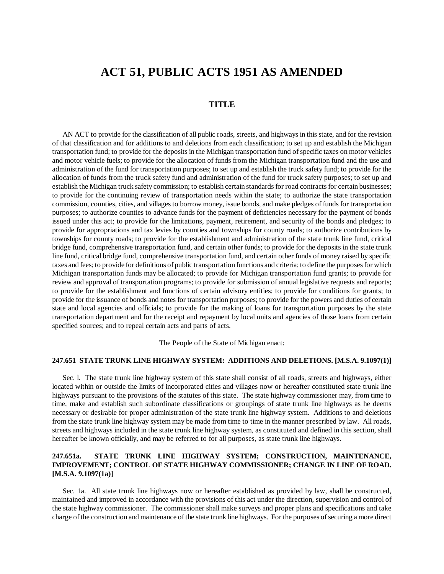# **ACT 51, PUBLIC ACTS 1951 AS AMENDED**

# **TITLE**

AN ACT to provide for the classification of all public roads, streets, and highways in this state, and for the revision of that classification and for additions to and deletions from each classification; to set up and establish the Michigan transportation fund; to provide for the deposits in the Michigan transportation fund of specific taxes on motor vehicles and motor vehicle fuels; to provide for the allocation of funds from the Michigan transportation fund and the use and administration of the fund for transportation purposes; to set up and establish the truck safety fund; to provide for the allocation of funds from the truck safety fund and administration of the fund for truck safety purposes; to set up and establish the Michigan truck safety commission; to establish certain standards for road contracts for certain businesses; to provide for the continuing review of transportation needs within the state; to authorize the state transportation commission, counties, cities, and villages to borrow money, issue bonds, and make pledges of funds for transportation purposes; to authorize counties to advance funds for the payment of deficiencies necessary for the payment of bonds issued under this act; to provide for the limitations, payment, retirement, and security of the bonds and pledges; to provide for appropriations and tax levies by counties and townships for county roads; to authorize contributions by townships for county roads; to provide for the establishment and administration of the state trunk line fund, critical bridge fund, comprehensive transportation fund, and certain other funds; to provide for the deposits in the state trunk line fund, critical bridge fund, comprehensive transportation fund, and certain other funds of money raised by specific taxes and fees; to provide for definitions of public transportation functions and criteria; to define the purposes for which Michigan transportation funds may be allocated; to provide for Michigan transportation fund grants; to provide for review and approval of transportation programs; to provide for submission of annual legislative requests and reports; to provide for the establishment and functions of certain advisory entities; to provide for conditions for grants; to provide for the issuance of bonds and notes for transportation purposes; to provide for the powers and duties of certain state and local agencies and officials; to provide for the making of loans for transportation purposes by the state transportation department and for the receipt and repayment by local units and agencies of those loans from certain specified sources; and to repeal certain acts and parts of acts.

The People of the State of Michigan enact:

#### **247.651 STATE TRUNK LINE HIGHWAY SYSTEM: ADDITIONS AND DELETIONS. [M.S.A. 9.1097(1)]**

Sec. l. The state trunk line highway system of this state shall consist of all roads, streets and highways, either located within or outside the limits of incorporated cities and villages now or hereafter constituted state trunk line highways pursuant to the provisions of the statutes of this state. The state highway commissioner may, from time to time, make and establish such subordinate classifications or groupings of state trunk line highways as he deems necessary or desirable for proper administration of the state trunk line highway system. Additions to and deletions from the state trunk line highway system may be made from time to time in the manner prescribed by law. All roads, streets and highways included in the state trunk line highway system, as constituted and defined in this section, shall hereafter be known officially, and may be referred to for all purposes, as state trunk line highways.

# **247.651a. STATE TRUNK LINE HIGHWAY SYSTEM; CONSTRUCTION, MAINTENANCE, IMPROVEMENT; CONTROL OF STATE HIGHWAY COMMISSIONER; CHANGE IN LINE OF ROAD. [M.S.A. 9.1097(1a)]**

Sec. 1a. All state trunk line highways now or hereafter established as provided by law, shall be constructed, maintained and improved in accordance with the provisions of this act under the direction, supervision and control of the state highway commissioner. The commissioner shall make surveys and proper plans and specifications and take charge of the construction and maintenance of the state trunk line highways. For the purposes of securing a more direct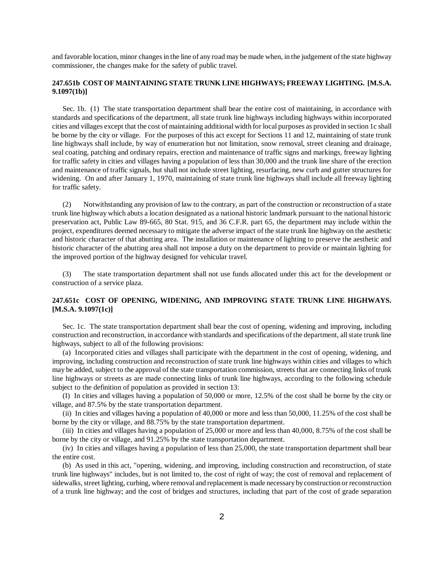and favorable location, minor changes in the line of any road may be made when, in the judgement of the state highway commissioner, the changes make for the safety of public travel.

# **247.651b COST OF MAINTAINING STATE TRUNK LINE HIGHWAYS; FREEWAY LIGHTING. [M.S.A. 9.1097(1b)]**

Sec. 1b. (1) The state transportation department shall bear the entire cost of maintaining, in accordance with standards and specifications of the department, all state trunk line highways including highways within incorporated cities and villages except that the cost of maintaining additional width for local purposes as provided in section 1c shall be borne by the city or village. For the purposes of this act except for Sections 11 and 12, maintaining of state trunk line highways shall include, by way of enumeration but not limitation, snow removal, street cleaning and drainage, seal coating, patching and ordinary repairs, erection and maintenance of traffic signs and markings, freeway lighting for traffic safety in cities and villages having a population of less than 30,000 and the trunk line share of the erection and maintenance of traffic signals, but shall not include street lighting, resurfacing, new curb and gutter structures for widening. On and after January 1, 1970, maintaining of state trunk line highways shall include all freeway lighting for traffic safety.

(2) Notwithstanding any provision of law to the contrary, as part of the construction or reconstruction of a state trunk line highway which abuts a location designated as a national historic landmark pursuant to the national historic preservation act, Public Law 89-665, 80 Stat. 915, and 36 C.F.R. part 65, the department may include within the project, expenditures deemed necessary to mitigate the adverse impact of the state trunk line highway on the aesthetic and historic character of that abutting area. The installation or maintenance of lighting to preserve the aesthetic and historic character of the abutting area shall not impose a duty on the department to provide or maintain lighting for the improved portion of the highway designed for vehicular travel.

(3) The state transportation department shall not use funds allocated under this act for the development or construction of a service plaza.

## **247.651c COST OF OPENING, WIDENING, AND IMPROVING STATE TRUNK LINE HIGHWAYS. [M.S.A. 9.1097(1c)]**

Sec. 1c. The state transportation department shall bear the cost of opening, widening and improving, including construction and reconstruction, in accordance with standards and specifications of the department, all state trunk line highways, subject to all of the following provisions:

(a) Incorporated cities and villages shall participate with the department in the cost of opening, widening, and improving, including construction and reconstruction of state trunk line highways within cities and villages to which may be added, subject to the approval of the state transportation commission, streets that are connecting links of trunk line highways or streets as are made connecting links of trunk line highways, according to the following schedule subject to the definition of population as provided in section 13:

(I) In cities and villages having a population of 50,000 or more, 12.5% of the cost shall be borne by the city or village, and 87.5% by the state transportation department.

(ii) In cities and villages having a population of 40,000 or more and less than 50,000, 11.25% of the cost shall be borne by the city or village, and 88.75% by the state transportation department.

(iii) In cities and villages having a population of 25,000 or more and less than 40,000, 8.75% of the cost shall be borne by the city or village, and 91.25% by the state transportation department.

(iv) In cities and villages having a population of less than 25,000, the state transportation department shall bear the entire cost.

(b) As used in this act, "opening, widening, and improving, including construction and reconstruction, of state trunk line highways" includes, but is not limited to, the cost of right of way; the cost of removal and replacement of sidewalks, street lighting, curbing, where removal and replacement is made necessary by construction or reconstruction of a trunk line highway; and the cost of bridges and structures, including that part of the cost of grade separation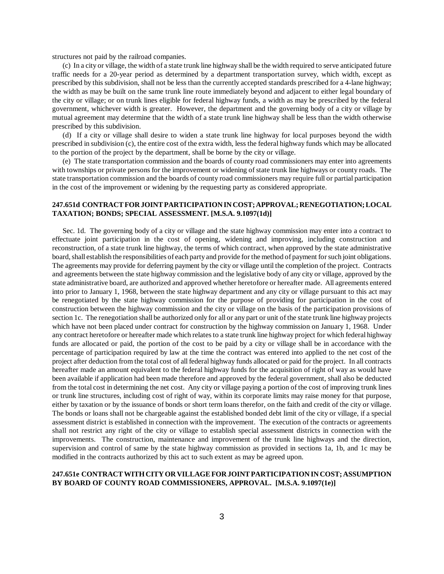structures not paid by the railroad companies.

(c) In a city or village, the width of a state trunk line highway shall be the width required to serve anticipated future traffic needs for a 20-year period as determined by a department transportation survey, which width, except as prescribed by this subdivision, shall not be less than the currently accepted standards prescribed for a 4-lane highway; the width as may be built on the same trunk line route immediately beyond and adjacent to either legal boundary of the city or village; or on trunk lines eligible for federal highway funds, a width as may be prescribed by the federal government, whichever width is greater. However, the department and the governing body of a city or village by mutual agreement may determine that the width of a state trunk line highway shall be less than the width otherwise prescribed by this subdivision.

(d) If a city or village shall desire to widen a state trunk line highway for local purposes beyond the width prescribed in subdivision (c), the entire cost of the extra width, less the federal highway funds which may be allocated to the portion of the project by the department, shall be borne by the city or village.

(e) The state transportation commission and the boards of county road commissioners may enter into agreements with townships or private persons for the improvement or widening of state trunk line highways or county roads. The state transportation commission and the boards of county road commissioners may require full or partial participation in the cost of the improvement or widening by the requesting party as considered appropriate.

#### **247.651d CONTRACT FOR JOINT PARTICIPATION IN COST; APPROVAL; RENEGOTIATION; LOCAL TAXATION; BONDS; SPECIAL ASSESSMENT. [M.S.A. 9.1097(1d)]**

Sec. 1d. The governing body of a city or village and the state highway commission may enter into a contract to effectuate joint participation in the cost of opening, widening and improving, including construction and reconstruction, of a state trunk line highway, the terms of which contract, when approved by the state administrative board, shall establish the responsibilities of each party and provide for the method of payment for such joint obligations. The agreements may provide for deferring payment by the city or village until the completion of the project. Contracts and agreements between the state highway commission and the legislative body of any city or village, approved by the state administrative board, are authorized and approved whether heretofore or hereafter made. All agreements entered into prior to January 1, 1968, between the state highway department and any city or village pursuant to this act may be renegotiated by the state highway commission for the purpose of providing for participation in the cost of construction between the highway commission and the city or village on the basis of the participation provisions of section 1c. The renegotiation shall be authorized only for all or any part or unit of the state trunk line highway projects which have not been placed under contract for construction by the highway commission on January 1, 1968. Under any contract heretofore or hereafter made which relates to a state trunk line highway project for which federal highway funds are allocated or paid, the portion of the cost to be paid by a city or village shall be in accordance with the percentage of participation required by law at the time the contract was entered into applied to the net cost of the project after deduction from the total cost of all federal highway funds allocated or paid for the project. In all contracts hereafter made an amount equivalent to the federal highway funds for the acquisition of right of way as would have been available if application had been made therefore and approved by the federal government, shall also be deducted from the total cost in determining the net cost. Any city or village paying a portion of the cost of improving trunk lines or trunk line structures, including cost of right of way, within its corporate limits may raise money for that purpose, either by taxation or by the issuance of bonds or short term loans therefor, on the faith and credit of the city or village. The bonds or loans shall not be chargeable against the established bonded debt limit of the city or village, if a special assessment district is established in connection with the improvement. The execution of the contracts or agreements shall not restrict any right of the city or village to establish special assessment districts in connection with the improvements. The construction, maintenance and improvement of the trunk line highways and the direction, supervision and control of same by the state highway commission as provided in sections 1a, 1b, and 1c may be modified in the contracts authorized by this act to such extent as may be agreed upon.

#### **247.651e CONTRACT WITH CITY OR VILLAGE FOR JOINT PARTICIPATION IN COST; ASSUMPTION BY BOARD OF COUNTY ROAD COMMISSIONERS, APPROVAL. [M.S.A. 9.1097(1e)]**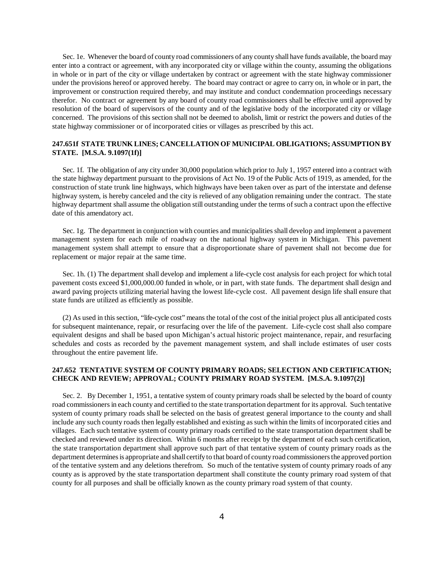Sec. 1e. Whenever the board of county road commissioners of any county shall have funds available, the board may enter into a contract or agreement, with any incorporated city or village within the county, assuming the obligations in whole or in part of the city or village undertaken by contract or agreement with the state highway commissioner under the provisions hereof or approved hereby. The board may contract or agree to carry on, in whole or in part, the improvement or construction required thereby, and may institute and conduct condemnation proceedings necessary therefor. No contract or agreement by any board of county road commissioners shall be effective until approved by resolution of the board of supervisors of the county and of the legislative body of the incorporated city or village concerned. The provisions of this section shall not be deemed to abolish, limit or restrict the powers and duties of the state highway commissioner or of incorporated cities or villages as prescribed by this act.

# **247.651f STATE TRUNK LINES; CANCELLATION OF MUNICIPAL OBLIGATIONS; ASSUMPTION BY STATE. [M.S.A. 9.1097(1f)]**

Sec. 1f. The obligation of any city under 30,000 population which prior to July 1, 1957 entered into a contract with the state highway department pursuant to the provisions of Act No. 19 of the Public Acts of 1919, as amended, for the construction of state trunk line highways, which highways have been taken over as part of the interstate and defense highway system, is hereby canceled and the city is relieved of any obligation remaining under the contract. The state highway department shall assume the obligation still outstanding under the terms of such a contract upon the effective date of this amendatory act.

Sec. 1g. The department in conjunction with counties and municipalities shall develop and implement a pavement management system for each mile of roadway on the national highway system in Michigan. This pavement management system shall attempt to ensure that a disproportionate share of pavement shall not become due for replacement or major repair at the same time.

Sec. 1h. (1) The department shall develop and implement a life-cycle cost analysis for each project for which total pavement costs exceed \$1,000,000.00 funded in whole, or in part, with state funds. The department shall design and award paving projects utilizing material having the lowest life-cycle cost. All pavement design life shall ensure that state funds are utilized as efficiently as possible.

(2) As used in this section, "life-cycle cost" means the total of the cost of the initial project plus all anticipated costs for subsequent maintenance, repair, or resurfacing over the life of the pavement. Life-cycle cost shall also compare equivalent designs and shall be based upon Michigan's actual historic project maintenance, repair, and resurfacing schedules and costs as recorded by the pavement management system, and shall include estimates of user costs throughout the entire pavement life.

# **247.652 TENTATIVE SYSTEM OF COUNTY PRIMARY ROADS; SELECTION AND CERTIFICATION; CHECK AND REVIEW; APPROVAL; COUNTY PRIMARY ROAD SYSTEM. [M.S.A. 9.1097(2)]**

Sec. 2. By December 1, 1951, a tentative system of county primary roads shall be selected by the board of county road commissioners in each county and certified to the state transportation department for its approval. Such tentative system of county primary roads shall be selected on the basis of greatest general importance to the county and shall include any such county roads then legally established and existing as such within the limits of incorporated cities and villages. Each such tentative system of county primary roads certified to the state transportation department shall be checked and reviewed under its direction. Within 6 months after receipt by the department of each such certification, the state transportation department shall approve such part of that tentative system of county primary roads as the department determines is appropriate and shall certify to that board of county road commissioners the approved portion of the tentative system and any deletions therefrom. So much of the tentative system of county primary roads of any county as is approved by the state transportation department shall constitute the county primary road system of that county for all purposes and shall be officially known as the county primary road system of that county.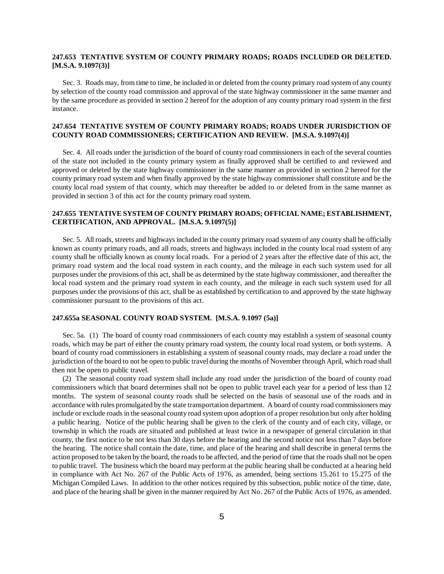## **247.653 TENTATIVE SYSTEM OF COUNTY PRIMARY ROADS; ROADS INCLUDED OR DELETED. [M.S.A. 9.1097(3)]**

Sec. 3. Roads may, from time to time, be included in or deleted from the county primary road system of any county by selection of the county road commission and approval of the state highway commissioner in the same manner and by the same procedure as provided in section 2 hereof for the adoption of any county primary road system in the first instance.

#### **247.654 TENTATIVE SYSTEM OF COUNTY PRIMARY ROADS; ROADS UNDER JURISDICTION OF COUNTY ROAD COMMISSIONERS; CERTIFICATION AND REVIEW. [M.S.A. 9.1097(4)]**

Sec. 4. All roads under the jurisdiction of the board of county road commissioners in each of the several counties of the state not included in the county primary system as finally approved shall be certified to and reviewed and approved or deleted by the state highway commissioner in the same manner as provided in section 2 hereof for the county primary road system and when finally approved by the state highway commissioner shall constitute and be the county local road system of that county, which may thereafter be added to or deleted from in the same manner as provided in section 3 of this act for the county primary road system.

#### **247.655 TENTATIVE SYSTEM OF COUNTY PRIMARY ROADS; OFFICIAL NAME; ESTABLISHMENT, CERTIFICATION, AND APPROVAL. [M.S.A. 9.1097(5)]**

Sec. 5. All roads, streets and highways included in the county primary road system of any county shall be officially known as county primary roads, and all roads, streets and highways included in the county local road system of any county shall be officially known as county local roads. For a period of 2 years after the effective date of this act, the primary road system and the local road system in each county, and the mileage in each such system used for all purposes under the provisions of this act, shall be as determined by the state highway commissioner, and thereafter the local road system and the primary road system in each county, and the mileage in each such system used for all purposes under the provisions of this act, shall be as established by certification to and approved by the state highway commissioner pursuant to the provisions of this act.

#### **247.655a SEASONAL COUNTY ROAD SYSTEM. [M.S.A. 9.1097 (5a)]**

Sec. 5a. (1) The board of county road commissioners of each county may establish a system of seasonal county roads, which may be part of either the county primary road system, the county local road system, or both systems. A board of county road commissioners in establishing a system of seasonal county roads, may declare a road under the jurisdiction of the board to not be open to public travel during the months of November through April, which road shall then not be open to public travel.

(2) The seasonal county road system shall include any road under the jurisdiction of the board of county road commissioners which that board determines shall not be open to public travel each year for a period of less than 12 months. The system of seasonal county roads shall be selected on the basis of seasonal use of the roads and in accordance with rules promulgated by the state transportation department. A board of county road commissioners may include or exclude roads in the seasonal county road system upon adoption of a proper resolution but only after holding a public hearing. Notice of the public hearing shall be given to the clerk of the county and of each city, village, or township in which the roads are situated and published at least twice in a newspaper of general circulation in that county, the first notice to be not less than 30 days before the hearing and the second notice not less than 7 days before the hearing. The notice shall contain the date, time, and place of the hearing and shall describe in general terms the action proposed to be taken by the board, the roads to be affected, and the period of time that the roads shall not be open to public travel. The business which the board may perform at the public hearing shall be conducted at a hearing held in compliance with Act No. 267 of the Public Acts of 1976, as amended, being sections 15.261 to 15.275 of the Michigan Compiled Laws. In addition to the other notices required by this subsection, public notice of the time, date, and place of the hearing shall be given in the manner required by Act No. 267 of the Public Acts of 1976, as amended.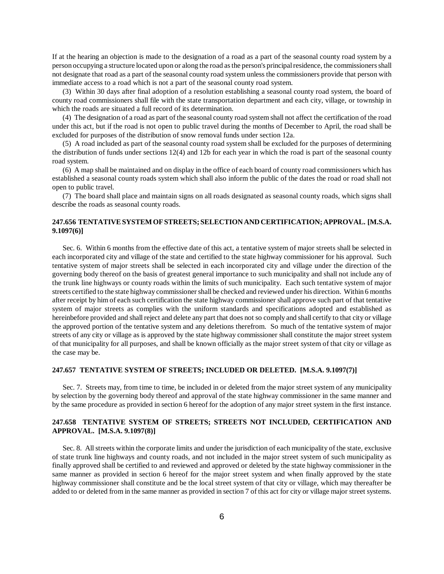If at the hearing an objection is made to the designation of a road as a part of the seasonal county road system by a person occupying a structure located upon or along the road as the person's principal residence, the commissioners shall not designate that road as a part of the seasonal county road system unless the commissioners provide that person with immediate access to a road which is not a part of the seasonal county road system.

(3) Within 30 days after final adoption of a resolution establishing a seasonal county road system, the board of county road commissioners shall file with the state transportation department and each city, village, or township in which the roads are situated a full record of its determination.

(4) The designation of a road as part of the seasonal county road system shall not affect the certification of the road under this act, but if the road is not open to public travel during the months of December to April, the road shall be excluded for purposes of the distribution of snow removal funds under section 12a.

(5) A road included as part of the seasonal county road system shall be excluded for the purposes of determining the distribution of funds under sections 12(4) and 12b for each year in which the road is part of the seasonal county road system.

(6) A map shall be maintained and on display in the office of each board of county road commissioners which has established a seasonal county roads system which shall also inform the public of the dates the road or road shall not open to public travel.

(7) The board shall place and maintain signs on all roads designated as seasonal county roads, which signs shall describe the roads as seasonal county roads.

#### **247.656 TENTATIVE SYSTEM OF STREETS; SELECTION AND CERTIFICATION; APPROVAL. [M.S.A. 9.1097(6)]**

Sec. 6. Within 6 months from the effective date of this act, a tentative system of major streets shall be selected in each incorporated city and village of the state and certified to the state highway commissioner for his approval. Such tentative system of major streets shall be selected in each incorporated city and village under the direction of the governing body thereof on the basis of greatest general importance to such municipality and shall not include any of the trunk line highways or county roads within the limits of such municipality. Each such tentative system of major streets certified to the state highway commissioner shall be checked and reviewed under his direction. Within 6 months after receipt by him of each such certification the state highway commissioner shall approve such part of that tentative system of major streets as complies with the uniform standards and specifications adopted and established as hereinbefore provided and shall reject and delete any part that does not so comply and shall certify to that city or village the approved portion of the tentative system and any deletions therefrom. So much of the tentative system of major streets of any city or village as is approved by the state highway commissioner shall constitute the major street system of that municipality for all purposes, and shall be known officially as the major street system of that city or village as the case may be.

#### **247.657 TENTATIVE SYSTEM OF STREETS; INCLUDED OR DELETED. [M.S.A. 9.1097(7)]**

Sec. 7. Streets may, from time to time, be included in or deleted from the major street system of any municipality by selection by the governing body thereof and approval of the state highway commissioner in the same manner and by the same procedure as provided in section 6 hereof for the adoption of any major street system in the first instance.

# **247.658 TENTATIVE SYSTEM OF STREETS; STREETS NOT INCLUDED, CERTIFICATION AND APPROVAL. [M.S.A. 9.1097(8)]**

Sec. 8. All streets within the corporate limits and under the jurisdiction of each municipality of the state, exclusive of state trunk line highways and county roads, and not included in the major street system of such municipality as finally approved shall be certified to and reviewed and approved or deleted by the state highway commissioner in the same manner as provided in section 6 hereof for the major street system and when finally approved by the state highway commissioner shall constitute and be the local street system of that city or village, which may thereafter be added to or deleted from in the same manner as provided in section 7 of this act for city or village major street systems.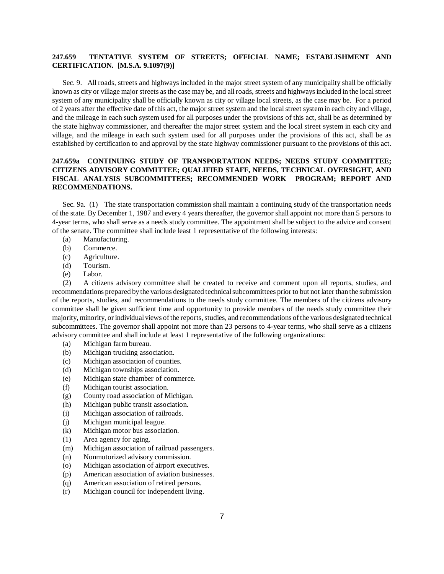# **247.659 TENTATIVE SYSTEM OF STREETS; OFFICIAL NAME; ESTABLISHMENT AND CERTIFICATION. [M.S.A. 9.1097(9)]**

Sec. 9. All roads, streets and highways included in the major street system of any municipality shall be officially known as city or village major streets as the case may be, and all roads, streets and highways included in the local street system of any municipality shall be officially known as city or village local streets, as the case may be. For a period of 2 years after the effective date of this act, the major street system and the local street system in each city and village, and the mileage in each such system used for all purposes under the provisions of this act, shall be as determined by the state highway commissioner, and thereafter the major street system and the local street system in each city and village, and the mileage in each such system used for all purposes under the provisions of this act, shall be as established by certification to and approval by the state highway commissioner pursuant to the provisions of this act.

# **247.659a CONTINUING STUDY OF TRANSPORTATION NEEDS; NEEDS STUDY COMMITTEE; CITIZENS ADVISORY COMMITTEE; QUALIFIED STAFF, NEEDS, TECHNICAL OVERSIGHT, AND FISCAL ANALYSIS SUBCOMMITTEES; RECOMMENDED WORK PROGRAM; REPORT AND RECOMMENDATIONS.**

Sec. 9a. (1) The state transportation commission shall maintain a continuing study of the transportation needs of the state. By December 1, 1987 and every 4 years thereafter, the governor shall appoint not more than 5 persons to 4-year terms, who shall serve as a needs study committee. The appointment shall be subject to the advice and consent of the senate. The committee shall include least 1 representative of the following interests:

- (a) Manufacturing.
- (b) Commerce.
- (c) Agriculture.
- (d) Tourism.
- (e) Labor.

(2) A citizens advisory committee shall be created to receive and comment upon all reports, studies, and recommendations prepared by the various designated technical subcommittees prior to but not later than the submission of the reports, studies, and recommendations to the needs study committee. The members of the citizens advisory committee shall be given sufficient time and opportunity to provide members of the needs study committee their majority, minority, or individual views of the reports, studies, and recommendations of the various designated technical subcommittees. The governor shall appoint not more than 23 persons to 4-year terms, who shall serve as a citizens advisory committee and shall include at least 1 representative of the following organizations:

- (a) Michigan farm bureau.
- (b) Michigan trucking association.
- (c) Michigan association of counties.
- (d) Michigan townships association.
- (e) Michigan state chamber of commerce.
- (f) Michigan tourist association.
- (g) County road association of Michigan.
- (h) Michigan public transit association.
- (i) Michigan association of railroads.
- (j) Michigan municipal league.
- (k) Michigan motor bus association.
- (1) Area agency for aging.
- (m) Michigan association of railroad passengers.
- (n) Nonmotorized advisory commission.
- (o) Michigan association of airport executives.
- (p) American association of aviation businesses.
- (q) American association of retired persons.
- (r) Michigan council for independent living.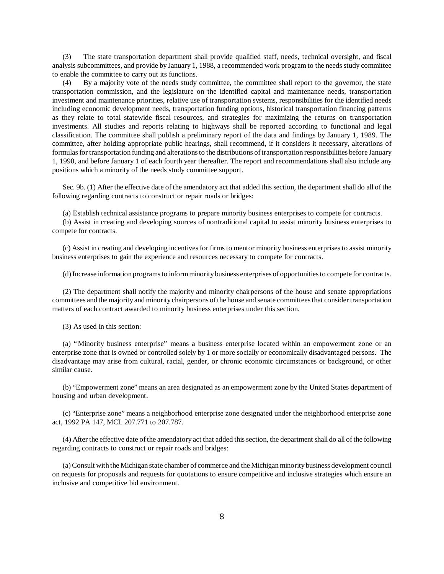(3) The state transportation department shall provide qualified staff, needs, technical oversight, and fiscal analysis subcommittees, and provide by January 1, 1988, a recommended work program to the needs study committee to enable the committee to carry out its functions.

(4) By a majority vote of the needs study committee, the committee shall report to the governor, the state transportation commission, and the legislature on the identified capital and maintenance needs, transportation investment and maintenance priorities, relative use of transportation systems, responsibilities for the identified needs including economic development needs, transportation funding options, historical transportation financing patterns as they relate to total statewide fiscal resources, and strategies for maximizing the returns on transportation investments. All studies and reports relating to highways shall be reported according to functional and legal classification. The committee shall publish a preliminary report of the data and findings by January 1, 1989. The committee, after holding appropriate public hearings, shall recommend, if it considers it necessary, alterations of formulas for transportation funding and alterations to the distributions of transportation responsibilities before January 1, 1990, and before January 1 of each fourth year thereafter. The report and recommendations shall also include any positions which a minority of the needs study committee support.

Sec. 9b. (1) After the effective date of the amendatory act that added this section, the department shall do all of the following regarding contracts to construct or repair roads or bridges:

(a) Establish technical assistance programs to prepare minority business enterprises to compete for contracts.

(b) Assist in creating and developing sources of nontraditional capital to assist minority business enterprises to compete for contracts.

(c) Assist in creating and developing incentives for firms to mentor minority business enterprises to assist minority business enterprises to gain the experience and resources necessary to compete for contracts.

(d) Increase information programs to inform minority business enterprises of opportunities to compete for contracts.

(2) The department shall notify the majority and minority chairpersons of the house and senate appropriations committees and the majority and minority chairpersons of the house and senate committees that consider transportation matters of each contract awarded to minority business enterprises under this section.

(3) As used in this section:

(a) "Minority business enterprise" means a business enterprise located within an empowerment zone or an enterprise zone that is owned or controlled solely by 1 or more socially or economically disadvantaged persons. The disadvantage may arise from cultural, racial, gender, or chronic economic circumstances or background, or other similar cause.

(b) "Empowerment zone" means an area designated as an empowerment zone by the United States department of housing and urban development.

(c) "Enterprise zone" means a neighborhood enterprise zone designated under the neighborhood enterprise zone act, 1992 PA 147, MCL 207.771 to 207.787.

(4) After the effective date of the amendatory act that added this section, the department shall do all of the following regarding contracts to construct or repair roads and bridges:

(a) Consult with the Michigan state chamber of commerce and the Michigan minority business development council on requests for proposals and requests for quotations to ensure competitive and inclusive strategies which ensure an inclusive and competitive bid environment.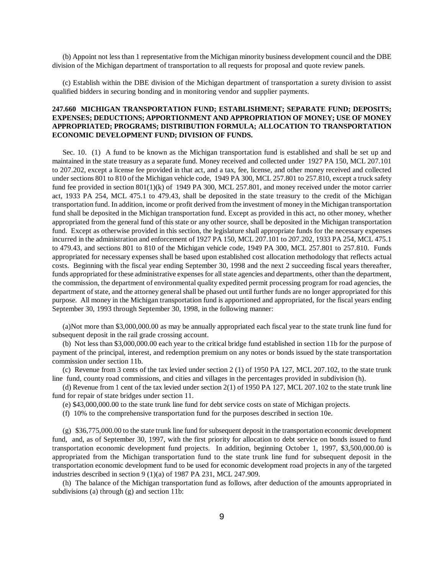(b) Appoint not less than 1 representative from the Michigan minority business development council and the DBE division of the Michigan department of transportation to all requests for proposal and quote review panels.

(c) Establish within the DBE division of the Michigan department of transportation a surety division to assist qualified bidders in securing bonding and in monitoring vendor and supplier payments.

## **247.660 MICHIGAN TRANSPORTATION FUND; ESTABLISHMENT; SEPARATE FUND; DEPOSITS; EXPENSES; DEDUCTIONS; APPORTIONMENT AND APPROPRIATION OF MONEY; USE OF MONEY APPROPRIATED; PROGRAMS; DISTRIBUTION FORMULA; ALLOCATION TO TRANSPORTATION ECONOMIC DEVELOPMENT FUND; DIVISION OF FUNDS.**

Sec. 10. (1) A fund to be known as the Michigan transportation fund is established and shall be set up and maintained in the state treasury as a separate fund. Money received and collected under 1927 PA 150, MCL 207.101 to 207.202, except a license fee provided in that act, and a tax, fee, license, and other money received and collected under sections 801 to 810 of the Michigan vehicle code, 1949 PA 300, MCL 257.801 to 257.810, except a truck safety fund fee provided in section 801(1)(k) of 1949 PA 300, MCL 257.801, and money received under the motor carrier act, 1933 PA 254, MCL 475.1 to 479.43, shall be deposited in the state treasury to the credit of the Michigan transportation fund. In addition, income or profit derived from the investment of money in the Michigan transportation fund shall be deposited in the Michigan transportation fund. Except as provided in this act, no other money, whether appropriated from the general fund of this state or any other source, shall be deposited in the Michigan transportation fund. Except as otherwise provided in this section, the legislature shall appropriate funds for the necessary expenses incurred in the administration and enforcement of 1927 PA 150, MCL 207.101 to 207.202, 1933 PA 254, MCL 475.1 to 479.43, and sections 801 to 810 of the Michigan vehicle code, 1949 PA 300, MCL 257.801 to 257.810. Funds appropriated for necessary expenses shall be based upon established cost allocation methodology that reflects actual costs. Beginning with the fiscal year ending September 30, 1998 and the next 2 succeeding fiscal years thereafter, funds appropriated for these administrative expenses for all state agencies and departments, other than the department, the commission, the department of environmental quality expedited permit processing program for road agencies, the department of state, and the attorney general shall be phased out until further funds are no longer appropriated for this purpose. All money in the Michigan transportation fund is apportioned and appropriated, for the fiscal years ending September 30, 1993 through September 30, 1998, in the following manner:

(a)Not more than \$3,000,000.00 as may be annually appropriated each fiscal year to the state trunk line fund for subsequent deposit in the rail grade crossing account.

(b) Not less than \$3,000,000.00 each year to the critical bridge fund established in section 11b for the purpose of payment of the principal, interest, and redemption premium on any notes or bonds issued by the state transportation commission under section 11b.

(c) Revenue from 3 cents of the tax levied under section 2 (1) of 1950 PA 127, MCL 207.102, to the state trunk line fund, county road commissions, and cities and villages in the percentages provided in subdivision (h).

(d) Revenue from 1 cent of the tax levied under section 2(1) of 1950 PA 127, MCL 207.102 to the state trunk line fund for repair of state bridges under section 11.

(e) \$43,000,000.00 to the state trunk line fund for debt service costs on state of Michigan projects.

(f) 10% to the comprehensive transportation fund for the purposes described in section 10e.

(g) \$36,775,000.00 to the state trunk line fund for subsequent deposit in the transportation economic development fund, and, as of September 30, 1997, with the first priority for allocation to debt service on bonds issued to fund transportation economic development fund projects. In addition, beginning October 1, 1997, \$3,500,000.00 is appropriated from the Michigan transportation fund to the state trunk line fund for subsequent deposit in the transportation economic development fund to be used for economic development road projects in any of the targeted industries described in section 9 (1)(a) of 1987 PA 231, MCL 247.909.

(h) The balance of the Michigan transportation fund as follows, after deduction of the amounts appropriated in subdivisions (a) through (g) and section 11b: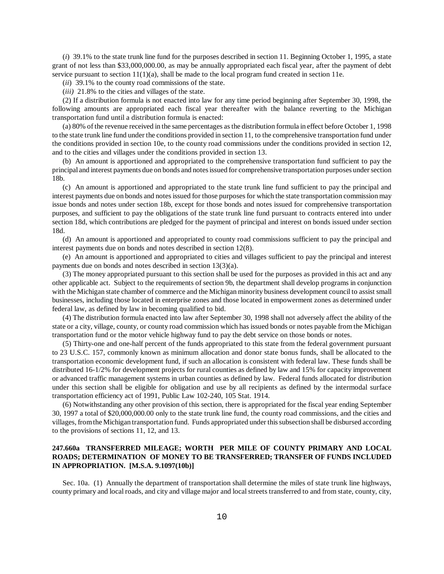(*i*) 39.1% to the state trunk line fund for the purposes described in section 11. Beginning October 1, 1995, a state grant of not less than \$33,000,000.00, as may be annually appropriated each fiscal year, after the payment of debt service pursuant to section  $11(1)(a)$ , shall be made to the local program fund created in section 11e.

(*ii*) 39.1% to the county road commissions of the state.

(*iii)* 21.8% to the cities and villages of the state.

(2) If a distribution formula is not enacted into law for any time period beginning after September 30, 1998, the following amounts are appropriated each fiscal year thereafter with the balance reverting to the Michigan transportation fund until a distribution formula is enacted:

(a) 80% of the revenue received in the same percentages as the distribution formula in effect before October 1, 1998 to the state trunk line fund under the conditions provided in section 11, to the comprehensive transportation fund under the conditions provided in section 10e, to the county road commissions under the conditions provided in section 12, and to the cities and villages under the conditions provided in section 13.

(b) An amount is apportioned and appropriated to the comprehensive transportation fund sufficient to pay the principal and interest payments due on bonds and notes issued for comprehensive transportation purposes under section 18b.

(c) An amount is apportioned and appropriated to the state trunk line fund sufficient to pay the principal and interest payments due on bonds and notes issued for those purposes for which the state transportation commission may issue bonds and notes under section 18b, except for those bonds and notes issued for comprehensive transportation purposes, and sufficient to pay the obligations of the state trunk line fund pursuant to contracts entered into under section 18d, which contributions are pledged for the payment of principal and interest on bonds issued under section 18d.

(d) An amount is apportioned and appropriated to county road commissions sufficient to pay the principal and interest payments due on bonds and notes described in section 12(8).

(e) An amount is apportioned and appropriated to cities and villages sufficient to pay the principal and interest payments due on bonds and notes described in section 13(3)(a).

(3) The money appropriated pursuant to this section shall be used for the purposes as provided in this act and any other applicable act. Subject to the requirements of section 9b, the department shall develop programs in conjunction with the Michigan state chamber of commerce and the Michigan minority business development council to assist small businesses, including those located in enterprise zones and those located in empowerment zones as determined under federal law, as defined by law in becoming qualified to bid.

(4) The distribution formula enacted into law after September 30, 1998 shall not adversely affect the ability of the state or a city, village, county, or county road commission which has issued bonds or notes payable from the Michigan transportation fund or the motor vehicle highway fund to pay the debt service on those bonds or notes.

(5) Thirty-one and one-half percent of the funds appropriated to this state from the federal government pursuant to 23 U.S.C. 157, commonly known as minimum allocation and donor state bonus funds, shall be allocated to the transportation economic development fund, if such an allocation is consistent with federal law. These funds shall be distributed 16-1/2% for development projects for rural counties as defined by law and 15% for capacity improvement or advanced traffic management systems in urban counties as defined by law. Federal funds allocated for distribution under this section shall be eligible for obligation and use by all recipients as defined by the intermodal surface transportation efficiency act of 1991, Public Law 102-240, 105 Stat. 1914.

(6) Notwithstanding any other provision of this section, there is appropriated for the fiscal year ending September 30, 1997 a total of \$20,000,000.00 only to the state trunk line fund, the county road commissions, and the cities and villages, from the Michigan transportation fund. Funds appropriated under this subsection shall be disbursed according to the provisions of sections 11, 12, and 13.

# **247.660a TRANSFERRED MILEAGE; WORTH PER MILE OF COUNTY PRIMARY AND LOCAL ROADS; DETERMINATION OF MONEY TO BE TRANSFERRED; TRANSFER OF FUNDS INCLUDED IN APPROPRIATION. [M.S.A. 9.1097(10b)]**

Sec. 10a. (1) Annually the department of transportation shall determine the miles of state trunk line highways, county primary and local roads, and city and village major and local streets transferred to and from state, county, city,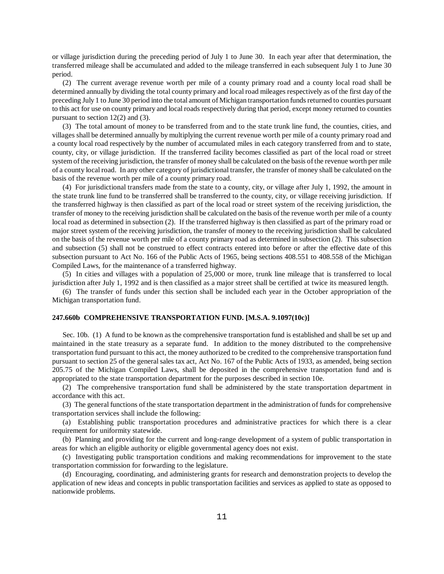or village jurisdiction during the preceding period of July 1 to June 30. In each year after that determination, the transferred mileage shall be accumulated and added to the mileage transferred in each subsequent July 1 to June 30 period.

(2) The current average revenue worth per mile of a county primary road and a county local road shall be determined annually by dividing the total county primary and local road mileages respectively as of the first day of the preceding July 1 to June 30 period into the total amount of Michigan transportation funds returned to counties pursuant to this act for use on county primary and local roads respectively during that period, except money returned to counties pursuant to section 12(2) and (3).

(3) The total amount of money to be transferred from and to the state trunk line fund, the counties, cities, and villages shall be determined annually by multiplying the current revenue worth per mile of a county primary road and a county local road respectively by the number of accumulated miles in each category transferred from and to state, county, city, or village jurisdiction. If the transferred facility becomes classified as part of the local road or street system of the receiving jurisdiction, the transfer of money shall be calculated on the basis of the revenue worth per mile of a county local road. In any other category of jurisdictional transfer, the transfer of money shall be calculated on the basis of the revenue worth per mile of a county primary road.

(4) For jurisdictional transfers made from the state to a county, city, or village after July 1, 1992, the amount in the state trunk line fund to be transferred shall be transferred to the county, city, or village receiving jurisdiction. If the transferred highway is then classified as part of the local road or street system of the receiving jurisdiction, the transfer of money to the receiving jurisdiction shall be calculated on the basis of the revenue worth per mile of a county local road as determined in subsection (2). If the transferred highway is then classified as part of the primary road or major street system of the receiving jurisdiction, the transfer of money to the receiving jurisdiction shall be calculated on the basis of the revenue worth per mile of a county primary road as determined in subsection (2). This subsection and subsection (5) shall not be construed to effect contracts entered into before or after the effective date of this subsection pursuant to Act No. 166 of the Public Acts of 1965, being sections 408.551 to 408.558 of the Michigan Compiled Laws, for the maintenance of a transferred highway.

(5) In cities and villages with a population of 25,000 or more, trunk line mileage that is transferred to local jurisdiction after July 1, 1992 and is then classified as a major street shall be certified at twice its measured length.

(6) The transfer of funds under this section shall be included each year in the October appropriation of the Michigan transportation fund.

#### **247.660b COMPREHENSIVE TRANSPORTATION FUND. [M.S.A. 9.1097(10c)]**

Sec. 10b. (1) A fund to be known as the comprehensive transportation fund is established and shall be set up and maintained in the state treasury as a separate fund. In addition to the money distributed to the comprehensive transportation fund pursuant to this act, the money authorized to be credited to the comprehensive transportation fund pursuant to section 25 of the general sales tax act, Act No. 167 of the Public Acts of 1933, as amended, being section 205.75 of the Michigan Compiled Laws, shall be deposited in the comprehensive transportation fund and is appropriated to the state transportation department for the purposes described in section 10e.

(2) The comprehensive transportation fund shall be administered by the state transportation department in accordance with this act.

(3) The general functions of the state transportation department in the administration of funds for comprehensive transportation services shall include the following:

(a) Establishing public transportation procedures and administrative practices for which there is a clear requirement for uniformity statewide.

(b) Planning and providing for the current and long-range development of a system of public transportation in areas for which an eligible authority or eligible governmental agency does not exist.

(c) Investigating public transportation conditions and making recommendations for improvement to the state transportation commission for forwarding to the legislature.

(d) Encouraging, coordinating, and administering grants for research and demonstration projects to develop the application of new ideas and concepts in public transportation facilities and services as applied to state as opposed to nationwide problems.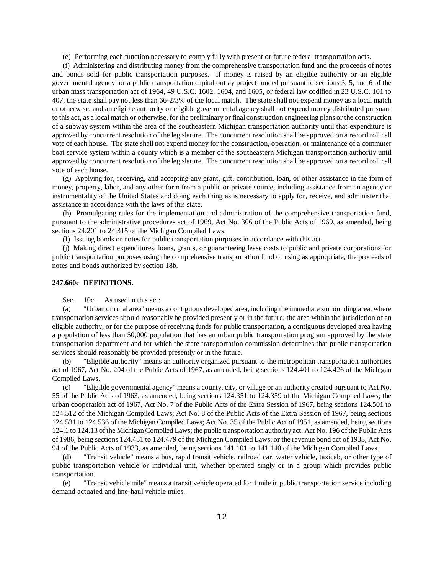(e) Performing each function necessary to comply fully with present or future federal transportation acts.

(f) Administering and distributing money from the comprehensive transportation fund and the proceeds of notes and bonds sold for public transportation purposes. If money is raised by an eligible authority or an eligible governmental agency for a public transportation capital outlay project funded pursuant to sections 3, 5, and 6 of the urban mass transportation act of 1964, 49 U.S.C. 1602, 1604, and 1605, or federal law codified in 23 U.S.C. 101 to 407, the state shall pay not less than 66-2/3% of the local match. The state shall not expend money as a local match or otherwise, and an eligible authority or eligible governmental agency shall not expend money distributed pursuant to this act, as a local match or otherwise, for the preliminary or final construction engineering plans or the construction of a subway system within the area of the southeastern Michigan transportation authority until that expenditure is approved by concurrent resolution of the legislature. The concurrent resolution shall be approved on a record roll call vote of each house. The state shall not expend money for the construction, operation, or maintenance of a commuter boat service system within a county which is a member of the southeastern Michigan transportation authority until approved by concurrent resolution of the legislature. The concurrent resolution shall be approved on a record roll call vote of each house.

(g) Applying for, receiving, and accepting any grant, gift, contribution, loan, or other assistance in the form of money, property, labor, and any other form from a public or private source, including assistance from an agency or instrumentality of the United States and doing each thing as is necessary to apply for, receive, and administer that assistance in accordance with the laws of this state.

(h) Promulgating rules for the implementation and administration of the comprehensive transportation fund, pursuant to the administrative procedures act of 1969, Act No. 306 of the Public Acts of 1969, as amended, being sections 24.201 to 24.315 of the Michigan Compiled Laws.

(I) Issuing bonds or notes for public transportation purposes in accordance with this act.

(j) Making direct expenditures, loans, grants, or guaranteeing lease costs to public and private corporations for public transportation purposes using the comprehensive transportation fund or using as appropriate, the proceeds of notes and bonds authorized by section 18b.

#### **247.660c DEFINITIONS.**

Sec. 10c. As used in this act:

(a) "Urban or rural area" means a contiguous developed area, including the immediate surrounding area, where transportation services should reasonably be provided presently or in the future; the area within the jurisdiction of an eligible authority; or for the purpose of receiving funds for public transportation, a contiguous developed area having a population of less than 50,000 population that has an urban public transportation program approved by the state transportation department and for which the state transportation commission determines that public transportation services should reasonably be provided presently or in the future.

(b) "Eligible authority" means an authority organized pursuant to the metropolitan transportation authorities act of 1967, Act No. 204 of the Public Acts of 1967, as amended, being sections 124.401 to 124.426 of the Michigan Compiled Laws.

(c) "Eligible governmental agency" means a county, city, or village or an authority created pursuant to Act No. 55 of the Public Acts of 1963, as amended, being sections 124.351 to 124.359 of the Michigan Compiled Laws; the urban cooperation act of 1967, Act No. 7 of the Public Acts of the Extra Session of 1967, being sections 124.501 to 124.512 of the Michigan Compiled Laws; Act No. 8 of the Public Acts of the Extra Session of 1967, being sections 124.531 to 124.536 of the Michigan Compiled Laws; Act No. 35 of the Public Act of 1951, as amended, being sections 124.1 to 124.13 of the Michigan Compiled Laws; the public transportation authority act, Act No. 196 of the Public Acts of 1986, being sections 124.451 to 124.479 of the Michigan Compiled Laws; or the revenue bond act of 1933, Act No. 94 of the Public Acts of 1933, as amended, being sections 141.101 to 141.140 of the Michigan Compiled Laws.

"Transit vehicle" means a bus, rapid transit vehicle, railroad car, water vehicle, taxicab, or other type of public transportation vehicle or individual unit, whether operated singly or in a group which provides public transportation.

(e) "Transit vehicle mile" means a transit vehicle operated for 1 mile in public transportation service including demand actuated and line-haul vehicle miles.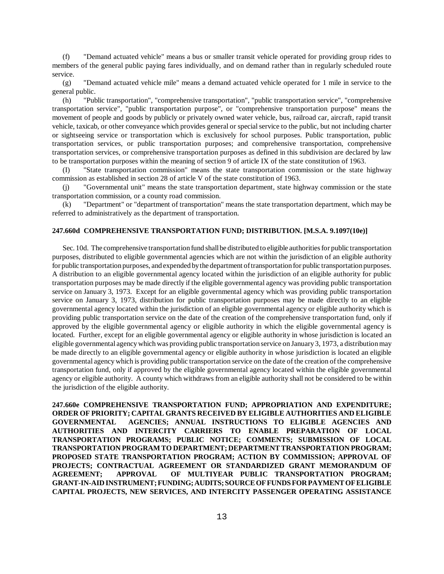(f) "Demand actuated vehicle" means a bus or smaller transit vehicle operated for providing group rides to members of the general public paying fares individually, and on demand rather than in regularly scheduled route service.

(g) "Demand actuated vehicle mile" means a demand actuated vehicle operated for 1 mile in service to the general public.

(h) "Public transportation", "comprehensive transportation", "public transportation service", "comprehensive transportation service", "public transportation purpose", or "comprehensive transportation purpose" means the movement of people and goods by publicly or privately owned water vehicle, bus, railroad car, aircraft, rapid transit vehicle, taxicab, or other conveyance which provides general or special service to the public, but not including charter or sightseeing service or transportation which is exclusively for school purposes. Public transportation, public transportation services, or public transportation purposes; and comprehensive transportation, comprehensive transportation services, or comprehensive transportation purposes as defined in this subdivision are declared by law to be transportation purposes within the meaning of section 9 of article IX of the state constitution of 1963.

(I) "State transportation commission" means the state transportation commission or the state highway commission as established in section 28 of article V of the state constitution of 1963.

(j) "Governmental unit" means the state transportation department, state highway commission or the state transportation commission, or a county road commission.

(k) "Department" or "department of transportation" means the state transportation department, which may be referred to administratively as the department of transportation.

#### **247.660d COMPREHENSIVE TRANSPORTATION FUND; DISTRIBUTION. [M.S.A. 9.1097(10e)]**

Sec. 10d. The comprehensive transportation fund shall be distributed to eligible authorities for public transportation purposes, distributed to eligible governmental agencies which are not within the jurisdiction of an eligible authority for public transportation purposes, and expended by the department of transportation for public transportation purposes. A distribution to an eligible governmental agency located within the jurisdiction of an eligible authority for public transportation purposes may be made directly if the eligible governmental agency was providing public transportation service on January 3, 1973. Except for an eligible governmental agency which was providing public transportation service on January 3, 1973, distribution for public transportation purposes may be made directly to an eligible governmental agency located within the jurisdiction of an eligible governmental agency or eligible authority which is providing public transportation service on the date of the creation of the comprehensive transportation fund, only if approved by the eligible governmental agency or eligible authority in which the eligible governmental agency is located. Further, except for an eligible governmental agency or eligible authority in whose jurisdiction is located an eligible governmental agency which was providing public transportation service on January 3, 1973, a distribution may be made directly to an eligible governmental agency or eligible authority in whose jurisdiction is located an eligible governmental agency which is providing public transportation service on the date of the creation of the comprehensive transportation fund, only if approved by the eligible governmental agency located within the eligible governmental agency or eligible authority. A county which withdraws from an eligible authority shall not be considered to be within the jurisdiction of the eligible authority.

**247.660e COMPREHENSIVE TRANSPORTATION FUND; APPROPRIATION AND EXPENDITURE; ORDER OF PRIORITY; CAPITAL GRANTS RECEIVED BY ELIGIBLE AUTHORITIES AND ELIGIBLE GOVERNMENTAL AGENCIES; ANNUAL INSTRUCTIONS TO ELIGIBLE AGENCIES AND AUTHORITIES AND INTERCITY CARRIERS TO ENABLE PREPARATION OF LOCAL TRANSPORTATION PROGRAMS; PUBLIC NOTICE; COMMENTS; SUBMISSION OF LOCAL TRANSPORTATION PROGRAM TO DEPARTMENT; DEPARTMENT TRANSPORTATION PROGRAM; PROPOSED STATE TRANSPORTATION PROGRAM; ACTION BY COMMISSION; APPROVAL OF PROJECTS; CONTRACTUAL AGREEMENT OR STANDARDIZED GRANT MEMORANDUM OF AGREEMENT; APPROVAL OF MULTIYEAR PUBLIC TRANSPORTATION PROGRAM; GRANT-IN-AID INSTRUMENT; FUNDING; AUDITS; SOURCE OF FUNDS FOR PAYMENT OF ELIGIBLE CAPITAL PROJECTS, NEW SERVICES, AND INTERCITY PASSENGER OPERATING ASSISTANCE**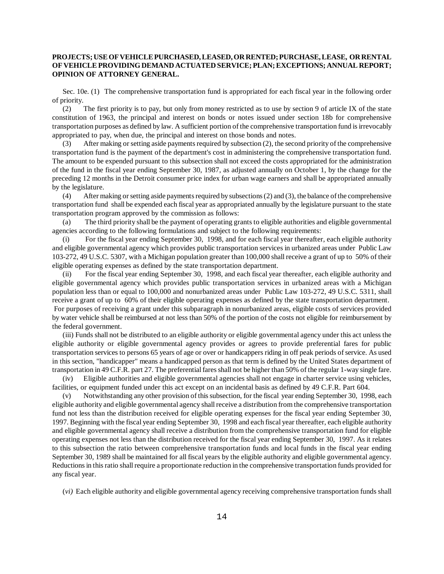# **PROJECTS; USE OF VEHICLE PURCHASED, LEASED, OR RENTED; PURCHASE, LEASE, OR RENTAL OF VEHICLE PROVIDING DEMAND ACTUATED SERVICE; PLAN; EXCEPTIONS; ANNUAL REPORT; OPINION OF ATTORNEY GENERAL.**

Sec. 10e. (1) The comprehensive transportation fund is appropriated for each fiscal year in the following order of priority.

(2) The first priority is to pay, but only from money restricted as to use by section 9 of article IX of the state constitution of 1963, the principal and interest on bonds or notes issued under section 18b for comprehensive transportation purposes as defined by law. A sufficient portion of the comprehensive transportation fund is irrevocably appropriated to pay, when due, the principal and interest on those bonds and notes.

(3) After making or setting aside payments required by subsection (2), the second priority of the comprehensive transportation fund is the payment of the department's cost in administering the comprehensive transportation fund. The amount to be expended pursuant to this subsection shall not exceed the costs appropriated for the administration of the fund in the fiscal year ending September 30, 1987, as adjusted annually on October 1, by the change for the preceding 12 months in the Detroit consumer price index for urban wage earners and shall be appropriated annually by the legislature.

(4) After making or setting aside payments required by subsections (2) and (3), the balance of the comprehensive transportation fund shall be expended each fiscal year as appropriated annually by the legislature pursuant to the state transportation program approved by the commission as follows:

(a) The third priority shall be the payment of operating grants to eligible authorities and eligible governmental agencies according to the following formulations and subject to the following requirements:

(i) For the fiscal year ending September 30, 1998, and for each fiscal year thereafter, each eligible authority and eligible governmental agency which provides public transportation services in urbanized areas under Public Law 103-272, 49 U.S.C. 5307, with a Michigan population greater than 100,000 shall receive a grant of up to 50% of their eligible operating expenses as defined by the state transportation department.

(ii) For the fiscal year ending September 30, 1998, and each fiscal year thereafter, each eligible authority and eligible governmental agency which provides public transportation services in urbanized areas with a Michigan population less than or equal to 100,000 and nonurbanized areas under Public Law 103-272, 49 U.S.C. 5311, shall receive a grant of up to 60% of their eligible operating expenses as defined by the state transportation department. For purposes of receiving a grant under this subparagraph in nonurbanized areas, eligible costs of services provided by water vehicle shall be reimbursed at not less than 50% of the portion of the costs not eligible for reimbursement by the federal government.

(iii) Funds shall not be distributed to an eligible authority or eligible governmental agency under this act unless the eligible authority or eligible governmental agency provides or agrees to provide preferential fares for public transportation services to persons 65 years of age or over or handicappers riding in off peak periods of service. As used in this section, "handicapper" means a handicapped person as that term is defined by the United States department of transportation in 49 C.F.R. part 27. The preferential fares shall not be higher than 50% of the regular 1-way single fare.

(iv) Eligible authorities and eligible governmental agencies shall not engage in charter service using vehicles, facilities, or equipment funded under this act except on an incidental basis as defined by 49 C.F.R. Part 604.

(v) Notwithstanding any other provision of this subsection, for the fiscal year ending September 30, 1998, each eligible authority and eligible governmental agency shall receive a distribution from the comprehensive transportation fund not less than the distribution received for eligible operating expenses for the fiscal year ending September 30, 1997. Beginning with the fiscal year ending September 30, 1998 and each fiscal year thereafter, each eligible authority and eligible governmental agency shall receive a distribution from the comprehensive transportation fund for eligible operating expenses not less than the distribution received for the fiscal year ending September 30, 1997. As it relates to this subsection the ratio between comprehensive transportation funds and local funds in the fiscal year ending September 30, 1989 shall be maintained for all fiscal years by the eligible authority and eligible governmental agency. Reductions in this ratio shall require a proportionate reduction in the comprehensive transportation funds provided for any fiscal year.

(*vi)* Each eligible authority and eligible governmental agency receiving comprehensive transportation funds shall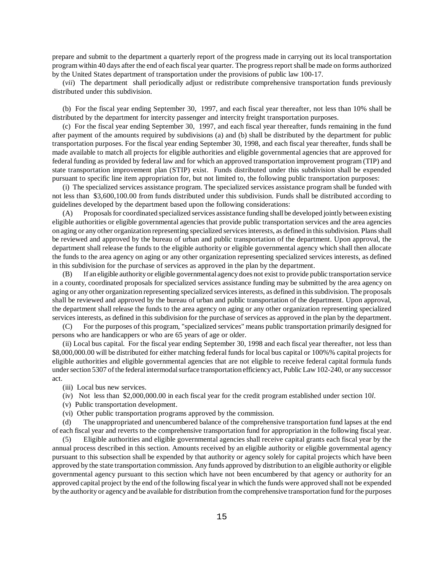prepare and submit to the department a quarterly report of the progress made in carrying out its local transportation program within 40 days after the end of each fiscal year quarter. The progress report shall be made on forms authorized by the United States department of transportation under the provisions of public law 100-17.

(*vii*) The department shall periodically adjust or redistribute comprehensive transportation funds previously distributed under this subdivision.

(b) For the fiscal year ending September 30, 1997, and each fiscal year thereafter, not less than 10% shall be distributed by the department for intercity passenger and intercity freight transportation purposes.

(c) For the fiscal year ending September 30, 1997, and each fiscal year thereafter, funds remaining in the fund after payment of the amounts required by subdivisions (a) and (b) shall be distributed by the department for public transportation purposes. For the fiscal year ending September 30, 1998, and each fiscal year thereafter, funds shall be made available to match all projects for eligible authorities and eligible governmental agencies that are approved for federal funding as provided by federal law and for which an approved transportation improvement program (TIP) and state transportation improvement plan (STIP) exist. Funds distributed under this subdivision shall be expended pursuant to specific line item appropriation for, but not limited to, the following public transportation purposes:

(i) The specialized services assistance program. The specialized services assistance program shall be funded with not less than \$3,600,100.00 from funds distributed under this subdivision. Funds shall be distributed according to guidelines developed by the department based upon the following considerations:

(A) Proposals for coordinated specialized services assistance funding shall be developed jointly between existing eligible authorities or eligible governmental agencies that provide public transportation services and the area agencies on aging or any other organization representing specialized services interests, as defined in this subdivision. Plans shall be reviewed and approved by the bureau of urban and public transportation of the department. Upon approval, the department shall release the funds to the eligible authority or eligible governmental agency which shall then allocate the funds to the area agency on aging or any other organization representing specialized services interests, as defined in this subdivision for the purchase of services as approved in the plan by the department.

(B) If an eligible authority or eligible governmental agency does not exist to provide public transportation service in a county, coordinated proposals for specialized services assistance funding may be submitted by the area agency on aging or any other organization representing specialized services interests, as defined in this subdivision. The proposals shall be reviewed and approved by the bureau of urban and public transportation of the department. Upon approval, the department shall release the funds to the area agency on aging or any other organization representing specialized services interests, as defined in this subdivision for the purchase of services as approved in the plan by the department.

(C) For the purposes of this program, "specialized services" means public transportation primarily designed for persons who are handicappers or who are 65 years of age or older.

(ii) Local bus capital. For the fiscal year ending September 30, 1998 and each fiscal year thereafter, not less than \$8,000,000.00 will be distributed for either matching federal funds for local bus capital or 100%% capital projects for eligible authorities and eligible governmental agencies that are not eligible to receive federal capital formula funds under section 5307 of the federal intermodal surface transportation efficiency act, Public Law 102-240, or any successor act.

(iii) Local bus new services.

- (iv) Not less than \$2,000,000.00 in each fiscal year for the credit program established under section 10*l*.
- (v) Public transportation development.
- (vi) Other public transportation programs approved by the commission.

(d) The unappropriated and unencumbered balance of the comprehensive transportation fund lapses at the end of each fiscal year and reverts to the comprehensive transportation fund for appropriation in the following fiscal year.

(5) Eligible authorities and eligible governmental agencies shall receive capital grants each fiscal year by the annual process described in this section. Amounts received by an eligible authority or eligible governmental agency pursuant to this subsection shall be expended by that authority or agency solely for capital projects which have been approved by the state transportation commission. Any funds approved by distribution to an eligible authority or eligible governmental agency pursuant to this section which have not been encumbered by that agency or authority for an approved capital project by the end of the following fiscal year in which the funds were approved shall not be expended by the authority or agency and be available for distribution from the comprehensive transportation fund for the purposes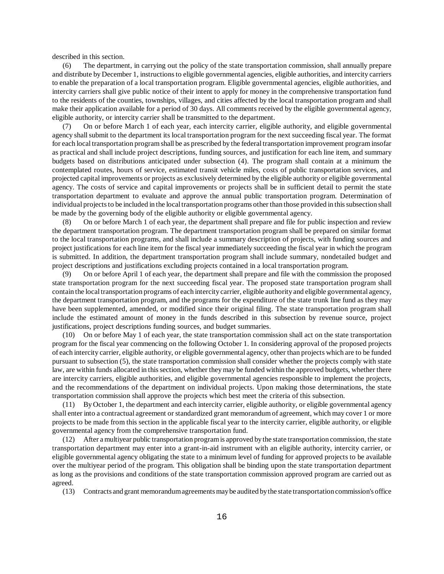described in this section.

(6) The department, in carrying out the policy of the state transportation commission, shall annually prepare and distribute by December 1, instructions to eligible governmental agencies, eligible authorities, and intercity carriers to enable the preparation of a local transportation program. Eligible governmental agencies, eligible authorities, and intercity carriers shall give public notice of their intent to apply for money in the comprehensive transportation fund to the residents of the counties, townships, villages, and cities affected by the local transportation program and shall make their application available for a period of 30 days. All comments received by the eligible governmental agency, eligible authority, or intercity carrier shall be transmitted to the department.

(7) On or before March 1 of each year, each intercity carrier, eligible authority, and eligible governmental agency shall submit to the department its local transportation program for the next succeeding fiscal year. The format for each local transportation program shall be as prescribed by the federal transportation improvement program insofar as practical and shall include project descriptions, funding sources, and justification for each line item, and summary budgets based on distributions anticipated under subsection (4). The program shall contain at a minimum the contemplated routes, hours of service, estimated transit vehicle miles, costs of public transportation services, and projected capital improvements or projects as exclusively determined by the eligible authority or eligible governmental agency. The costs of service and capital improvements or projects shall be in sufficient detail to permit the state transportation department to evaluate and approve the annual public transportation program. Determination of individual projects to be included in the local transportation programs other than those provided in this subsection shall be made by the governing body of the eligible authority or eligible governmental agency.

(8) On or before March 1 of each year, the department shall prepare and file for public inspection and review the department transportation program. The department transportation program shall be prepared on similar format to the local transportation programs, and shall include a summary description of projects, with funding sources and project justifications for each line item for the fiscal year immediately succeeding the fiscal year in which the program is submitted. In addition, the department transportation program shall include summary, nondetailed budget and project descriptions and justifications excluding projects contained in a local transportation program.

(9) On or before April 1 of each year, the department shall prepare and file with the commission the proposed state transportation program for the next succeeding fiscal year. The proposed state transportation program shall contain the local transportation programs of each intercity carrier, eligible authority and eligible governmental agency, the department transportation program, and the programs for the expenditure of the state trunk line fund as they may have been supplemented, amended, or modified since their original filing. The state transportation program shall include the estimated amount of money in the funds described in this subsection by revenue source, project justifications, project descriptions funding sources, and budget summaries.

(10) On or before May 1 of each year, the state transportation commission shall act on the state transportation program for the fiscal year commencing on the following October 1. In considering approval of the proposed projects of each intercity carrier, eligible authority, or eligible governmental agency, other than projects which are to be funded pursuant to subsection (5), the state transportation commission shall consider whether the projects comply with state law, are within funds allocated in this section, whether they may be funded within the approved budgets, whether there are intercity carriers, eligible authorities, and eligible governmental agencies responsible to implement the projects, and the recommendations of the department on individual projects. Upon making those determinations, the state transportation commission shall approve the projects which best meet the criteria of this subsection.

(11) By October 1, the department and each intercity carrier, eligible authority, or eligible governmental agency shall enter into a contractual agreement or standardized grant memorandum of agreement, which may cover 1 or more projects to be made from this section in the applicable fiscal year to the intercity carrier, eligible authority, or eligible governmental agency from the comprehensive transportation fund.

After a multiyear public transportation program is approved by the state transportation commission, the state transportation department may enter into a grant-in-aid instrument with an eligible authority, intercity carrier, or eligible governmental agency obligating the state to a minimum level of funding for approved projects to be available over the multiyear period of the program. This obligation shall be binding upon the state transportation department as long as the provisions and conditions of the state transportation commission approved program are carried out as agreed.

(13) Contracts and grant memorandum agreements may be audited by the state transportation commission's office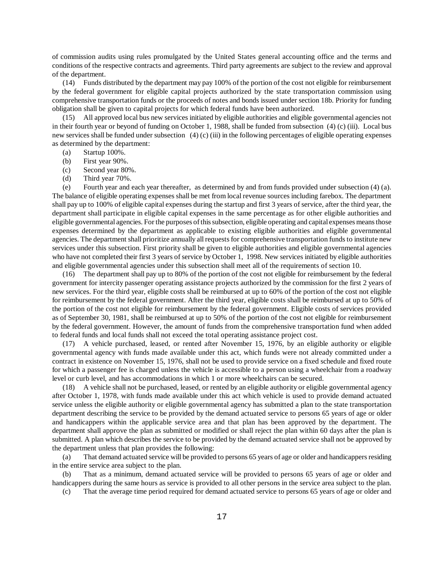of commission audits using rules promulgated by the United States general accounting office and the terms and conditions of the respective contracts and agreements. Third party agreements are subject to the review and approval of the department.

(14) Funds distributed by the department may pay 100% of the portion of the cost not eligible for reimbursement by the federal government for eligible capital projects authorized by the state transportation commission using comprehensive transportation funds or the proceeds of notes and bonds issued under section 18b. Priority for funding obligation shall be given to capital projects for which federal funds have been authorized.

(15) All approved local bus new services initiated by eligible authorities and eligible governmental agencies not in their fourth year or beyond of funding on October 1, 1988, shall be funded from subsection (4) (c) (iii). Local bus new services shall be funded under subsection (4) (c) (iii) in the following percentages of eligible operating expenses as determined by the department:

- (a) Startup 100%.
- (b) First year 90%.
- (c) Second year 80%.
- (d) Third year 70%.

(e) Fourth year and each year thereafter, as determined by and from funds provided under subsection (4) (a). The balance of eligible operating expenses shall be met from local revenue sources including farebox. The department shall pay up to 100% of eligible capital expenses during the startup and first 3 years of service, after the third year, the department shall participate in eligible capital expenses in the same percentage as for other eligible authorities and eligible governmental agencies. For the purposes of this subsection, eligible operating and capital expenses means those expenses determined by the department as applicable to existing eligible authorities and eligible governmental agencies. The department shall prioritize annually all requests for comprehensive transportation funds to institute new services under this subsection. First priority shall be given to eligible authorities and eligible governmental agencies who have not completed their first 3 years of service by October 1, 1998. New services initiated by eligible authorities and eligible governmental agencies under this subsection shall meet all of the requirements of section 10.

(16) The department shall pay up to 80% of the portion of the cost not eligible for reimbursement by the federal government for intercity passenger operating assistance projects authorized by the commission for the first 2 years of new services. For the third year, eligible costs shall be reimbursed at up to 60% of the portion of the cost not eligible for reimbursement by the federal government. After the third year, eligible costs shall be reimbursed at up to 50% of the portion of the cost not eligible for reimbursement by the federal government. Eligible costs of services provided as of September 30, 1981, shall be reimbursed at up to 50% of the portion of the cost not eligible for reimbursement by the federal government. However, the amount of funds from the comprehensive transportation fund when added to federal funds and local funds shall not exceed the total operating assistance project cost.

(17) A vehicle purchased, leased, or rented after November 15, 1976, by an eligible authority or eligible governmental agency with funds made available under this act, which funds were not already committed under a contract in existence on November 15, 1976, shall not be used to provide service on a fixed schedule and fixed route for which a passenger fee is charged unless the vehicle is accessible to a person using a wheelchair from a roadway level or curb level, and has accommodations in which 1 or more wheelchairs can be secured.

(18) A vehicle shall not be purchased, leased, or rented by an eligible authority or eligible governmental agency after October 1, 1978, with funds made available under this act which vehicle is used to provide demand actuated service unless the eligible authority or eligible governmental agency has submitted a plan to the state transportation department describing the service to be provided by the demand actuated service to persons 65 years of age or older and handicappers within the applicable service area and that plan has been approved by the department. The department shall approve the plan as submitted or modified or shall reject the plan within 60 days after the plan is submitted. A plan which describes the service to be provided by the demand actuated service shall not be approved by the department unless that plan provides the following:

(a) That demand actuated service will be provided to persons 65 years of age or older and handicappers residing in the entire service area subject to the plan.

(b) That as a minimum, demand actuated service will be provided to persons 65 years of age or older and handicappers during the same hours as service is provided to all other persons in the service area subject to the plan.

(c) That the average time period required for demand actuated service to persons 65 years of age or older and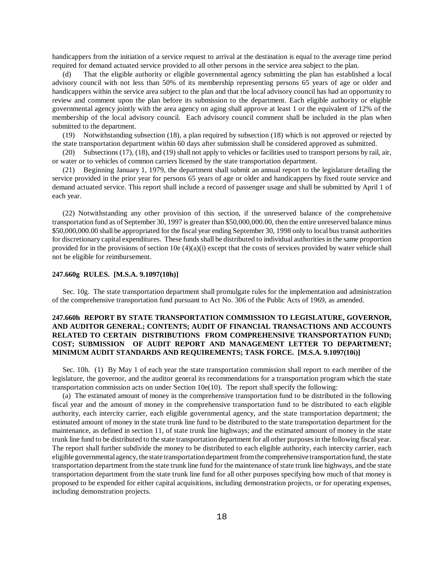handicappers from the initiation of a service request to arrival at the destination is equal to the average time period required for demand actuated service provided to all other persons in the service area subject to the plan.

(d) That the eligible authority or eligible governmental agency submitting the plan has established a local advisory council with not less than 50% of its membership representing persons 65 years of age or older and handicappers within the service area subject to the plan and that the local advisory council has had an opportunity to review and comment upon the plan before its submission to the department. Each eligible authority or eligible governmental agency jointly with the area agency on aging shall approve at least 1 or the equivalent of 12% of the membership of the local advisory council. Each advisory council comment shall be included in the plan when submitted to the department.

(19) Notwithstanding subsection (18), a plan required by subsection (18) which is not approved or rejected by the state transportation department within 60 days after submission shall be considered approved as submitted.

(20) Subsections (17), (18), and (19) shall not apply to vehicles or facilities used to transport persons by rail, air, or water or to vehicles of common carriers licensed by the state transportation department.

(21) Beginning January 1, 1979, the department shall submit an annual report to the legislature detailing the service provided in the prior year for persons 65 years of age or older and handicappers by fixed route service and demand actuated service. This report shall include a record of passenger usage and shall be submitted by April 1 of each year.

(22) Notwithstanding any other provision of this section, if the unreserved balance of the comprehensive transportation fund as of September 30, 1997 is greater than \$50,000,000.00, then the entire unreserved balance minus \$50,000,000.00 shall be appropriated for the fiscal year ending September 30, 1998 only to local bus transit authorities for discretionary capital expenditures. These funds shall be distributed to individual authorities in the same proportion provided for in the provisions of section 10e  $(4)(a)(i)$  except that the costs of services provided by water vehicle shall not be eligible for reimbursement.

#### **247.660g RULES. [M.S.A. 9.1097(10h)]**

Sec. 10g. The state transportation department shall promulgate rules for the implementation and administration of the comprehensive transportation fund pursuant to Act No. 306 of the Public Acts of 1969, as amended.

# **247.660h REPORT BY STATE TRANSPORTATION COMMISSION TO LEGISLATURE, GOVERNOR, AND AUDITOR GENERAL; CONTENTS; AUDIT OF FINANCIAL TRANSACTIONS AND ACCOUNTS RELATED TO CERTAIN DISTRIBUTIONS FROM COMPREHENSIVE TRANSPORTATION FUND; COST; SUBMISSION OF AUDIT REPORT AND MANAGEMENT LETTER TO DEPARTMENT; MINIMUM AUDIT STANDARDS AND REQUIREMENTS; TASK FORCE. [M.S.A. 9.1097(10i)]**

Sec. 10h. (1) By May 1 of each year the state transportation commission shall report to each member of the legislature, the governor, and the auditor general its recommendations for a transportation program which the state transportation commission acts on under Section 10e(10). The report shall specify the following:

(a) The estimated amount of money in the comprehensive transportation fund to be distributed in the following fiscal year and the amount of money in the comprehensive transportation fund to be distributed to each eligible authority, each intercity carrier, each eligible governmental agency, and the state transportation department; the estimated amount of money in the state trunk line fund to be distributed to the state transportation department for the maintenance, as defined in section 11, of state trunk line highways; and the estimated amount of money in the state trunk line fund to be distributed to the state transportation department for all other purposes in the following fiscal year. The report shall further subdivide the money to be distributed to each eligible authority, each intercity carrier, each eligible governmental agency, the state transportation department from the comprehensive transportation fund, the state transportation department from the state trunk line fund for the maintenance of state trunk line highways, and the state transportation department from the state trunk line fund for all other purposes specifying how much of that money is proposed to be expended for either capital acquisitions, including demonstration projects, or for operating expenses, including demonstration projects.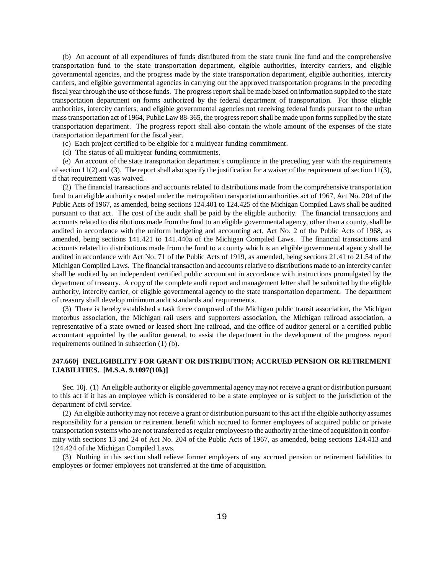(b) An account of all expenditures of funds distributed from the state trunk line fund and the comprehensive transportation fund to the state transportation department, eligible authorities, intercity carriers, and eligible governmental agencies, and the progress made by the state transportation department, eligible authorities, intercity carriers, and eligible governmental agencies in carrying out the approved transportation programs in the preceding fiscal year through the use of those funds. The progress report shall be made based on information supplied to the state transportation department on forms authorized by the federal department of transportation. For those eligible authorities, intercity carriers, and eligible governmental agencies not receiving federal funds pursuant to the urban mass transportation act of 1964, Public Law 88-365, the progress report shall be made upon forms supplied by the state transportation department. The progress report shall also contain the whole amount of the expenses of the state transportation department for the fiscal year.

(c) Each project certified to be eligible for a multiyear funding commitment.

(d) The status of all multiyear funding commitments.

(e) An account of the state transportation department's compliance in the preceding year with the requirements of section 11(2) and (3). The report shall also specify the justification for a waiver of the requirement of section 11(3), if that requirement was waived.

(2) The financial transactions and accounts related to distributions made from the comprehensive transportation fund to an eligible authority created under the metropolitan transportation authorities act of 1967, Act No. 204 of the Public Acts of 1967, as amended, being sections 124.401 to 124.425 of the Michigan Compiled Laws shall be audited pursuant to that act. The cost of the audit shall be paid by the eligible authority. The financial transactions and accounts related to distributions made from the fund to an eligible governmental agency, other than a county, shall be audited in accordance with the uniform budgeting and accounting act, Act No. 2 of the Public Acts of 1968, as amended, being sections 141.421 to 141.440a of the Michigan Compiled Laws. The financial transactions and accounts related to distributions made from the fund to a county which is an eligible governmental agency shall be audited in accordance with Act No. 71 of the Public Acts of 1919, as amended, being sections 21.41 to 21.54 of the Michigan Compiled Laws. The financial transaction and accounts relative to distributions made to an intercity carrier shall be audited by an independent certified public accountant in accordance with instructions promulgated by the department of treasury. A copy of the complete audit report and management letter shall be submitted by the eligible authority, intercity carrier, or eligible governmental agency to the state transportation department. The department of treasury shall develop minimum audit standards and requirements.

(3) There is hereby established a task force composed of the Michigan public transit association, the Michigan motorbus association, the Michigan rail users and supporters association, the Michigan railroad association, a representative of a state owned or leased short line railroad, and the office of auditor general or a certified public accountant appointed by the auditor general, to assist the department in the development of the progress report requirements outlined in subsection (1) (b).

#### **247.660j INELIGIBILITY FOR GRANT OR DISTRIBUTION; ACCRUED PENSION OR RETIREMENT LIABILITIES. [M.S.A. 9.1097(10k)]**

Sec. 10j. (1) An eligible authority or eligible governmental agency may not receive a grant or distribution pursuant to this act if it has an employee which is considered to be a state employee or is subject to the jurisdiction of the department of civil service.

(2) An eligible authority may not receive a grant or distribution pursuant to this act if the eligible authority assumes responsibility for a pension or retirement benefit which accrued to former employees of acquired public or private transportation systems who are not transferred as regular employees to the authority at the time of acquisition in conformity with sections 13 and 24 of Act No. 204 of the Public Acts of 1967, as amended, being sections 124.413 and 124.424 of the Michigan Compiled Laws.

(3) Nothing in this section shall relieve former employers of any accrued pension or retirement liabilities to employees or former employees not transferred at the time of acquisition.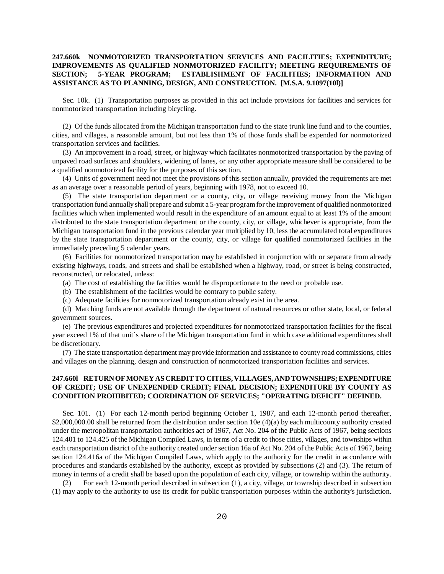## **247.660k NONMOTORIZED TRANSPORTATION SERVICES AND FACILITIES; EXPENDITURE; IMPROVEMENTS AS QUALIFIED NONMOTORIZED FACILITY; MEETING REQUIREMENTS OF SECTION; 5-YEAR PROGRAM; ESTABLISHMENT OF FACILITIES; INFORMATION AND ASSISTANCE AS TO PLANNING, DESIGN, AND CONSTRUCTION. [M.S.A. 9.1097(10l)]**

Sec. 10k. (1) Transportation purposes as provided in this act include provisions for facilities and services for nonmotorized transportation including bicycling.

(2) Of the funds allocated from the Michigan transportation fund to the state trunk line fund and to the counties, cities, and villages, a reasonable amount, but not less than 1% of those funds shall be expended for nonmotorized transportation services and facilities.

(3) An improvement in a road, street, or highway which facilitates nonmotorized transportation by the paving of unpaved road surfaces and shoulders, widening of lanes, or any other appropriate measure shall be considered to be a qualified nonmotorized facility for the purposes of this section.

(4) Units of government need not meet the provisions of this section annually, provided the requirements are met as an average over a reasonable period of years, beginning with 1978, not to exceed 10.

(5) The state transportation department or a county, city, or village receiving money from the Michigan transportation fund annually shall prepare and submit a 5-year program for the improvement of qualified nonmotorized facilities which when implemented would result in the expenditure of an amount equal to at least 1% of the amount distributed to the state transportation department or the county, city, or village, whichever is appropriate, from the Michigan transportation fund in the previous calendar year multiplied by 10, less the accumulated total expenditures by the state transportation department or the county, city, or village for qualified nonmotorized facilities in the immediately preceding 5 calendar years.

(6) Facilities for nonmotorized transportation may be established in conjunction with or separate from already existing highways, roads, and streets and shall be established when a highway, road, or street is being constructed, reconstructed, or relocated, unless:

(a) The cost of establishing the facilities would be disproportionate to the need or probable use.

(b) The establishment of the facilities would be contrary to public safety.

(c) Adequate facilities for nonmotorized transportation already exist in the area.

(d) Matching funds are not available through the department of natural resources or other state, local, or federal government sources.

(e) The previous expenditures and projected expenditures for nonmotorized transportation facilities for the fiscal year exceed 1% of that unit`s share of the Michigan transportation fund in which case additional expenditures shall be discretionary.

(7) The state transportation department may provide information and assistance to county road commissions, cities and villages on the planning, design and construction of nonmotorized transportation facilities and services.

#### **247.660l RETURN OF MONEY AS CREDIT TO CITIES, VILLAGES, AND TOWNSHIPS; EXPENDITURE OF CREDIT; USE OF UNEXPENDED CREDIT; FINAL DECISION; EXPENDITURE BY COUNTY AS CONDITION PROHIBITED; COORDINATION OF SERVICES; "OPERATING DEFICIT" DEFINED.**

Sec. 101. (1) For each 12-month period beginning October 1, 1987, and each 12-month period thereafter, \$2,000,000.00 shall be returned from the distribution under section 10e (4)(a) by each multicounty authority created under the metropolitan transportation authorities act of 1967, Act No. 204 of the Public Acts of 1967, being sections 124.401 to 124.425 of the Michigan Compiled Laws, in terms of a credit to those cities, villages, and townships within each transportation district of the authority created under section 16a of Act No. 204 of the Public Acts of 1967, being section 124.416a of the Michigan Compiled Laws, which apply to the authority for the credit in accordance with procedures and standards established by the authority, except as provided by subsections (2) and (3). The return of money in terms of a credit shall be based upon the population of each city, village, or township within the authority.

(2) For each 12-month period described in subsection (1), a city, village, or township described in subsection (1) may apply to the authority to use its credit for public transportation purposes within the authority's jurisdiction.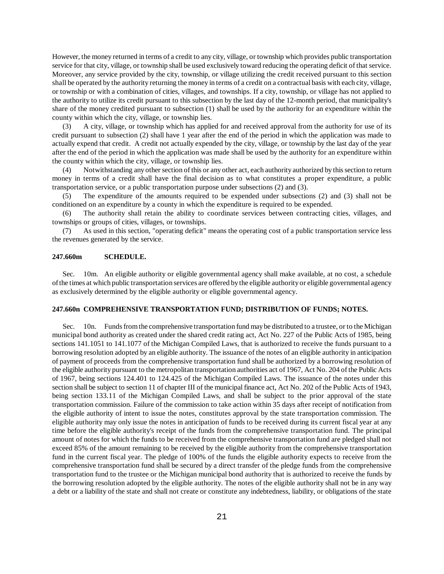However, the money returned in terms of a credit to any city, village, or township which provides public transportation service for that city, village, or township shall be used exclusively toward reducing the operating deficit of that service. Moreover, any service provided by the city, township, or village utilizing the credit received pursuant to this section shall be operated by the authority returning the money in terms of a credit on a contractual basis with each city, village, or township or with a combination of cities, villages, and townships. If a city, township, or village has not applied to the authority to utilize its credit pursuant to this subsection by the last day of the 12-month period, that municipality's share of the money credited pursuant to subsection (1) shall be used by the authority for an expenditure within the county within which the city, village, or township lies.

(3) A city, village, or township which has applied for and received approval from the authority for use of its credit pursuant to subsection (2) shall have 1 year after the end of the period in which the application was made to actually expend that credit. A credit not actually expended by the city, village, or township by the last day of the year after the end of the period in which the application was made shall be used by the authority for an expenditure within the county within which the city, village, or township lies.

(4) Notwithstanding any other section of this or any other act, each authority authorized by this section to return money in terms of a credit shall have the final decision as to what constitutes a proper expenditure, a public transportation service, or a public transportation purpose under subsections (2) and (3).

(5) The expenditure of the amounts required to be expended under subsections (2) and (3) shall not be conditioned on an expenditure by a county in which the expenditure is required to be expended.

(6) The authority shall retain the ability to coordinate services between contracting cities, villages, and townships or groups of cities, villages, or townships.

(7) As used in this section, "operating deficit" means the operating cost of a public transportation service less the revenues generated by the service.

#### **247.660m SCHEDULE.**

Sec. 10m. An eligible authority or eligible governmental agency shall make available, at no cost, a schedule of the times at which public transportation services are offered by the eligible authority or eligible governmental agency as exclusively determined by the eligible authority or eligible governmental agency.

#### **247.660n COMPREHENSIVE TRANSPORTATION FUND; DISTRIBUTION OF FUNDS; NOTES.**

Sec. 10n. Funds from the comprehensive transportation fund may be distributed to a trustee, or to the Michigan municipal bond authority as created under the shared credit rating act, Act No. 227 of the Public Acts of 1985, being sections 141.1051 to 141.1077 of the Michigan Compiled Laws, that is authorized to receive the funds pursuant to a borrowing resolution adopted by an eligible authority. The issuance of the notes of an eligible authority in anticipation of payment of proceeds from the comprehensive transportation fund shall be authorized by a borrowing resolution of the eligible authority pursuant to the metropolitan transportation authorities act of 1967, Act No. 204 of the Public Acts of 1967, being sections 124.401 to 124.425 of the Michigan Compiled Laws. The issuance of the notes under this section shall be subject to section 11 of chapter III of the municipal finance act, Act No. 202 of the Public Acts of 1943, being section 133.11 of the Michigan Compiled Laws, and shall be subject to the prior approval of the state transportation commission. Failure of the commission to take action within 35 days after receipt of notification from the eligible authority of intent to issue the notes, constitutes approval by the state transportation commission. The eligible authority may only issue the notes in anticipation of funds to be received during its current fiscal year at any time before the eligible authority's receipt of the funds from the comprehensive transportation fund. The principal amount of notes for which the funds to be received from the comprehensive transportation fund are pledged shall not exceed 85% of the amount remaining to be received by the eligible authority from the comprehensive transportation fund in the current fiscal year. The pledge of 100% of the funds the eligible authority expects to receive from the comprehensive transportation fund shall be secured by a direct transfer of the pledge funds from the comprehensive transportation fund to the trustee or the Michigan municipal bond authority that is authorized to receive the funds by the borrowing resolution adopted by the eligible authority. The notes of the eligible authority shall not be in any way a debt or a liability of the state and shall not create or constitute any indebtedness, liability, or obligations of the state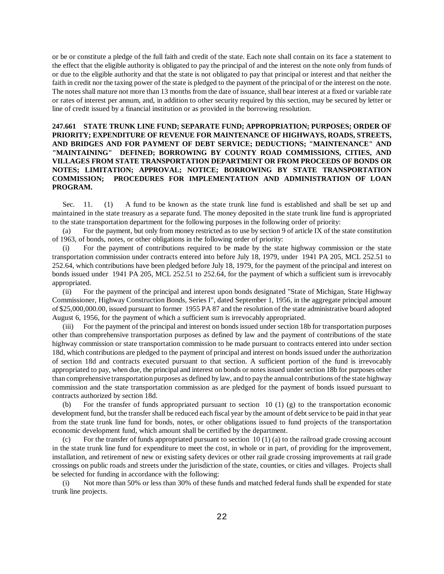or be or constitute a pledge of the full faith and credit of the state. Each note shall contain on its face a statement to the effect that the eligible authority is obligated to pay the principal of and the interest on the note only from funds of or due to the eligible authority and that the state is not obligated to pay that principal or interest and that neither the faith in credit nor the taxing power of the state is pledged to the payment of the principal of or the interest on the note. The notes shall mature not more than 13 months from the date of issuance, shall bear interest at a fixed or variable rate or rates of interest per annum, and, in addition to other security required by this section, may be secured by letter or line of credit issued by a financial institution or as provided in the borrowing resolution.

# **247.661 STATE TRUNK LINE FUND; SEPARATE FUND; APPROPRIATION; PURPOSES; ORDER OF PRIORITY; EXPENDITURE OF REVENUE FOR MAINTENANCE OF HIGHWAYS, ROADS, STREETS, AND BRIDGES AND FOR PAYMENT OF DEBT SERVICE; DEDUCTIONS; "MAINTENANCE" AND "MAINTAINING" DEFINED; BORROWING BY COUNTY ROAD COMMISSIONS, CITIES, AND VILLAGES FROM STATE TRANSPORTATION DEPARTMENT OR FROM PROCEEDS OF BONDS OR NOTES; LIMITATION; APPROVAL; NOTICE; BORROWING BY STATE TRANSPORTATION COMMISSION; PROCEDURES FOR IMPLEMENTATION AND ADMINISTRATION OF LOAN PROGRAM.**

Sec. 11. (1) A fund to be known as the state trunk line fund is established and shall be set up and maintained in the state treasury as a separate fund. The money deposited in the state trunk line fund is appropriated to the state transportation department for the following purposes in the following order of priority:

(a) For the payment, but only from money restricted as to use by section 9 of article IX of the state constitution of 1963, of bonds, notes, or other obligations in the following order of priority:

(i) For the payment of contributions required to be made by the state highway commission or the state transportation commission under contracts entered into before July 18, 1979, under 1941 PA 205, MCL 252.51 to 252.64, which contributions have been pledged before July 18, 1979, for the payment of the principal and interest on bonds issued under 1941 PA 205, MCL 252.51 to 252.64, for the payment of which a sufficient sum is irrevocably appropriated.

(ii) For the payment of the principal and interest upon bonds designated "State of Michigan, State Highway Commissioner, Highway Construction Bonds, Series I", dated September 1, 1956, in the aggregate principal amount of \$25,000,000.00, issued pursuant to former 1955 PA 87 and the resolution of the state administrative board adopted August 6, 1956, for the payment of which a sufficient sum is irrevocably appropriated.

(iii) For the payment of the principal and interest on bonds issued under section 18b for transportation purposes other than comprehensive transportation purposes as defined by law and the payment of contributions of the state highway commission or state transportation commission to be made pursuant to contracts entered into under section 18d, which contributions are pledged to the payment of principal and interest on bonds issued under the authorization of section 18d and contracts executed pursuant to that section. A sufficient portion of the fund is irrevocably appropriated to pay, when due, the principal and interest on bonds or notes issued under section 18b for purposes other than comprehensive transportation purposes as defined by law, and to pay the annual contributions of the state highway commission and the state transportation commission as are pledged for the payment of bonds issued pursuant to contracts authorized by section 18d.

(b) For the transfer of funds appropriated pursuant to section 10 (1) (g) to the transportation economic development fund, but the transfer shall be reduced each fiscal year by the amount of debt service to be paid in that year from the state trunk line fund for bonds, notes, or other obligations issued to fund projects of the transportation economic development fund, which amount shall be certified by the department.

For the transfer of funds appropriated pursuant to section 10 (1) (a) to the railroad grade crossing account in the state trunk line fund for expenditure to meet the cost, in whole or in part, of providing for the improvement, installation, and retirement of new or existing safety devices or other rail grade crossing improvements at rail grade crossings on public roads and streets under the jurisdiction of the state, counties, or cities and villages. Projects shall be selected for funding in accordance with the following:

(i) Not more than 50% or less than 30% of these funds and matched federal funds shall be expended for state trunk line projects.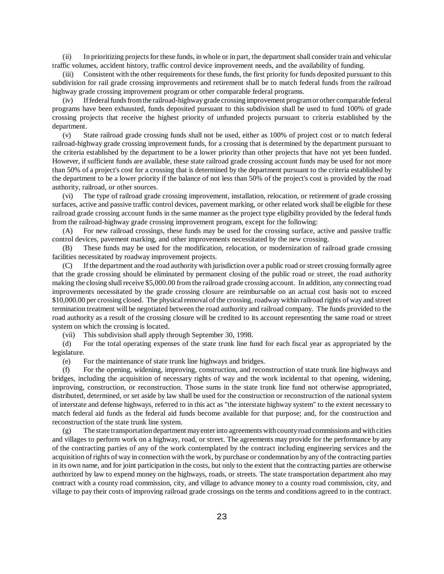(ii) In prioritizing projects for these funds, in whole or in part, the department shall consider train and vehicular traffic volumes, accident history, traffic control device improvement needs, and the availability of funding.

Consistent with the other requirements for these funds, the first priority for funds deposited pursuant to this subdivision for rail grade crossing improvements and retirement shall be to match federal funds from the railroad highway grade crossing improvement program or other comparable federal programs.

(iv) If federal funds from the railroad-highway grade crossing improvement program or other comparable federal programs have been exhausted, funds deposited pursuant to this subdivision shall be used to fund 100% of grade crossing projects that receive the highest priority of unfunded projects pursuant to criteria established by the department.

(v) State railroad grade crossing funds shall not be used, either as 100% of project cost or to match federal railroad-highway grade crossing improvement funds, for a crossing that is determined by the department pursuant to the criteria established by the department to be a lower priority than other projects that have not yet been funded. However, if sufficient funds are available, these state railroad grade crossing account funds may be used for not more than 50% of a project's cost for a crossing that is determined by the department pursuant to the criteria established by the department to be a lower priority if the balance of not less than 50% of the project's cost is provided by the road authority, railroad, or other sources.

(vi) The type of railroad grade crossing improvement, installation, relocation, or retirement of grade crossing surfaces, active and passive traffic control devices, pavement marking, or other related work shall be eligible for these railroad grade crossing account funds in the same manner as the project type eligibility provided by the federal funds from the railroad-highway grade crossing improvement program, except for the following:

(A) For new railroad crossings, these funds may be used for the crossing surface, active and passive traffic control devices, pavement marking, and other improvements necessitated by the new crossing.

(B) These funds may be used for the modification, relocation, or modernization of railroad grade crossing facilities necessitated by roadway improvement projects.

(C) If the department and the road authority with jurisdiction over a public road or street crossing formally agree that the grade crossing should be eliminated by permanent closing of the public road or street, the road authority making the closing shall receive \$5,000.00 from the railroad grade crossing account. In addition, any connecting road improvements necessitated by the grade crossing closure are reimbursable on an actual cost basis not to exceed \$10,000.00 per crossing closed. The physical removal of the crossing, roadway within railroad rights of way and street termination treatment will be negotiated between the road authority and railroad company. The funds provided to the road authority as a result of the crossing closure will be credited to its account representing the same road or street system on which the crossing is located.

(vii) This subdivision shall apply through September 30, 1998.

(d) For the total operating expenses of the state trunk line fund for each fiscal year as appropriated by the legislature.

(e) For the maintenance of state trunk line highways and bridges.

(f) For the opening, widening, improving, construction, and reconstruction of state trunk line highways and bridges, including the acquisition of necessary rights of way and the work incidental to that opening, widening, improving, construction, or reconstruction. Those sums in the state trunk line fund not otherwise appropriated, distributed, determined, or set aside by law shall be used for the construction or reconstruction of the national system of interstate and defense highways, referred to in this act as "the interstate highway system" to the extent necessary to match federal aid funds as the federal aid funds become available for that purpose; and, for the construction and reconstruction of the state trunk line system.

(g) The state transportation department may enter into agreements with county road commissions and with cities and villages to perform work on a highway, road, or street. The agreements may provide for the performance by any of the contracting parties of any of the work contemplated by the contract including engineering services and the acquisition of rights of way in connection with the work, by purchase or condemnation by any of the contracting parties in its own name, and for joint participation in the costs, but only to the extent that the contracting parties are otherwise authorized by law to expend money on the highways, roads, or streets. The state transportation department also may contract with a county road commission, city, and village to advance money to a county road commission, city, and village to pay their costs of improving railroad grade crossings on the terms and conditions agreed to in the contract.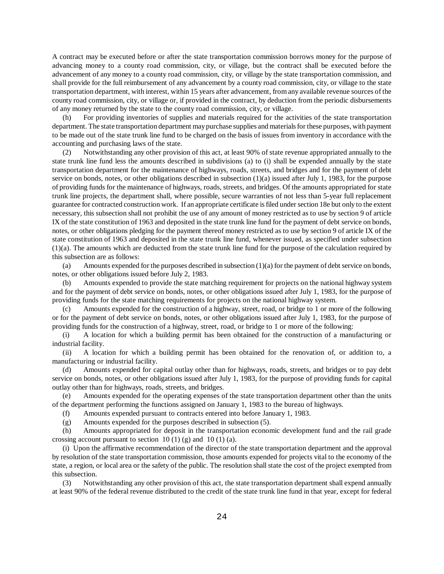A contract may be executed before or after the state transportation commission borrows money for the purpose of advancing money to a county road commission, city, or village, but the contract shall be executed before the advancement of any money to a county road commission, city, or village by the state transportation commission, and shall provide for the full reimbursement of any advancement by a county road commission, city, or village to the state transportation department, with interest, within 15 years after advancement, from any available revenue sources of the county road commission, city, or village or, if provided in the contract, by deduction from the periodic disbursements of any money returned by the state to the county road commission, city, or village.

(h) For providing inventories of supplies and materials required for the activities of the state transportation department. The state transportation department may purchase supplies and materials for these purposes, with payment to be made out of the state trunk line fund to be charged on the basis of issues from inventory in accordance with the accounting and purchasing laws of the state.

(2) Notwithstanding any other provision of this act, at least 90% of state revenue appropriated annually to the state trunk line fund less the amounts described in subdivisions (a) to (i) shall be expended annually by the state transportation department for the maintenance of highways, roads, streets, and bridges and for the payment of debt service on bonds, notes, or other obligations described in subsection  $(1)(a)$  issued after July 1, 1983, for the purpose of providing funds for the maintenance of highways, roads, streets, and bridges. Of the amounts appropriated for state trunk line projects, the department shall, where possible, secure warranties of not less than 5-year full replacement guarantee for contracted construction work. If an appropriate certificate is filed under section 18e but only to the extent necessary, this subsection shall not prohibit the use of any amount of money restricted as to use by section 9 of article IX of the state constitution of 1963 and deposited in the state trunk line fund for the payment of debt service on bonds, notes, or other obligations pledging for the payment thereof money restricted as to use by section 9 of article IX of the state constitution of 1963 and deposited in the state trunk line fund, whenever issued, as specified under subsection (1)(a). The amounts which are deducted from the state trunk line fund for the purpose of the calculation required by this subsection are as follows:

(a) Amounts expended for the purposes described in subsection (1)(a) for the payment of debt service on bonds, notes, or other obligations issued before July 2, 1983.

(b) Amounts expended to provide the state matching requirement for projects on the national highway system and for the payment of debt service on bonds, notes, or other obligations issued after July 1, 1983, for the purpose of providing funds for the state matching requirements for projects on the national highway system.

(c) Amounts expended for the construction of a highway, street, road, or bridge to 1 or more of the following or for the payment of debt service on bonds, notes, or other obligations issued after July 1, 1983, for the purpose of providing funds for the construction of a highway, street, road, or bridge to 1 or more of the following:

(i) A location for which a building permit has been obtained for the construction of a manufacturing or industrial facility.

(ii) A location for which a building permit has been obtained for the renovation of, or addition to, a manufacturing or industrial facility.

(d) Amounts expended for capital outlay other than for highways, roads, streets, and bridges or to pay debt service on bonds, notes, or other obligations issued after July 1, 1983, for the purpose of providing funds for capital outlay other than for highways, roads, streets, and bridges.

(e) Amounts expended for the operating expenses of the state transportation department other than the units of the department performing the functions assigned on January 1, 1983 to the bureau of highways.

(f) Amounts expended pursuant to contracts entered into before January 1, 1983.

(g) Amounts expended for the purposes described in subsection (5).

(h) Amounts appropriated for deposit in the transportation economic development fund and the rail grade crossing account pursuant to section  $10(1)(g)$  and  $10(1)(a)$ .

(i) Upon the affirmative recommendation of the director of the state transportation department and the approval by resolution of the state transportation commission, those amounts expended for projects vital to the economy of the state, a region, or local area or the safety of the public. The resolution shall state the cost of the project exempted from this subsection.

(3) Notwithstanding any other provision of this act, the state transportation department shall expend annually at least 90% of the federal revenue distributed to the credit of the state trunk line fund in that year, except for federal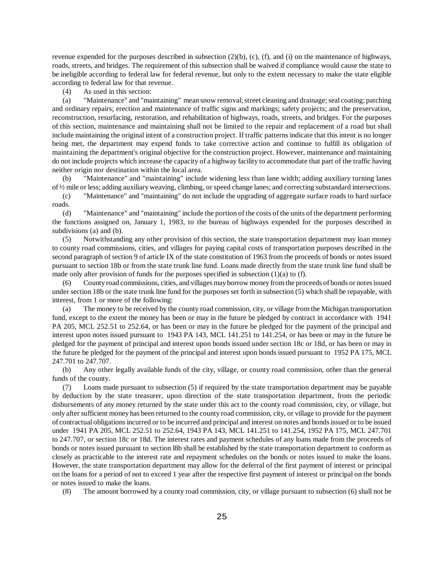revenue expended for the purposes described in subsection  $(2)(b)$ ,  $(c)$ ,  $(f)$ , and  $(i)$  on the maintenance of highways, roads, streets, and bridges. The requirement of this subsection shall be waived if compliance would cause the state to be ineligible according to federal law for federal revenue, but only to the extent necessary to make the state eligible according to federal law for that revenue.

(4) As used in this section:

(a) "Maintenance" and "maintaining" mean snow removal; street cleaning and drainage; seal coating; patching and ordinary repairs; erection and maintenance of traffic signs and markings; safety projects; and the preservation, reconstruction, resurfacing, restoration, and rehabilitation of highways, roads, streets, and bridges. For the purposes of this section, maintenance and maintaining shall not be limited to the repair and replacement of a road but shall include maintaining the original intent of a construction project. If traffic patterns indicate that this intent is no longer being met, the department may expend funds to take corrective action and continue to fulfill its obligation of maintaining the department's original objective for the construction project. However, maintenance and maintaining do not include projects which increase the capacity of a highway facility to accommodate that part of the traffic having neither origin nor destination within the local area.

(b) "Maintenance" and "maintaining" include widening less than lane width; adding auxiliary turning lanes of ½ mile or less; adding auxiliary weaving, climbing, or speed change lanes; and correcting substandard intersections.

(c) "Maintenance" and "maintaining" do not include the upgrading of aggregate surface roads to hard surface roads.

(d) "Maintenance" and "maintaining" include the portion of the costs of the units of the department performing the functions assigned on, January 1, 1983, to the bureau of highways expended for the purposes described in subdivisions (a) and (b).

(5) Notwithstanding any other provision of this section, the state transportation department may loan money to county road commissions, cities, and villages for paying capital costs of transportation purposes described in the second paragraph of section 9 of article IX of the state constitution of 1963 from the proceeds of bonds or notes issued pursuant to section 18b or from the state trunk line fund. Loans made directly from the state trunk line fund shall be made only after provision of funds for the purposes specified in subsection (1)(a) to (f).

(6) County road commissions, cities, and villages may borrow money from the proceeds of bonds or notes issued under section 18b or the state trunk line fund for the purposes set forth in subsection (5) which shall be repayable, with interest, from 1 or more of the following:

(a) The money to be received by the county road commission, city, or village from the Michigan transportation fund, except to the extent the money has been or may in the future be pledged by contract in accordance with 1941 PA 205, MCL 252.51 to 252.64, or has been or may in the future be pledged for the payment of the principal and interest upon notes issued pursuant to 1943 PA 143, MCL 141.251 to 141.254, or has been or may in the future be pledged for the payment of principal and interest upon bonds issued under section 18c or 18d, or has been or may in the future be pledged for the payment of the principal and interest upon bonds issued pursuant to 1952 PA 175, MCL 247.701 to 247.707.

(b) Any other legally available funds of the city, village, or county road commission, other than the general funds of the county.

(7) Loans made pursuant to subsection (5) if required by the state transportation department may be payable by deduction by the state treasurer, upon direction of the state transportation department, from the periodic disbursements of any money returned by the state under this act to the county road commission, city, or village, but only after sufficient money has been returned to the county road commission, city, or village to provide for the payment of contractual obligations incurred or to be incurred and principal and interest on notes and bonds issued or to be issued under 1941 PA 205, MCL 252.51 to 252.64, 1943 PA 143, MCL 141.251 to 141.254, 1952 PA 175, MCL 247.701 to 247.707, or section 18c or 18d. The interest rates and payment schedules of any loans made from the proceeds of bonds or notes issued pursuant to section l8b shall be established by the state transportation department to conform as closely as practicable to the interest rate and repayment schedules on the bonds or notes issued to make the loans. However, the state transportation department may allow for the deferral of the first payment of interest or principal on the loans for a period of not to exceed 1 year after the respective first payment of interest or principal on the bonds or notes issued to make the loans.

(8) The amount borrowed by a county road commission, city, or village pursuant to subsection (6) shall not be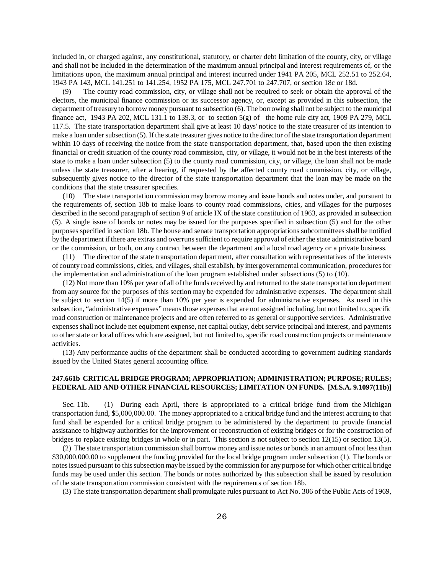included in, or charged against, any constitutional, statutory, or charter debt limitation of the county, city, or village and shall not be included in the determination of the maximum annual principal and interest requirements of, or the limitations upon, the maximum annual principal and interest incurred under 1941 PA 205, MCL 252.51 to 252.64, 1943 PA 143, MCL 141.251 to 141.254, 1952 PA 175, MCL 247.701 to 247.707, or section 18c or 18d.

(9) The county road commission, city, or village shall not be required to seek or obtain the approval of the electors, the municipal finance commission or its successor agency, or, except as provided in this subsection, the department of treasury to borrow money pursuant to subsection (6). The borrowing shall not be subject to the municipal finance act, 1943 PA 202, MCL 131.1 to 139.3, or to section  $5(g)$  of the home rule city act, 1909 PA 279, MCL 117.5. The state transportation department shall give at least 10 days' notice to the state treasurer of its intention to make a loan under subsection (5). If the state treasurer gives notice to the director of the state transportation department within 10 days of receiving the notice from the state transportation department, that, based upon the then existing financial or credit situation of the county road commission, city, or village, it would not be in the best interests of the state to make a loan under subsection (5) to the county road commission, city, or village, the loan shall not be made unless the state treasurer, after a hearing, if requested by the affected county road commission, city, or village, subsequently gives notice to the director of the state transportation department that the loan may be made on the conditions that the state treasurer specifies.

(10) The state transportation commission may borrow money and issue bonds and notes under, and pursuant to the requirements of, section 18b to make loans to county road commissions, cities, and villages for the purposes described in the second paragraph of section 9 of article IX of the state constitution of 1963, as provided in subsection (5). A single issue of bonds or notes may be issued for the purposes specified in subsection (5) and for the other purposes specified in section 18b. The house and senate transportation appropriations subcommittees shall be notified by the department if there are extras and overruns sufficient to require approval of either the state administrative board or the commission, or both, on any contract between the department and a local road agency or a private business.

(11) The director of the state transportation department, after consultation with representatives of the interests of county road commissions, cities, and villages, shall establish, by intergovernmental communication, procedures for the implementation and administration of the loan program established under subsections (5) to (10).

(12) Not more than 10% per year of all of the funds received by and returned to the state transportation department from any source for the purposes of this section may be expended for administrative expenses. The department shall be subject to section 14(5) if more than 10% per year is expended for administrative expenses. As used in this subsection, "administrative expenses" means those expenses that are not assigned including, but not limited to, specific road construction or maintenance projects and are often referred to as general or supportive services. Administrative expenses shall not include net equipment expense, net capital outlay, debt service principal and interest, and payments to other state or local offices which are assigned, but not limited to, specific road construction projects or maintenance activities.

(13) Any performance audits of the department shall be conducted according to government auditing standards issued by the United States general accounting office.

#### **247.661b CRITICAL BRIDGE PROGRAM; APPROPRIATION; ADMINISTRATION; PURPOSE; RULES; FEDERAL AID AND OTHER FINANCIAL RESOURCES; LIMITATION ON FUNDS. [M.S.A. 9.1097(11b)]**

Sec. 11b. (1) During each April, there is appropriated to a critical bridge fund from the Michigan transportation fund, \$5,000,000.00. The money appropriated to a critical bridge fund and the interest accruing to that fund shall be expended for a critical bridge program to be administered by the department to provide financial assistance to highway authorities for the improvement or reconstruction of existing bridges or for the construction of bridges to replace existing bridges in whole or in part. This section is not subject to section 12(15) or section 13(5).

(2) The state transportation commission shall borrow money and issue notes or bonds in an amount of not less than \$30,000,000.00 to supplement the funding provided for the local bridge program under subsection (1). The bonds or notes issued pursuant to this subsection may be issued by the commission for any purpose for which other critical bridge funds may be used under this section. The bonds or notes authorized by this subsection shall be issued by resolution of the state transportation commission consistent with the requirements of section 18b.

(3) The state transportation department shall promulgate rules pursuant to Act No. 306 of the Public Acts of 1969,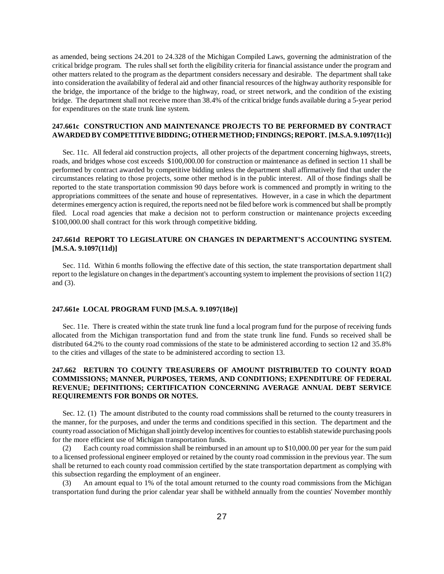as amended, being sections 24.201 to 24.328 of the Michigan Compiled Laws, governing the administration of the critical bridge program. The rules shall set forth the eligibility criteria for financial assistance under the program and other matters related to the program as the department considers necessary and desirable. The department shall take into consideration the availability of federal aid and other financial resources of the highway authority responsible for the bridge, the importance of the bridge to the highway, road, or street network, and the condition of the existing bridge. The department shall not receive more than 38.4% of the critical bridge funds available during a 5-year period for expenditures on the state trunk line system.

#### **247.661c CONSTRUCTION AND MAINTENANCE PROJECTS TO BE PERFORMED BY CONTRACT AWARDED BY COMPETITIVE BIDDING; OTHER METHOD; FINDINGS; REPORT. [M.S.A. 9.1097(11c)]**

Sec. 11c. All federal aid construction projects, all other projects of the department concerning highways, streets, roads, and bridges whose cost exceeds \$100,000.00 for construction or maintenance as defined in section 11 shall be performed by contract awarded by competitive bidding unless the department shall affirmatively find that under the circumstances relating to those projects, some other method is in the public interest. All of those findings shall be reported to the state transportation commission 90 days before work is commenced and promptly in writing to the appropriations committees of the senate and house of representatives. However, in a case in which the department determines emergency action is required, the reports need not be filed before work is commenced but shall be promptly filed. Local road agencies that make a decision not to perform construction or maintenance projects exceeding \$100,000.00 shall contract for this work through competitive bidding.

# **247.661d REPORT TO LEGISLATURE ON CHANGES IN DEPARTMENT'S ACCOUNTING SYSTEM. [M.S.A. 9.1097(11d)]**

Sec. 11d. Within 6 months following the effective date of this section, the state transportation department shall report to the legislature on changes in the department's accounting system to implement the provisions of section 11(2) and (3).

#### **247.661e LOCAL PROGRAM FUND [M.S.A. 9.1097(18e)]**

Sec. 11e. There is created within the state trunk line fund a local program fund for the purpose of receiving funds allocated from the Michigan transportation fund and from the state trunk line fund. Funds so received shall be distributed 64.2% to the county road commissions of the state to be administered according to section 12 and 35.8% to the cities and villages of the state to be administered according to section 13.

# **247.662 RETURN TO COUNTY TREASURERS OF AMOUNT DISTRIBUTED TO COUNTY ROAD COMMISSIONS; MANNER, PURPOSES, TERMS, AND CONDITIONS; EXPENDITURE OF FEDERAL REVENUE; DEFINITIONS; CERTIFICATION CONCERNING AVERAGE ANNUAL DEBT SERVICE REQUIREMENTS FOR BONDS OR NOTES.**

Sec. 12. (1) The amount distributed to the county road commissions shall be returned to the county treasurers in the manner, for the purposes, and under the terms and conditions specified in this section. The department and the county road association of Michigan shall jointly develop incentives for counties to establish statewide purchasing pools for the more efficient use of Michigan transportation funds.

(2) Each county road commission shall be reimbursed in an amount up to \$10,000.00 per year for the sum paid to a licensed professional engineer employed or retained by the county road commission in the previous year. The sum shall be returned to each county road commission certified by the state transportation department as complying with this subsection regarding the employment of an engineer.

(3) An amount equal to 1% of the total amount returned to the county road commissions from the Michigan transportation fund during the prior calendar year shall be withheld annually from the counties' November monthly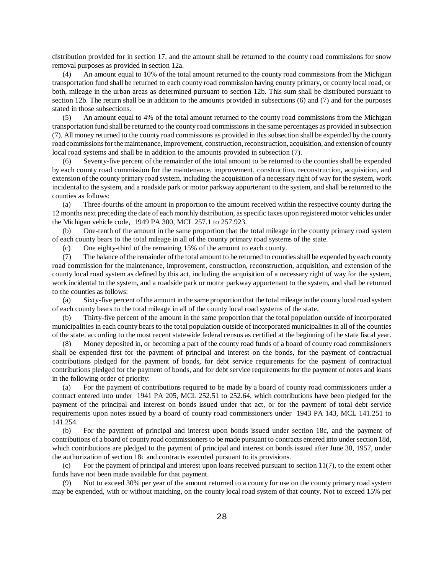distribution provided for in section 17, and the amount shall be returned to the county road commissions for snow removal purposes as provided in section 12a.

(4) An amount equal to 10% of the total amount returned to the county road commissions from the Michigan transportation fund shall be returned to each county road commission having county primary, or county local road, or both, mileage in the urban areas as determined pursuant to section 12b. This sum shall be distributed pursuant to section 12b. The return shall be in addition to the amounts provided in subsections (6) and (7) and for the purposes stated in those subsections.

(5) An amount equal to 4% of the total amount returned to the county road commissions from the Michigan transportation fund shall be returned to the county road commissions in the same percentages as provided in subsection (7). All money returned to the county road commissions as provided in this subsection shall be expended by the county road commissions for the maintenance, improvement, construction, reconstruction, acquisition, and extension of county local road systems and shall be in addition to the amounts provided in subsection (7).

(6) Seventy-five percent of the remainder of the total amount to be returned to the counties shall be expended by each county road commission for the maintenance, improvement, construction, reconstruction, acquisition, and extension of the county primary road system, including the acquisition of a necessary right of way for the system, work incidental to the system, and a roadside park or motor parkway appurtenant to the system, and shall be returned to the counties as follows:

(a) Three-fourths of the amount in proportion to the amount received within the respective county during the 12 months next preceding the date of each monthly distribution, as specific taxes upon registered motor vehicles under the Michigan vehicle code, 1949 PA 300, MCL 257.1 to 257.923.

(b) One-tenth of the amount in the same proportion that the total mileage in the county primary road system of each county bears to the total mileage in all of the county primary road systems of the state.

(c) One eighty-third of the remaining 15% of the amount to each county.

(7) The balance of the remainder of the total amount to be returned to counties shall be expended by each county road commission for the maintenance, improvement, construction, reconstruction, acquisition, and extension of the county local road system as defined by this act, including the acquisition of a necessary right of way for the system, work incidental to the system, and a roadside park or motor parkway appurtenant to the system, and shall be returned to the counties as follows:

(a) Sixty-five percent of the amount in the same proportion that the total mileage in the county local road system of each county bears to the total mileage in all of the county local road systems of the state.

(b) Thirty-five percent of the amount in the same proportion that the total population outside of incorporated municipalities in each county bears to the total population outside of incorporated municipalities in all of the counties of the state, according to the most recent statewide federal census as certified at the beginning of the state fiscal year.

(8) Money deposited in, or becoming a part of the county road funds of a board of county road commissioners shall be expended first for the payment of principal and interest on the bonds, for the payment of contractual contributions pledged for the payment of bonds, for debt service requirements for the payment of contractual contributions pledged for the payment of bonds, and for debt service requirements for the payment of notes and loans in the following order of priority:

(a) For the payment of contributions required to be made by a board of county road commissioners under a contract entered into under 1941 PA 205, MCL 252.51 to 252.64, which contributions have been pledged for the payment of the principal and interest on bonds issued under that act, or for the payment of total debt service requirements upon notes issued by a board of county road commissioners under 1943 PA 143, MCL 141.251 to 141.254.

(b) For the payment of principal and interest upon bonds issued under section 18c, and the payment of contributions of a board of county road commissioners to be made pursuant to contracts entered into under section 18d, which contributions are pledged to the payment of principal and interest on bonds issued after June 30, 1957, under the authorization of section 18c and contracts executed pursuant to its provisions.

(c) For the payment of principal and interest upon loans received pursuant to section  $11(7)$ , to the extent other funds have not been made available for that payment.

(9) Not to exceed 30% per year of the amount returned to a county for use on the county primary road system may be expended, with or without matching, on the county local road system of that county. Not to exceed 15% per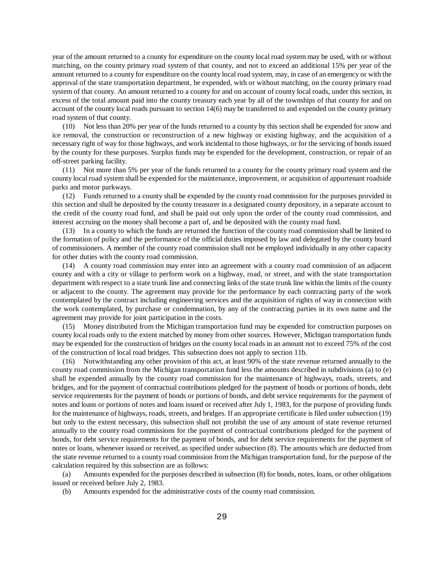year of the amount returned to a county for expenditure on the county local road system may be used, with or without matching, on the county primary road system of that county, and not to exceed an additional 15% per year of the amount returned to a county for expenditure on the county local road system, may, in case of an emergency or with the approval of the state transportation department, be expended, with or without matching, on the county primary road system of that county. An amount returned to a county for and on account of county local roads, under this section, in excess of the total amount paid into the county treasury each year by all of the townships of that county for and on account of the county local roads pursuant to section 14(6) may be transferred to and expended on the county primary road system of that county.

(10) Not less than 20% per year of the funds returned to a county by this section shall be expended for snow and ice removal, the construction or reconstruction of a new highway or existing highway, and the acquisition of a necessary right of way for those highways, and work incidental to those highways, or for the servicing of bonds issued by the county for these purposes. Surplus funds may be expended for the development, construction, or repair of an off-street parking facility.

(11) Not more than 5% per year of the funds returned to a county for the county primary road system and the county local road system shall be expended for the maintenance, improvement, or acquisition of appurtenant roadside parks and motor parkways.

(12) Funds returned to a county shall be expended by the county road commission for the purposes provided in this section and shall be deposited by the county treasurer in a designated county depository, in a separate account to the credit of the county road fund, and shall be paid out only upon the order of the county road commission, and interest accruing on the money shall become a part of, and be deposited with the county road fund.

(13) In a county to which the funds are returned the function of the county road commission shall be limited to the formation of policy and the performance of the official duties imposed by law and delegated by the county board of commissioners. A member of the county road commission shall not be employed individually in any other capacity for other duties with the county road commission.

(14) A county road commission may enter into an agreement with a county road commission of an adjacent county and with a city or village to perform work on a highway, road, or street, and with the state transportation department with respect to a state trunk line and connecting links of the state trunk line within the limits of the county or adjacent to the county. The agreement may provide for the performance by each contracting party of the work contemplated by the contract including engineering services and the acquisition of rights of way in connection with the work contemplated, by purchase or condemnation, by any of the contracting parties in its own name and the agreement may provide for joint participation in the costs.

(15) Money distributed from the Michigan transportation fund may be expended for construction purposes on county local roads only to the extent matched by money from other sources. However, Michigan transportation funds may be expended for the construction of bridges on the county local roads in an amount not to exceed 75% of the cost of the construction of local road bridges. This subsection does not apply to section 11b.

Notwithstanding any other provision of this act, at least 90% of the state revenue returned annually to the county road commission from the Michigan transportation fund less the amounts described in subdivisions (a) to (e) shall be expended annually by the county road commission for the maintenance of highways, roads, streets, and bridges, and for the payment of contractual contributions pledged for the payment of bonds or portions of bonds, debt service requirements for the payment of bonds or portions of bonds, and debt service requirements for the payment of notes and loans or portions of notes and loans issued or received after July 1, 1983, for the purpose of providing funds for the maintenance of highways, roads, streets, and bridges. If an appropriate certificate is filed under subsection (19) but only to the extent necessary, this subsection shall not prohibit the use of any amount of state revenue returned annually to the county road commissions for the payment of contractual contributions pledged for the payment of bonds, for debt service requirements for the payment of bonds, and for debt service requirements for the payment of notes or loans, whenever issued or received, as specified under subsection (8). The amounts which are deducted from the state revenue returned to a county road commission from the Michigan transportation fund, for the purpose of the calculation required by this subsection are as follows:

(a) Amounts expended for the purposes described in subsection (8) for bonds, notes, loans, or other obligations issued or received before July 2, 1983.

(b) Amounts expended for the administrative costs of the county road commission.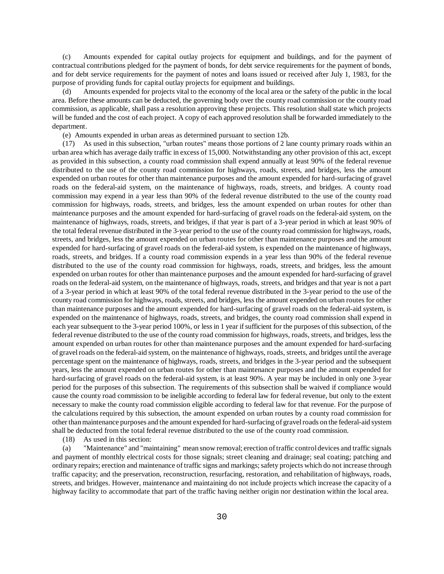(c) Amounts expended for capital outlay projects for equipment and buildings, and for the payment of contractual contributions pledged for the payment of bonds, for debt service requirements for the payment of bonds, and for debt service requirements for the payment of notes and loans issued or received after July 1, 1983, for the purpose of providing funds for capital outlay projects for equipment and buildings.

(d) Amounts expended for projects vital to the economy of the local area or the safety of the public in the local area. Before these amounts can be deducted, the governing body over the county road commission or the county road commission, as applicable, shall pass a resolution approving these projects. This resolution shall state which projects will be funded and the cost of each project. A copy of each approved resolution shall be forwarded immediately to the department.

(e) Amounts expended in urban areas as determined pursuant to section 12b.

(17) As used in this subsection, "urban routes" means those portions of 2 lane county primary roads within an urban area which has average daily traffic in excess of 15,000. Notwithstanding any other provision of this act, except as provided in this subsection, a county road commission shall expend annually at least 90% of the federal revenue distributed to the use of the county road commission for highways, roads, streets, and bridges, less the amount expended on urban routes for other than maintenance purposes and the amount expended for hard-surfacing of gravel roads on the federal-aid system, on the maintenance of highways, roads, streets, and bridges. A county road commission may expend in a year less than 90% of the federal revenue distributed to the use of the county road commission for highways, roads, streets, and bridges, less the amount expended on urban routes for other than maintenance purposes and the amount expended for hard-surfacing of gravel roads on the federal-aid system, on the maintenance of highways, roads, streets, and bridges, if that year is part of a 3-year period in which at least 90% of the total federal revenue distributed in the 3-year period to the use of the county road commission for highways, roads, streets, and bridges, less the amount expended on urban routes for other than maintenance purposes and the amount expended for hard-surfacing of gravel roads on the federal-aid system, is expended on the maintenance of highways, roads, streets, and bridges. If a county road commission expends in a year less than 90% of the federal revenue distributed to the use of the county road commission for highways, roads, streets, and bridges, less the amount expended on urban routes for other than maintenance purposes and the amount expended for hard-surfacing of gravel roads on the federal-aid system, on the maintenance of highways, roads, streets, and bridges and that year is not a part of a 3-year period in which at least 90% of the total federal revenue distributed in the 3-year period to the use of the county road commission for highways, roads, streets, and bridges, less the amount expended on urban routes for other than maintenance purposes and the amount expended for hard-surfacing of gravel roads on the federal-aid system, is expended on the maintenance of highways, roads, streets, and bridges, the county road commission shall expend in each year subsequent to the 3-year period 100%, or less in 1 year if sufficient for the purposes of this subsection, of the federal revenue distributed to the use of the county road commission for highways, roads, streets, and bridges, less the amount expended on urban routes for other than maintenance purposes and the amount expended for hard-surfacing of gravel roads on the federal-aid system, on the maintenance of highways, roads, streets, and bridges until the average percentage spent on the maintenance of highways, roads, streets, and bridges in the 3-year period and the subsequent years, less the amount expended on urban routes for other than maintenance purposes and the amount expended for hard-surfacing of gravel roads on the federal-aid system, is at least 90%. A year may be included in only one 3-year period for the purposes of this subsection. The requirements of this subsection shall be waived if compliance would cause the county road commission to be ineligible according to federal law for federal revenue, but only to the extent necessary to make the county road commission eligible according to federal law for that revenue. For the purpose of the calculations required by this subsection, the amount expended on urban routes by a county road commission for other than maintenance purposes and the amount expended for hard-surfacing of gravel roads on the federal-aid system shall be deducted from the total federal revenue distributed to the use of the county road commission.

(18) As used in this section:

(a) "Maintenance" and "maintaining" mean snow removal; erection of traffic control devices and traffic signals and payment of monthly electrical costs for those signals; street cleaning and drainage; seal coating; patching and ordinary repairs; erection and maintenance of traffic signs and markings; safety projects which do not increase through traffic capacity; and the preservation, reconstruction, resurfacing, restoration, and rehabilitation of highways, roads, streets, and bridges. However, maintenance and maintaining do not include projects which increase the capacity of a highway facility to accommodate that part of the traffic having neither origin nor destination within the local area.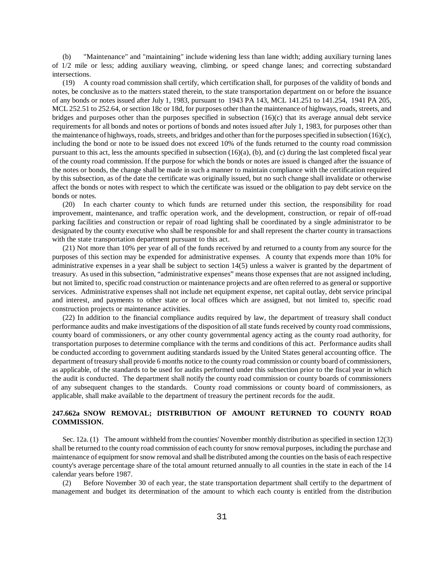(b) "Maintenance" and "maintaining" include widening less than lane width; adding auxiliary turning lanes of 1/2 mile or less; adding auxiliary weaving, climbing, or speed change lanes; and correcting substandard intersections.

(19) A county road commission shall certify, which certification shall, for purposes of the validity of bonds and notes, be conclusive as to the matters stated therein, to the state transportation department on or before the issuance of any bonds or notes issued after July 1, 1983, pursuant to 1943 PA 143, MCL 141.251 to 141.254, 1941 PA 205, MCL 252.51 to 252.64, or section 18c or 18d, for purposes other than the maintenance of highways, roads, streets, and bridges and purposes other than the purposes specified in subsection (16)(c) that its average annual debt service requirements for all bonds and notes or portions of bonds and notes issued after July 1, 1983, for purposes other than the maintenance of highways, roads, streets, and bridges and other than for the purposes specified in subsection (16)(c), including the bond or note to be issued does not exceed 10% of the funds returned to the county road commission pursuant to this act, less the amounts specified in subsection  $(16)(a)$ ,  $(b)$ , and  $(c)$  during the last completed fiscal year of the county road commission. If the purpose for which the bonds or notes are issued is changed after the issuance of the notes or bonds, the change shall be made in such a manner to maintain compliance with the certification required by this subsection, as of the date the certificate was originally issued, but no such change shall invalidate or otherwise affect the bonds or notes with respect to which the certificate was issued or the obligation to pay debt service on the bonds or notes.

(20) In each charter county to which funds are returned under this section, the responsibility for road improvement, maintenance, and traffic operation work, and the development, construction, or repair of off-road parking facilities and construction or repair of road lighting shall be coordinated by a single administrator to be designated by the county executive who shall be responsible for and shall represent the charter county in transactions with the state transportation department pursuant to this act.

(21) Not more than 10% per year of all of the funds received by and returned to a county from any source for the purposes of this section may be expended for administrative expenses. A county that expends more than 10% for administrative expenses in a year shall be subject to section 14(5) unless a waiver is granted by the department of treasury. As used in this subsection, "administrative expenses" means those expenses that are not assigned including, but not limited to, specific road construction or maintenance projects and are often referred to as general or supportive services. Administrative expenses shall not include net equipment expense, net capital outlay, debt service principal and interest, and payments to other state or local offices which are assigned, but not limited to, specific road construction projects or maintenance activities.

(22) In addition to the financial compliance audits required by law, the department of treasury shall conduct performance audits and make investigations of the disposition of all state funds received by county road commissions, county board of commissioners, or any other county governmental agency acting as the county road authority, for transportation purposes to determine compliance with the terms and conditions of this act. Performance audits shall be conducted according to government auditing standards issued by the United States general accounting office. The department of treasury shall provide 6 months notice to the county road commission or county board of commissioners, as applicable, of the standards to be used for audits performed under this subsection prior to the fiscal year in which the audit is conducted. The department shall notify the county road commission or county boards of commissioners of any subsequent changes to the standards. County road commissions or county board of commissioners, as applicable, shall make available to the department of treasury the pertinent records for the audit.

#### **247.662a SNOW REMOVAL; DISTRIBUTION OF AMOUNT RETURNED TO COUNTY ROAD COMMISSION.**

Sec. 12a. (1) The amount withheld from the counties' November monthly distribution as specified in section 12(3) shall be returned to the county road commission of each county for snow removal purposes, including the purchase and maintenance of equipment for snow removal and shall be distributed among the counties on the basis of each respective county's average percentage share of the total amount returned annually to all counties in the state in each of the 14 calendar years before 1987.

(2) Before November 30 of each year, the state transportation department shall certify to the department of management and budget its determination of the amount to which each county is entitled from the distribution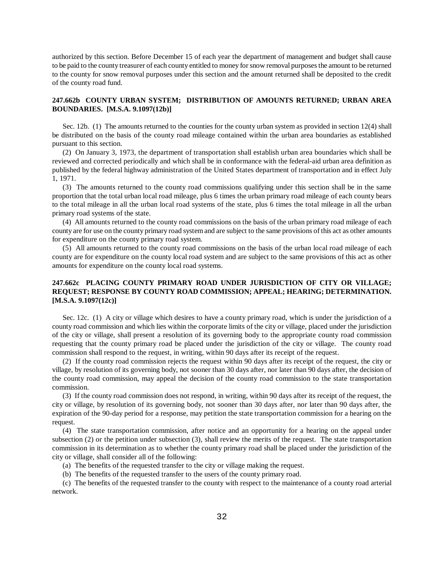authorized by this section. Before December 15 of each year the department of management and budget shall cause to be paid to the county treasurer of each county entitled to money for snow removal purposes the amount to be returned to the county for snow removal purposes under this section and the amount returned shall be deposited to the credit of the county road fund.

# **247.662b COUNTY URBAN SYSTEM; DISTRIBUTION OF AMOUNTS RETURNED; URBAN AREA BOUNDARIES. [M.S.A. 9.1097(12b)]**

Sec. 12b. (1) The amounts returned to the counties for the county urban system as provided in section 12(4) shall be distributed on the basis of the county road mileage contained within the urban area boundaries as established pursuant to this section.

(2) On January 3, 1973, the department of transportation shall establish urban area boundaries which shall be reviewed and corrected periodically and which shall be in conformance with the federal-aid urban area definition as published by the federal highway administration of the United States department of transportation and in effect July 1, 1971.

(3) The amounts returned to the county road commissions qualifying under this section shall be in the same proportion that the total urban local road mileage, plus 6 times the urban primary road mileage of each county bears to the total mileage in all the urban local road systems of the state, plus 6 times the total mileage in all the urban primary road systems of the state.

(4) All amounts returned to the county road commissions on the basis of the urban primary road mileage of each county are for use on the county primary road system and are subject to the same provisions of this act as other amounts for expenditure on the county primary road system.

(5) All amounts returned to the county road commissions on the basis of the urban local road mileage of each county are for expenditure on the county local road system and are subject to the same provisions of this act as other amounts for expenditure on the county local road systems.

# **247.662c PLACING COUNTY PRIMARY ROAD UNDER JURISDICTION OF CITY OR VILLAGE; REQUEST; RESPONSE BY COUNTY ROAD COMMISSION; APPEAL; HEARING; DETERMINATION. [M.S.A. 9.1097(12c)]**

Sec. 12c. (1) A city or village which desires to have a county primary road, which is under the jurisdiction of a county road commission and which lies within the corporate limits of the city or village, placed under the jurisdiction of the city or village, shall present a resolution of its governing body to the appropriate county road commission requesting that the county primary road be placed under the jurisdiction of the city or village. The county road commission shall respond to the request, in writing, within 90 days after its receipt of the request.

(2) If the county road commission rejects the request within 90 days after its receipt of the request, the city or village, by resolution of its governing body, not sooner than 30 days after, nor later than 90 days after, the decision of the county road commission, may appeal the decision of the county road commission to the state transportation commission.

(3) If the county road commission does not respond, in writing, within 90 days after its receipt of the request, the city or village, by resolution of its governing body, not sooner than 30 days after, nor later than 90 days after, the expiration of the 90-day period for a response, may petition the state transportation commission for a hearing on the request.

(4) The state transportation commission, after notice and an opportunity for a hearing on the appeal under subsection (2) or the petition under subsection (3), shall review the merits of the request. The state transportation commission in its determination as to whether the county primary road shall be placed under the jurisdiction of the city or village, shall consider all of the following:

- (a) The benefits of the requested transfer to the city or village making the request.
- (b) The benefits of the requested transfer to the users of the county primary road.

(c) The benefits of the requested transfer to the county with respect to the maintenance of a county road arterial network.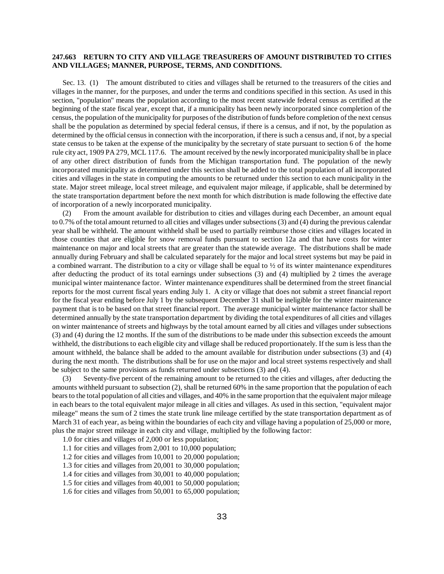#### **247.663 RETURN TO CITY AND VILLAGE TREASURERS OF AMOUNT DISTRIBUTED TO CITIES AND VILLAGES; MANNER, PURPOSE, TERMS, AND CONDITIONS.**

Sec. 13. (1) The amount distributed to cities and villages shall be returned to the treasurers of the cities and villages in the manner, for the purposes, and under the terms and conditions specified in this section. As used in this section, "population" means the population according to the most recent statewide federal census as certified at the beginning of the state fiscal year, except that, if a municipality has been newly incorporated since completion of the census, the population of the municipality for purposes of the distribution of funds before completion of the next census shall be the population as determined by special federal census, if there is a census, and if not, by the population as determined by the official census in connection with the incorporation, if there is such a census and, if not, by a special state census to be taken at the expense of the municipality by the secretary of state pursuant to section 6 of the home rule city act, 1909 PA 279, MCL 117.6. The amount received by the newly incorporated municipality shall be in place of any other direct distribution of funds from the Michigan transportation fund. The population of the newly incorporated municipality as determined under this section shall be added to the total population of all incorporated cities and villages in the state in computing the amounts to be returned under this section to each municipality in the state. Major street mileage, local street mileage, and equivalent major mileage, if applicable, shall be determined by the state transportation department before the next month for which distribution is made following the effective date of incorporation of a newly incorporated municipality.

(2) From the amount available for distribution to cities and villages during each December, an amount equal to 0.7% of the total amount returned to all cities and villages under subsections (3) and (4) during the previous calendar year shall be withheld. The amount withheld shall be used to partially reimburse those cities and villages located in those counties that are eligible for snow removal funds pursuant to section 12a and that have costs for winter maintenance on major and local streets that are greater than the statewide average. The distributions shall be made annually during February and shall be calculated separately for the major and local street systems but may be paid in a combined warrant. The distribution to a city or village shall be equal to  $\frac{1}{2}$  of its winter maintenance expenditures after deducting the product of its total earnings under subsections (3) and (4) multiplied by 2 times the average municipal winter maintenance factor. Winter maintenance expenditures shall be determined from the street financial reports for the most current fiscal years ending July 1. A city or village that does not submit a street financial report for the fiscal year ending before July 1 by the subsequent December 31 shall be ineligible for the winter maintenance payment that is to be based on that street financial report. The average municipal winter maintenance factor shall be determined annually by the state transportation department by dividing the total expenditures of all cities and villages on winter maintenance of streets and highways by the total amount earned by all cities and villages under subsections (3) and (4) during the 12 months. If the sum of the distributions to be made under this subsection exceeds the amount withheld, the distributions to each eligible city and village shall be reduced proportionately. If the sum is less than the amount withheld, the balance shall be added to the amount available for distribution under subsections (3) and (4) during the next month. The distributions shall be for use on the major and local street systems respectively and shall be subject to the same provisions as funds returned under subsections (3) and (4).

(3) Seventy-five percent of the remaining amount to be returned to the cities and villages, after deducting the amounts withheld pursuant to subsection (2), shall be returned 60% in the same proportion that the population of each bears to the total population of all cities and villages, and 40% in the same proportion that the equivalent major mileage in each bears to the total equivalent major mileage in all cities and villages. As used in this section, "equivalent major mileage" means the sum of 2 times the state trunk line mileage certified by the state transportation department as of March 31 of each year, as being within the boundaries of each city and village having a population of 25,000 or more, plus the major street mileage in each city and village, multiplied by the following factor:

- 1.0 for cities and villages of 2,000 or less population;
- 1.1 for cities and villages from 2,001 to 10,000 population;
- 1.2 for cities and villages from 10,001 to 20,000 population;
- 1.3 for cities and villages from 20,001 to 30,000 population;
- 1.4 for cities and villages from 30,001 to 40,000 population;
- 1.5 for cities and villages from 40,001 to 50,000 population;
- 1.6 for cities and villages from 50,001 to 65,000 population;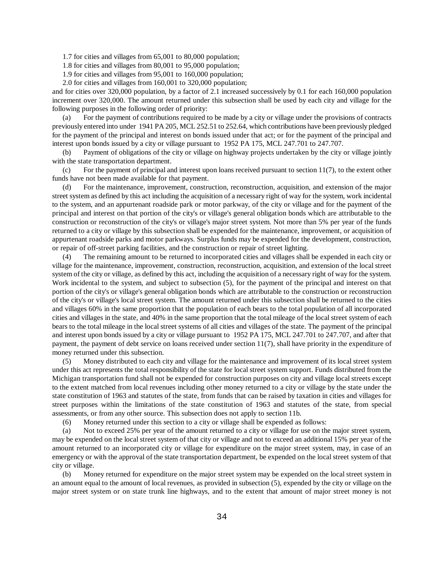1.7 for cities and villages from 65,001 to 80,000 population;

1.8 for cities and villages from 80,001 to 95,000 population;

1.9 for cities and villages from 95,001 to 160,000 population;

2.0 for cities and villages from 160,001 to 320,000 population;

and for cities over 320,000 population, by a factor of 2.1 increased successively by 0.1 for each 160,000 population increment over 320,000. The amount returned under this subsection shall be used by each city and village for the following purposes in the following order of priority:

(a) For the payment of contributions required to be made by a city or village under the provisions of contracts previously entered into under 1941 PA 205, MCL 252.51 to 252.64, which contributions have been previously pledged for the payment of the principal and interest on bonds issued under that act; or for the payment of the principal and interest upon bonds issued by a city or village pursuant to 1952 PA 175, MCL 247.701 to 247.707.

(b) Payment of obligations of the city or village on highway projects undertaken by the city or village jointly with the state transportation department.

(c) For the payment of principal and interest upon loans received pursuant to section  $11(7)$ , to the extent other funds have not been made available for that payment.

(d) For the maintenance, improvement, construction, reconstruction, acquisition, and extension of the major street system as defined by this act including the acquisition of a necessary right of way for the system, work incidental to the system, and an appurtenant roadside park or motor parkway, of the city or village and for the payment of the principal and interest on that portion of the city's or village's general obligation bonds which are attributable to the construction or reconstruction of the city's or village's major street system. Not more than 5% per year of the funds returned to a city or village by this subsection shall be expended for the maintenance, improvement, or acquisition of appurtenant roadside parks and motor parkways. Surplus funds may be expended for the development, construction, or repair of off-street parking facilities, and the construction or repair of street lighting.

(4) The remaining amount to be returned to incorporated cities and villages shall be expended in each city or village for the maintenance, improvement, construction, reconstruction, acquisition, and extension of the local street system of the city or village, as defined by this act, including the acquisition of a necessary right of way for the system. Work incidental to the system, and subject to subsection (5), for the payment of the principal and interest on that portion of the city's or village's general obligation bonds which are attributable to the construction or reconstruction of the city's or village's local street system. The amount returned under this subsection shall be returned to the cities and villages 60% in the same proportion that the population of each bears to the total population of all incorporated cities and villages in the state, and 40% in the same proportion that the total mileage of the local street system of each bears to the total mileage in the local street systems of all cities and villages of the state. The payment of the principal and interest upon bonds issued by a city or village pursuant to 1952 PA 175, MCL 247.701 to 247.707, and after that payment, the payment of debt service on loans received under section 11(7), shall have priority in the expenditure of money returned under this subsection.

(5) Money distributed to each city and village for the maintenance and improvement of its local street system under this act represents the total responsibility of the state for local street system support. Funds distributed from the Michigan transportation fund shall not be expended for construction purposes on city and village local streets except to the extent matched from local revenues including other money returned to a city or village by the state under the state constitution of 1963 and statutes of the state, from funds that can be raised by taxation in cities and villages for street purposes within the limitations of the state constitution of 1963 and statutes of the state, from special assessments, or from any other source. This subsection does not apply to section 11b.

(6) Money returned under this section to a city or village shall be expended as follows:

(a) Not to exceed 25% per year of the amount returned to a city or village for use on the major street system, may be expended on the local street system of that city or village and not to exceed an additional 15% per year of the amount returned to an incorporated city or village for expenditure on the major street system, may, in case of an emergency or with the approval of the state transportation department, be expended on the local street system of that city or village.

(b) Money returned for expenditure on the major street system may be expended on the local street system in an amount equal to the amount of local revenues, as provided in subsection (5), expended by the city or village on the major street system or on state trunk line highways, and to the extent that amount of major street money is not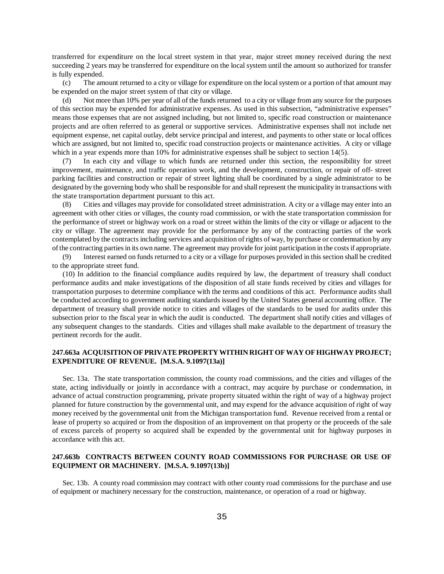transferred for expenditure on the local street system in that year, major street money received during the next succeeding 2 years may be transferred for expenditure on the local system until the amount so authorized for transfer is fully expended.

(c) The amount returned to a city or village for expenditure on the local system or a portion of that amount may be expended on the major street system of that city or village.

(d) Not more than 10% per year of all of the funds returned to a city or village from any source for the purposes of this section may be expended for administrative expenses. As used in this subsection, "administrative expenses" means those expenses that are not assigned including, but not limited to, specific road construction or maintenance projects and are often referred to as general or supportive services. Administrative expenses shall not include net equipment expense, net capital outlay, debt service principal and interest, and payments to other state or local offices which are assigned, but not limited to, specific road construction projects or maintenance activities. A city or village which in a year expends more than 10% for administrative expenses shall be subject to section 14(5).

(7) In each city and village to which funds are returned under this section, the responsibility for street improvement, maintenance, and traffic operation work, and the development, construction, or repair of off- street parking facilities and construction or repair of street lighting shall be coordinated by a single administrator to be designated by the governing body who shall be responsible for and shall represent the municipality in transactions with the state transportation department pursuant to this act.

(8) Cities and villages may provide for consolidated street administration. A city or a village may enter into an agreement with other cities or villages, the county road commission, or with the state transportation commission for the performance of street or highway work on a road or street within the limits of the city or village or adjacent to the city or village. The agreement may provide for the performance by any of the contracting parties of the work contemplated by the contracts including services and acquisition of rights of way, by purchase or condemnation by any of the contracting parties in its own name. The agreement may provide for joint participation in the costs if appropriate.

(9) Interest earned on funds returned to a city or a village for purposes provided in this section shall be credited to the appropriate street fund.

(10) In addition to the financial compliance audits required by law, the department of treasury shall conduct performance audits and make investigations of the disposition of all state funds received by cities and villages for transportation purposes to determine compliance with the terms and conditions of this act. Performance audits shall be conducted according to government auditing standards issued by the United States general accounting office. The department of treasury shall provide notice to cities and villages of the standards to be used for audits under this subsection prior to the fiscal year in which the audit is conducted. The department shall notify cities and villages of any subsequent changes to the standards. Cities and villages shall make available to the department of treasury the pertinent records for the audit.

## **247.663a ACQUISITION OF PRIVATE PROPERTY WITHIN RIGHT OF WAY OF HIGHWAY PROJECT; EXPENDITURE OF REVENUE. [M.S.A. 9.1097(13a)]**

Sec. 13a. The state transportation commission, the county road commissions, and the cities and villages of the state, acting individually or jointly in accordance with a contract, may acquire by purchase or condemnation, in advance of actual construction programming, private property situated within the right of way of a highway project planned for future construction by the governmental unit, and may expend for the advance acquisition of right of way money received by the governmental unit from the Michigan transportation fund. Revenue received from a rental or lease of property so acquired or from the disposition of an improvement on that property or the proceeds of the sale of excess parcels of property so acquired shall be expended by the governmental unit for highway purposes in accordance with this act.

#### **247.663b CONTRACTS BETWEEN COUNTY ROAD COMMISSIONS FOR PURCHASE OR USE OF EQUIPMENT OR MACHINERY. [M.S.A. 9.1097(13b)]**

Sec. 13b. A county road commission may contract with other county road commissions for the purchase and use of equipment or machinery necessary for the construction, maintenance, or operation of a road or highway.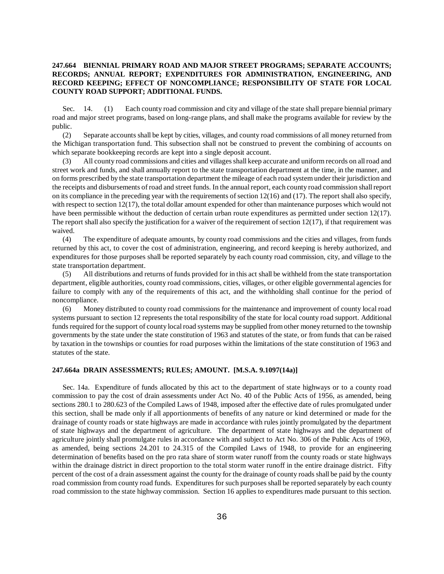# **247.664 BIENNIAL PRIMARY ROAD AND MAJOR STREET PROGRAMS; SEPARATE ACCOUNTS; RECORDS; ANNUAL REPORT; EXPENDITURES FOR ADMINISTRATION, ENGINEERING, AND RECORD KEEPING; EFFECT OF NONCOMPLIANCE; RESPONSIBILITY OF STATE FOR LOCAL COUNTY ROAD SUPPORT; ADDITIONAL FUNDS.**

Sec. 14. (1) Each county road commission and city and village of the state shall prepare biennial primary road and major street programs, based on long-range plans, and shall make the programs available for review by the public.

(2) Separate accounts shall be kept by cities, villages, and county road commissions of all money returned from the Michigan transportation fund. This subsection shall not be construed to prevent the combining of accounts on which separate bookkeeping records are kept into a single deposit account.

(3) All county road commissions and cities and villages shall keep accurate and uniform records on all road and street work and funds, and shall annually report to the state transportation department at the time, in the manner, and on forms prescribed by the state transportation department the mileage of each road system under their jurisdiction and the receipts and disbursements of road and street funds. In the annual report, each county road commission shall report on its compliance in the preceding year with the requirements of section  $12(16)$  and  $(17)$ . The report shall also specify, with respect to section 12(17), the total dollar amount expended for other than maintenance purposes which would not have been permissible without the deduction of certain urban route expenditures as permitted under section 12(17). The report shall also specify the justification for a waiver of the requirement of section  $12(17)$ , if that requirement was waived.

(4) The expenditure of adequate amounts, by county road commissions and the cities and villages, from funds returned by this act, to cover the cost of administration, engineering, and record keeping is hereby authorized, and expenditures for those purposes shall be reported separately by each county road commission, city, and village to the state transportation department.

(5) All distributions and returns of funds provided for in this act shall be withheld from the state transportation department, eligible authorities, county road commissions, cities, villages, or other eligible governmental agencies for failure to comply with any of the requirements of this act, and the withholding shall continue for the period of noncompliance.

(6) Money distributed to county road commissions for the maintenance and improvement of county local road systems pursuant to section 12 represents the total responsibility of the state for local county road support. Additional funds required for the support of county local road systems may be supplied from other money returned to the township governments by the state under the state constitution of 1963 and statutes of the state, or from funds that can be raised by taxation in the townships or counties for road purposes within the limitations of the state constitution of 1963 and statutes of the state.

#### **247.664a DRAIN ASSESSMENTS; RULES; AMOUNT. [M.S.A. 9.1097(14a)]**

Sec. 14a. Expenditure of funds allocated by this act to the department of state highways or to a county road commission to pay the cost of drain assessments under Act No. 40 of the Public Acts of 1956, as amended, being sections 280.1 to 280.623 of the Compiled Laws of 1948, imposed after the effective date of rules promulgated under this section, shall be made only if all apportionments of benefits of any nature or kind determined or made for the drainage of county roads or state highways are made in accordance with rules jointly promulgated by the department of state highways and the department of agriculture. The department of state highways and the department of agriculture jointly shall promulgate rules in accordance with and subject to Act No. 306 of the Public Acts of 1969, as amended, being sections 24.201 to 24.315 of the Compiled Laws of 1948, to provide for an engineering determination of benefits based on the pro rata share of storm water runoff from the county roads or state highways within the drainage district in direct proportion to the total storm water runoff in the entire drainage district. Fifty percent of the cost of a drain assessment against the county for the drainage of county roads shall be paid by the county road commission from county road funds. Expenditures for such purposes shall be reported separately by each county road commission to the state highway commission. Section 16 applies to expenditures made pursuant to this section.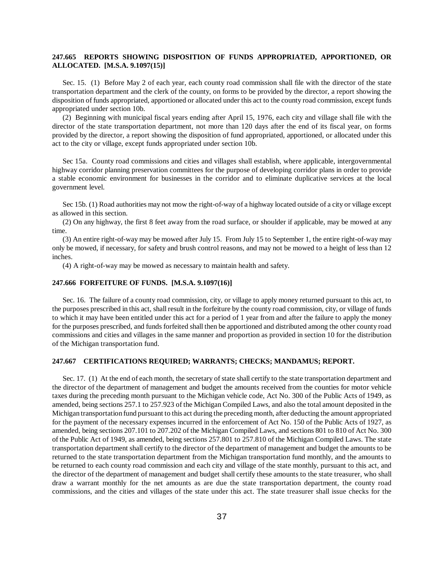# **247.665 REPORTS SHOWING DISPOSITION OF FUNDS APPROPRIATED, APPORTIONED, OR ALLOCATED. [M.S.A. 9.1097(15)]**

Sec. 15. (1) Before May 2 of each year, each county road commission shall file with the director of the state transportation department and the clerk of the county, on forms to be provided by the director, a report showing the disposition of funds appropriated, apportioned or allocated under this act to the county road commission, except funds appropriated under section 10b.

(2) Beginning with municipal fiscal years ending after April 15, 1976, each city and village shall file with the director of the state transportation department, not more than 120 days after the end of its fiscal year, on forms provided by the director, a report showing the disposition of fund appropriated, apportioned, or allocated under this act to the city or village, except funds appropriated under section 10b.

Sec 15a. County road commissions and cities and villages shall establish, where applicable, intergovernmental highway corridor planning preservation committees for the purpose of developing corridor plans in order to provide a stable economic environment for businesses in the corridor and to eliminate duplicative services at the local government level.

Sec 15b. (1) Road authorities may not mow the right-of-way of a highway located outside of a city or village except as allowed in this section.

(2) On any highway, the first 8 feet away from the road surface, or shoulder if applicable, may be mowed at any time.

(3) An entire right-of-way may be mowed after July 15. From July 15 to September 1, the entire right-of-way may only be mowed, if necessary, for safety and brush control reasons, and may not be mowed to a height of less than 12 inches.

(4) A right-of-way may be mowed as necessary to maintain health and safety.

#### **247.666 FORFEITURE OF FUNDS. [M.S.A. 9.1097(16)]**

Sec. 16. The failure of a county road commission, city, or village to apply money returned pursuant to this act, to the purposes prescribed in this act, shall result in the forfeiture by the county road commission, city, or village of funds to which it may have been entitled under this act for a period of 1 year from and after the failure to apply the money for the purposes prescribed, and funds forfeited shall then be apportioned and distributed among the other county road commissions and cities and villages in the same manner and proportion as provided in section 10 for the distribution of the Michigan transportation fund.

#### **247.667 CERTIFICATIONS REQUIRED; WARRANTS; CHECKS; MANDAMUS; REPORT.**

Sec. 17. (1) At the end of each month, the secretary of state shall certify to the state transportation department and the director of the department of management and budget the amounts received from the counties for motor vehicle taxes during the preceding month pursuant to the Michigan vehicle code, Act No. 300 of the Public Acts of 1949, as amended, being sections 257.1 to 257.923 of the Michigan Compiled Laws, and also the total amount deposited in the Michigan transportation fund pursuant to this act during the preceding month, after deducting the amount appropriated for the payment of the necessary expenses incurred in the enforcement of Act No. 150 of the Public Acts of 1927, as amended, being sections 207.101 to 207.202 of the Michigan Compiled Laws, and sections 801 to 810 of Act No. 300 of the Public Act of 1949, as amended, being sections 257.801 to 257.810 of the Michigan Compiled Laws. The state transportation department shall certify to the director of the department of management and budget the amounts to be returned to the state transportation department from the Michigan transportation fund monthly, and the amounts to be returned to each county road commission and each city and village of the state monthly, pursuant to this act, and the director of the department of management and budget shall certify these amounts to the state treasurer, who shall draw a warrant monthly for the net amounts as are due the state transportation department, the county road commissions, and the cities and villages of the state under this act. The state treasurer shall issue checks for the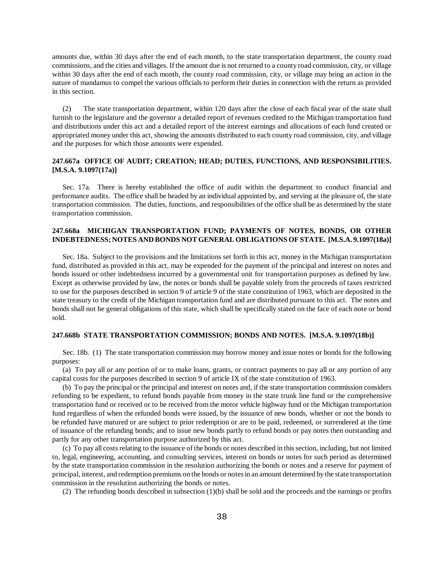amounts due, within 30 days after the end of each month, to the state transportation department, the county road commissions, and the cities and villages. If the amount due is not returned to a county road commission, city, or village within 30 days after the end of each month, the county road commission, city, or village may bring an action in the nature of mandamus to compel the various officials to perform their duties in connection with the return as provided in this section.

(2) The state transportation department, within 120 days after the close of each fiscal year of the state shall furnish to the legislature and the governor a detailed report of revenues credited to the Michigan transportation fund and distributions under this act and a detailed report of the interest earnings and allocations of each fund created or appropriated money under this act, showing the amounts distributed to each county road commission, city, and village and the purposes for which those amounts were expended.

#### **247.667a OFFICE OF AUDIT; CREATION; HEAD; DUTIES, FUNCTIONS, AND RESPONSIBILITIES. [M.S.A. 9.1097(17a)]**

Sec. 17a. There is hereby established the office of audit within the department to conduct financial and performance audits. The office shall be headed by an individual appointed by, and serving at the pleasure of, the state transportation commission. The duties, functions, and responsibilities of the office shall be as determined by the state transportation commission.

# **247.668a MICHIGAN TRANSPORTATION FUND; PAYMENTS OF NOTES, BONDS, OR OTHER INDEBTEDNESS; NOTES AND BONDS NOT GENERAL OBLIGATIONS OF STATE. [M.S.A. 9.1097(18a)]**

Sec. 18a. Subject to the provisions and the limitations set forth in this act, money in the Michigan transportation fund, distributed as provided in this act, may be expended for the payment of the principal and interest on notes and bonds issued or other indebtedness incurred by a governmental unit for transportation purposes as defined by law. Except as otherwise provided by law, the notes or bonds shall be payable solely from the proceeds of taxes restricted to use for the purposes described in section 9 of article 9 of the state constitution of 1963, which are deposited in the state treasury to the credit of the Michigan transportation fund and are distributed pursuant to this act. The notes and bonds shall not be general obligations of this state, which shall be specifically stated on the face of each note or bond sold.

# **247.668b STATE TRANSPORTATION COMMISSION; BONDS AND NOTES. [M.S.A. 9.1097(18b)]**

Sec. 18b. (1) The state transportation commission may borrow money and issue notes or bonds for the following purposes:

(a) To pay all or any portion of or to make loans, grants, or contract payments to pay all or any portion of any capital costs for the purposes described in section 9 of article IX of the state constitution of 1963.

(b) To pay the principal or the principal and interest on notes and, if the state transportation commission considers refunding to be expedient, to refund bonds payable from money in the state trunk line fund or the comprehensive transportation fund or received or to be received from the motor vehicle highway fund or the Michigan transportation fund regardless of when the refunded bonds were issued, by the issuance of new bonds, whether or not the bonds to be refunded have matured or are subject to prior redemption or are to be paid, redeemed, or surrendered at the time of issuance of the refunding bonds; and to issue new bonds partly to refund bonds or pay notes then outstanding and partly for any other transportation purpose authorized by this act.

(c) To pay all costs relating to the issuance of the bonds or notes described in this section, including, but not limited to, legal, engineering, accounting, and consulting services, interest on bonds or notes for such period as determined by the state transportation commission in the resolution authorizing the bonds or notes and a reserve for payment of principal, interest, and redemption premiums on the bonds or notes in an amount determined by the state transportation commission in the resolution authorizing the bonds or notes.

(2) The refunding bonds described in subsection (1)(b) shall be sold and the proceeds and the earnings or profits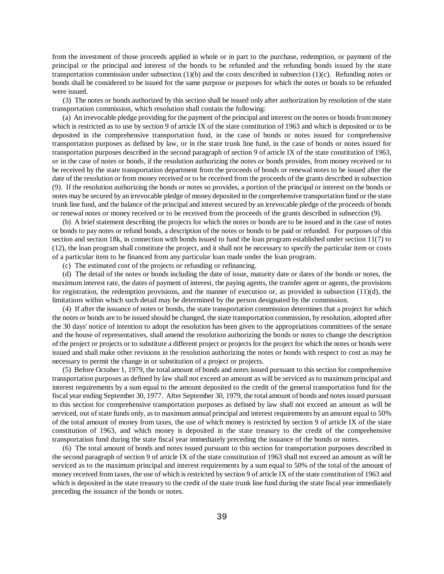from the investment of those proceeds applied in whole or in part to the purchase, redemption, or payment of the principal or the principal and interest of the bonds to be refunded and the refunding bonds issued by the state transportation commission under subsection (1)(b) and the costs described in subsection (1)(c). Refunding notes or bonds shall be considered to be issued for the same purpose or purposes for which the notes or bonds to be refunded were issued.

(3) The notes or bonds authorized by this section shall be issued only after authorization by resolution of the state transportation commission, which resolution shall contain the following:

(a) An irrevocable pledge providing for the payment of the principal and interest on the notes or bonds from money which is restricted as to use by section 9 of article IX of the state constitution of 1963 and which is deposited or to be deposited in the comprehensive transportation fund, in the case of bonds or notes issued for comprehensive transportation purposes as defined by law, or in the state trunk line fund, in the case of bonds or notes issued for transportation purposes described in the second paragraph of section 9 of article IX of the state constitution of 1963, or in the case of notes or bonds, if the resolution authorizing the notes or bonds provides, from money received or to be received by the state transportation department from the proceeds of bonds or renewal notes to be issued after the date of the resolution or from money received or to be received from the proceeds of the grants described in subsection (9). If the resolution authorizing the bonds or notes so provides, a portion of the principal or interest on the bonds or notes may be secured by an irrevocable pledge of money deposited in the comprehensive transportation fund or the state trunk line fund, and the balance of the principal and interest secured by an irrevocable pledge of the proceeds of bonds or renewal notes or money received or to be received from the proceeds of the grants described in subsection (9).

(b) A brief statement describing the projects for which the notes or bonds are to be issued and in the case of notes or bonds to pay notes or refund bonds, a description of the notes or bonds to be paid or refunded. For purposes of this section and section 18k, in connection with bonds issued to fund the loan program established under section 11(7) to (12), the loan program shall constitute the project, and it shall not be necessary to specify the particular item or costs of a particular item to be financed from any particular loan made under the loan program.

(c) The estimated cost of the projects or refunding or refinancing.

(d) The detail of the notes or bonds including the date of issue, maturity date or dates of the bonds or notes, the maximum interest rate, the dates of payment of interest, the paying agents, the transfer agent or agents, the provisions for registration, the redemption provisions, and the manner of execution or, as provided in subsection  $(11)(d)$ , the limitations within which such detail may be determined by the person designated by the commission.

(4) If after the issuance of notes or bonds, the state transportation commission determines that a project for which the notes or bonds are to be issued should be changed, the state transportation commission, by resolution, adopted after the 30 days' notice of intention to adopt the resolution has been given to the appropriations committees of the senate and the house of representatives, shall amend the resolution authorizing the bonds or notes to change the description of the project or projects or to substitute a different project or projects for the project for which the notes or bonds were issued and shall make other revisions in the resolution authorizing the notes or bonds with respect to cost as may be necessary to permit the change in or substitution of a project or projects.

(5) Before October 1, 1979, the total amount of bonds and notes issued pursuant to this section for comprehensive transportation purposes as defined by law shall not exceed an amount as will be serviced as to maximum principal and interest requirements by a sum equal to the amount deposited to the credit of the general transportation fund for the fiscal year ending September 30, 1977. After September 30, 1979, the total amount of bonds and notes issued pursuant to this section for comprehensive transportation purposes as defined by law shall not exceed an amount as will be serviced, out of state funds only, as to maximum annual principal and interest requirements by an amount equal to 50% of the total amount of money from taxes, the use of which money is restricted by section 9 of article IX of the state constitution of 1963, and which money is deposited in the state treasury to the credit of the comprehensive transportation fund during the state fiscal year immediately preceding the issuance of the bonds or notes.

(6) The total amount of bonds and notes issued pursuant to this section for transportation purposes described in the second paragraph of section 9 of article IX of the state constitution of 1963 shall not exceed an amount as will be serviced as to the maximum principal and interest requirements by a sum equal to 50% of the total of the amount of money received from taxes, the use of which is restricted by section 9 of article IX of the state constitution of 1963 and which is deposited in the state treasury to the credit of the state trunk line fund during the state fiscal year immediately preceding the issuance of the bonds or notes.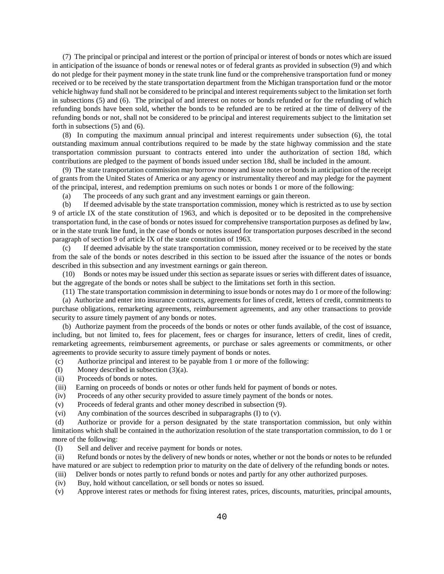(7) The principal or principal and interest or the portion of principal or interest of bonds or notes which are issued in anticipation of the issuance of bonds or renewal notes or of federal grants as provided in subsection (9) and which do not pledge for their payment money in the state trunk line fund or the comprehensive transportation fund or money received or to be received by the state transportation department from the Michigan transportation fund or the motor vehicle highway fund shall not be considered to be principal and interest requirements subject to the limitation set forth in subsections (5) and (6). The principal of and interest on notes or bonds refunded or for the refunding of which refunding bonds have been sold, whether the bonds to be refunded are to be retired at the time of delivery of the refunding bonds or not, shall not be considered to be principal and interest requirements subject to the limitation set forth in subsections (5) and (6).

(8) In computing the maximum annual principal and interest requirements under subsection (6), the total outstanding maximum annual contributions required to be made by the state highway commission and the state transportation commission pursuant to contracts entered into under the authorization of section 18d, which contributions are pledged to the payment of bonds issued under section 18d, shall be included in the amount.

(9) The state transportation commission may borrow money and issue notes or bonds in anticipation of the receipt of grants from the United States of America or any agency or instrumentality thereof and may pledge for the payment of the principal, interest, and redemption premiums on such notes or bonds 1 or more of the following:

(a) The proceeds of any such grant and any investment earnings or gain thereon.

(b) If deemed advisable by the state transportation commission, money which is restricted as to use by section 9 of article IX of the state constitution of 1963, and which is deposited or to be deposited in the comprehensive transportation fund, in the case of bonds or notes issued for comprehensive transportation purposes as defined by law, or in the state trunk line fund, in the case of bonds or notes issued for transportation purposes described in the second paragraph of section 9 of article IX of the state constitution of 1963.

(c) If deemed advisable by the state transportation commission, money received or to be received by the state from the sale of the bonds or notes described in this section to be issued after the issuance of the notes or bonds described in this subsection and any investment earnings or gain thereon.

(10) Bonds or notes may be issued under this section as separate issues or series with different dates of issuance, but the aggregate of the bonds or notes shall be subject to the limitations set forth in this section.

(11) The state transportation commission in determining to issue bonds or notes may do 1 or more of the following:

(a) Authorize and enter into insurance contracts, agreements for lines of credit, letters of credit, commitments to purchase obligations, remarketing agreements, reimbursement agreements, and any other transactions to provide security to assure timely payment of any bonds or notes.

(b) Authorize payment from the proceeds of the bonds or notes or other funds available, of the cost of issuance, including, but not limited to, fees for placement, fees or charges for insurance, letters of credit, lines of credit, remarketing agreements, reimbursement agreements, or purchase or sales agreements or commitments, or other agreements to provide security to assure timely payment of bonds or notes.

- (c) Authorize principal and interest to be payable from 1 or more of the following:
- (I) Money described in subsection (3)(a).
- (ii) Proceeds of bonds or notes.
- (iii) Earning on proceeds of bonds or notes or other funds held for payment of bonds or notes.
- (iv) Proceeds of any other security provided to assure timely payment of the bonds or notes.
- (v) Proceeds of federal grants and other money described in subsection (9).
- (vi) Any combination of the sources described in subparagraphs (I) to (v).

(d) Authorize or provide for a person designated by the state transportation commission, but only within limitations which shall be contained in the authorization resolution of the state transportation commission, to do 1 or more of the following:

(I) Sell and deliver and receive payment for bonds or notes.

(ii) Refund bonds or notes by the delivery of new bonds or notes, whether or not the bonds or notes to be refunded have matured or are subject to redemption prior to maturity on the date of delivery of the refunding bonds or notes.

- (iii) Deliver bonds or notes partly to refund bonds or notes and partly for any other authorized purposes.
- (iv) Buy, hold without cancellation, or sell bonds or notes so issued.

(v) Approve interest rates or methods for fixing interest rates, prices, discounts, maturities, principal amounts,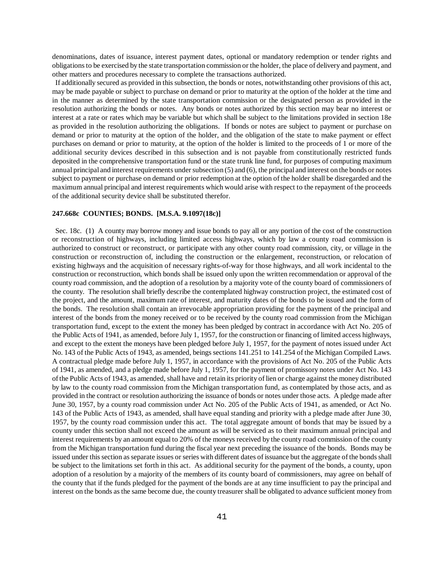denominations, dates of issuance, interest payment dates, optional or mandatory redemption or tender rights and obligations to be exercised by the state transportation commission or the holder, the place of delivery and payment, and other matters and procedures necessary to complete the transactions authorized.

If additionally secured as provided in this subsection, the bonds or notes, notwithstanding other provisions of this act, may be made payable or subject to purchase on demand or prior to maturity at the option of the holder at the time and in the manner as determined by the state transportation commission or the designated person as provided in the resolution authorizing the bonds or notes. Any bonds or notes authorized by this section may bear no interest or interest at a rate or rates which may be variable but which shall be subject to the limitations provided in section 18e as provided in the resolution authorizing the obligations. If bonds or notes are subject to payment or purchase on demand or prior to maturity at the option of the holder, and the obligation of the state to make payment or effect purchases on demand or prior to maturity, at the option of the holder is limited to the proceeds of 1 or more of the additional security devices described in this subsection and is not payable from constitutionally restricted funds deposited in the comprehensive transportation fund or the state trunk line fund, for purposes of computing maximum annual principal and interest requirements under subsection (5) and (6), the principal and interest on the bonds or notes subject to payment or purchase on demand or prior redemption at the option of the holder shall be disregarded and the maximum annual principal and interest requirements which would arise with respect to the repayment of the proceeds of the additional security device shall be substituted therefor.

#### **247.668c COUNTIES; BONDS. [M.S.A. 9.1097(18c)]**

Sec. 18c. (1) A county may borrow money and issue bonds to pay all or any portion of the cost of the construction or reconstruction of highways, including limited access highways, which by law a county road commission is authorized to construct or reconstruct, or participate with any other county road commission, city, or village in the construction or reconstruction of, including the construction or the enlargement, reconstruction, or relocation of existing highways and the acquisition of necessary rights-of-way for those highways, and all work incidental to the construction or reconstruction, which bonds shall be issued only upon the written recommendation or approval of the county road commission, and the adoption of a resolution by a majority vote of the county board of commissioners of the county. The resolution shall briefly describe the contemplated highway construction project, the estimated cost of the project, and the amount, maximum rate of interest, and maturity dates of the bonds to be issued and the form of the bonds. The resolution shall contain an irrevocable appropriation providing for the payment of the principal and interest of the bonds from the money received or to be received by the county road commission from the Michigan transportation fund, except to the extent the money has been pledged by contract in accordance with Act No. 205 of the Public Acts of 1941, as amended, before July 1, 1957, for the construction or financing of limited access highways, and except to the extent the moneys have been pledged before July 1, 1957, for the payment of notes issued under Act No. 143 of the Public Acts of 1943, as amended, beings sections 141.251 to 141.254 of the Michigan Compiled Laws. A contractual pledge made before July 1, 1957, in accordance with the provisions of Act No. 205 of the Public Acts of 1941, as amended, and a pledge made before July 1, 1957, for the payment of promissory notes under Act No. 143 of the Public Acts of 1943, as amended, shall have and retain its priority of lien or charge against the money distributed by law to the county road commission from the Michigan transportation fund, as contemplated by those acts, and as provided in the contract or resolution authorizing the issuance of bonds or notes under those acts. A pledge made after June 30, 1957, by a county road commission under Act No. 205 of the Public Acts of 1941, as amended, or Act No. 143 of the Public Acts of 1943, as amended, shall have equal standing and priority with a pledge made after June 30, 1957, by the county road commission under this act. The total aggregate amount of bonds that may be issued by a county under this section shall not exceed the amount as will be serviced as to their maximum annual principal and interest requirements by an amount equal to 20% of the moneys received by the county road commission of the county from the Michigan transportation fund during the fiscal year next preceding the issuance of the bonds. Bonds may be issued under this section as separate issues or series with different dates of issuance but the aggregate of the bonds shall be subject to the limitations set forth in this act. As additional security for the payment of the bonds, a county, upon adoption of a resolution by a majority of the members of its county board of commissioners, may agree on behalf of the county that if the funds pledged for the payment of the bonds are at any time insufficient to pay the principal and interest on the bonds as the same become due, the county treasurer shall be obligated to advance sufficient money from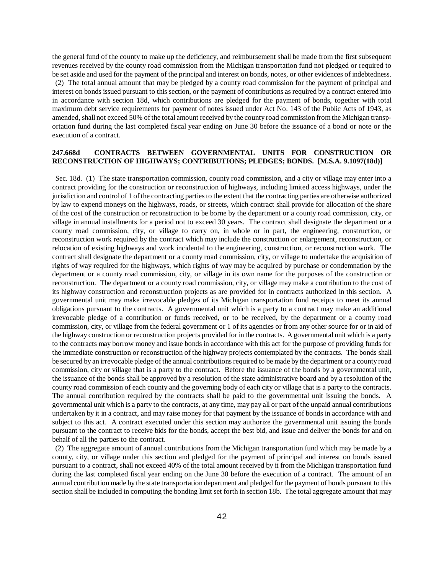the general fund of the county to make up the deficiency, and reimbursement shall be made from the first subsequent revenues received by the county road commission from the Michigan transportation fund not pledged or required to be set aside and used for the payment of the principal and interest on bonds, notes, or other evidences of indebtedness.

(2) The total annual amount that may be pledged by a county road commission for the payment of principal and interest on bonds issued pursuant to this section, or the payment of contributions as required by a contract entered into in accordance with section 18d, which contributions are pledged for the payment of bonds, together with total maximum debt service requirements for payment of notes issued under Act No. 143 of the Public Acts of 1943, as amended, shall not exceed 50% of the total amount received by the county road commission from the Michigan transportation fund during the last completed fiscal year ending on June 30 before the issuance of a bond or note or the execution of a contract.

#### **247.668d CONTRACTS BETWEEN GOVERNMENTAL UNITS FOR CONSTRUCTION OR RECONSTRUCTION OF HIGHWAYS; CONTRIBUTIONS; PLEDGES; BONDS. [M.S.A. 9.1097(18d)]**

Sec. 18d. (1) The state transportation commission, county road commission, and a city or village may enter into a contract providing for the construction or reconstruction of highways, including limited access highways, under the jurisdiction and control of 1 of the contracting parties to the extent that the contracting parties are otherwise authorized by law to expend moneys on the highways, roads, or streets, which contract shall provide for allocation of the share of the cost of the construction or reconstruction to be borne by the department or a county road commission, city, or village in annual installments for a period not to exceed 30 years. The contract shall designate the department or a county road commission, city, or village to carry on, in whole or in part, the engineering, construction, or reconstruction work required by the contract which may include the construction or enlargement, reconstruction, or relocation of existing highways and work incidental to the engineering, construction, or reconstruction work. The contract shall designate the department or a county road commission, city, or village to undertake the acquisition of rights of way required for the highways, which rights of way may be acquired by purchase or condemnation by the department or a county road commission, city, or village in its own name for the purposes of the construction or reconstruction. The department or a county road commission, city, or village may make a contribution to the cost of its highway construction and reconstruction projects as are provided for in contracts authorized in this section. A governmental unit may make irrevocable pledges of its Michigan transportation fund receipts to meet its annual obligations pursuant to the contracts. A governmental unit which is a party to a contract may make an additional irrevocable pledge of a contribution or funds received, or to be received, by the department or a county road commission, city, or village from the federal government or 1 of its agencies or from any other source for or in aid of the highway construction or reconstruction projects provided for in the contracts. A governmental unit which is a party to the contracts may borrow money and issue bonds in accordance with this act for the purpose of providing funds for the immediate construction or reconstruction of the highway projects contemplated by the contracts. The bonds shall be secured by an irrevocable pledge of the annual contributions required to be made by the department or a county road commission, city or village that is a party to the contract. Before the issuance of the bonds by a governmental unit, the issuance of the bonds shall be approved by a resolution of the state administrative board and by a resolution of the county road commission of each county and the governing body of each city or village that is a party to the contracts. The annual contribution required by the contracts shall be paid to the governmental unit issuing the bonds. A governmental unit which is a party to the contracts, at any time, may pay all or part of the unpaid annual contributions undertaken by it in a contract, and may raise money for that payment by the issuance of bonds in accordance with and subject to this act. A contract executed under this section may authorize the governmental unit issuing the bonds pursuant to the contract to receive bids for the bonds, accept the best bid, and issue and deliver the bonds for and on behalf of all the parties to the contract.

(2) The aggregate amount of annual contributions from the Michigan transportation fund which may be made by a county, city, or village under this section and pledged for the payment of principal and interest on bonds issued pursuant to a contract, shall not exceed 40% of the total amount received by it from the Michigan transportation fund during the last completed fiscal year ending on the June 30 before the execution of a contract. The amount of an annual contribution made by the state transportation department and pledged for the payment of bonds pursuant to this section shall be included in computing the bonding limit set forth in section 18b. The total aggregate amount that may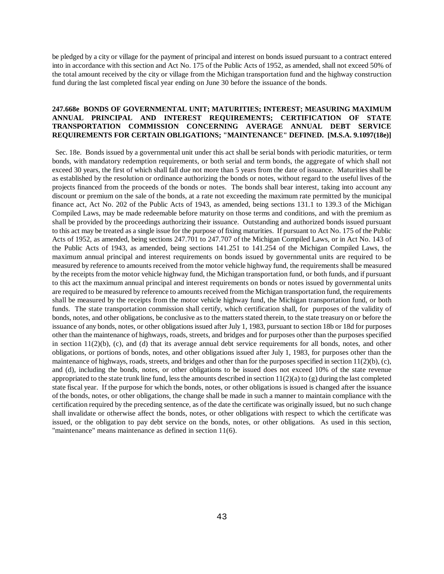be pledged by a city or village for the payment of principal and interest on bonds issued pursuant to a contract entered into in accordance with this section and Act No. 175 of the Public Acts of 1952, as amended, shall not exceed 50% of the total amount received by the city or village from the Michigan transportation fund and the highway construction fund during the last completed fiscal year ending on June 30 before the issuance of the bonds.

# **247.668e BONDS OF GOVERNMENTAL UNIT; MATURITIES; INTEREST; MEASURING MAXIMUM ANNUAL PRINCIPAL AND INTEREST REQUIREMENTS; CERTIFICATION OF STATE TRANSPORTATION COMMISSION CONCERNING AVERAGE ANNUAL DEBT SERVICE REQUIREMENTS FOR CERTAIN OBLIGATIONS; "MAINTENANCE" DEFINED. [M.S.A. 9.1097(18e)]**

Sec. 18e. Bonds issued by a governmental unit under this act shall be serial bonds with periodic maturities, or term bonds, with mandatory redemption requirements, or both serial and term bonds, the aggregate of which shall not exceed 30 years, the first of which shall fall due not more than 5 years from the date of issuance. Maturities shall be as established by the resolution or ordinance authorizing the bonds or notes, without regard to the useful lives of the projects financed from the proceeds of the bonds or notes. The bonds shall bear interest, taking into account any discount or premium on the sale of the bonds, at a rate not exceeding the maximum rate permitted by the municipal finance act, Act No. 202 of the Public Acts of 1943, as amended, being sections 131.1 to 139.3 of the Michigan Compiled Laws, may be made redeemable before maturity on those terms and conditions, and with the premium as shall be provided by the proceedings authorizing their issuance. Outstanding and authorized bonds issued pursuant to this act may be treated as a single issue for the purpose of fixing maturities. If pursuant to Act No. 175 of the Public Acts of 1952, as amended, being sections 247.701 to 247.707 of the Michigan Compiled Laws, or in Act No. 143 of the Public Acts of 1943, as amended, being sections 141.251 to 141.254 of the Michigan Compiled Laws, the maximum annual principal and interest requirements on bonds issued by governmental units are required to be measured by reference to amounts received from the motor vehicle highway fund, the requirements shall be measured by the receipts from the motor vehicle highway fund, the Michigan transportation fund, or both funds, and if pursuant to this act the maximum annual principal and interest requirements on bonds or notes issued by governmental units are required to be measured by reference to amounts received from the Michigan transportation fund, the requirements shall be measured by the receipts from the motor vehicle highway fund, the Michigan transportation fund, or both funds. The state transportation commission shall certify, which certification shall, for purposes of the validity of bonds, notes, and other obligations, be conclusive as to the matters stated therein, to the state treasury on or before the issuance of any bonds, notes, or other obligations issued after July 1, 1983, pursuant to section 18b or 18d for purposes other than the maintenance of highways, roads, streets, and bridges and for purposes other than the purposes specified in section  $11(2)(b)$ , (c), and (d) that its average annual debt service requirements for all bonds, notes, and other obligations, or portions of bonds, notes, and other obligations issued after July 1, 1983, for purposes other than the maintenance of highways, roads, streets, and bridges and other than for the purposes specified in section  $11(2)(b)$ , (c), and (d), including the bonds, notes, or other obligations to be issued does not exceed 10% of the state revenue appropriated to the state trunk line fund, less the amounts described in section  $11(2)(a)$  to  $(g)$  during the last completed state fiscal year. If the purpose for which the bonds, notes, or other obligations is issued is changed after the issuance of the bonds, notes, or other obligations, the change shall be made in such a manner to maintain compliance with the certification required by the preceding sentence, as of the date the certificate was originally issued, but no such change shall invalidate or otherwise affect the bonds, notes, or other obligations with respect to which the certificate was issued, or the obligation to pay debt service on the bonds, notes, or other obligations. As used in this section, "maintenance" means maintenance as defined in section 11(6).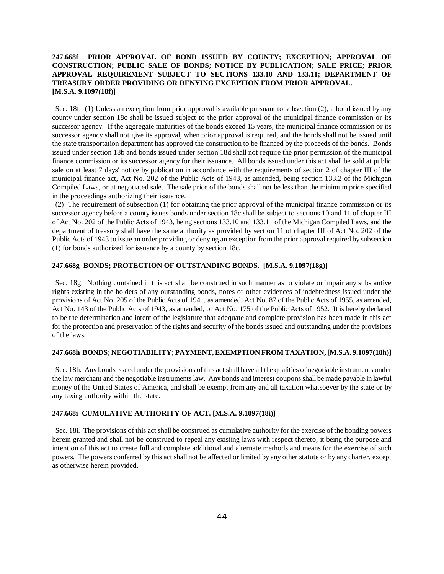# **247.668f PRIOR APPROVAL OF BOND ISSUED BY COUNTY; EXCEPTION; APPROVAL OF CONSTRUCTION; PUBLIC SALE OF BONDS; NOTICE BY PUBLICATION; SALE PRICE; PRIOR APPROVAL REQUIREMENT SUBJECT TO SECTIONS 133.10 AND 133.11; DEPARTMENT OF TREASURY ORDER PROVIDING OR DENYING EXCEPTION FROM PRIOR APPROVAL. [M.S.A. 9.1097(18f)]**

Sec. 18f. (1) Unless an exception from prior approval is available pursuant to subsection (2), a bond issued by any county under section 18c shall be issued subject to the prior approval of the municipal finance commission or its successor agency. If the aggregate maturities of the bonds exceed 15 years, the municipal finance commission or its successor agency shall not give its approval, when prior approval is required, and the bonds shall not be issued until the state transportation department has approved the construction to be financed by the proceeds of the bonds. Bonds issued under section 18b and bonds issued under section 18d shall not require the prior permission of the municipal finance commission or its successor agency for their issuance. All bonds issued under this act shall be sold at public sale on at least 7 days' notice by publication in accordance with the requirements of section 2 of chapter III of the municipal finance act, Act No. 202 of the Public Acts of 1943, as amended, being section 133.2 of the Michigan Compiled Laws, or at negotiated sale. The sale price of the bonds shall not be less than the minimum price specified in the proceedings authorizing their issuance.

(2) The requirement of subsection (1) for obtaining the prior approval of the municipal finance commission or its successor agency before a county issues bonds under section 18c shall be subject to sections 10 and 11 of chapter III of Act No. 202 of the Public Acts of 1943, being sections 133.10 and 133.11 of the Michigan Compiled Laws, and the department of treasury shall have the same authority as provided by section 11 of chapter III of Act No. 202 of the Public Acts of 1943 to issue an order providing or denying an exception from the prior approval required by subsection (1) for bonds authorized for issuance by a county by section 18c.

#### **247.668g BONDS; PROTECTION OF OUTSTANDING BONDS. [M.S.A. 9.1097(18g)]**

Sec. 18g. Nothing contained in this act shall be construed in such manner as to violate or impair any substantive rights existing in the holders of any outstanding bonds, notes or other evidences of indebtedness issued under the provisions of Act No. 205 of the Public Acts of 1941, as amended, Act No. 87 of the Public Acts of 1955, as amended, Act No. 143 of the Public Acts of 1943, as amended, or Act No. 175 of the Public Acts of 1952. It is hereby declared to be the determination and intent of the legislature that adequate and complete provision has been made in this act for the protection and preservation of the rights and security of the bonds issued and outstanding under the provisions of the laws.

#### **247.668h BONDS; NEGOTIABILITY; PAYMENT, EXEMPTION FROM TAXATION, [M.S.A. 9.1097(18h)]**

Sec. 18h. Any bonds issued under the provisions of this act shall have all the qualities of negotiable instruments under the law merchant and the negotiable instruments law. Any bonds and interest coupons shall be made payable in lawful money of the United States of America, and shall be exempt from any and all taxation whatsoever by the state or by any taxing authority within the state.

#### **247.668i CUMULATIVE AUTHORITY OF ACT. [M.S.A. 9.1097(18i)]**

Sec. 18i. The provisions of this act shall be construed as cumulative authority for the exercise of the bonding powers herein granted and shall not be construed to repeal any existing laws with respect thereto, it being the purpose and intention of this act to create full and complete additional and alternate methods and means for the exercise of such powers. The powers conferred by this act shall not be affected or limited by any other statute or by any charter, except as otherwise herein provided.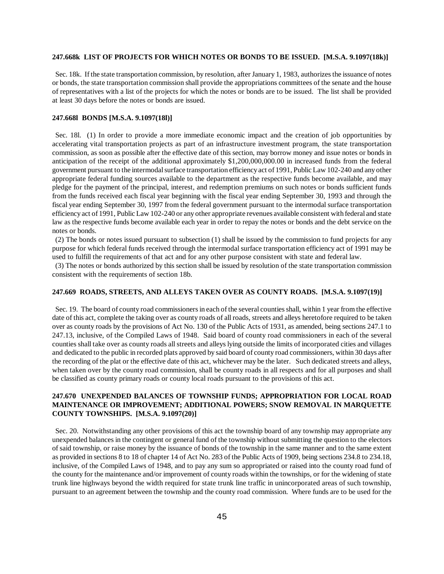#### **247.668k LIST OF PROJECTS FOR WHICH NOTES OR BONDS TO BE ISSUED. [M.S.A. 9.1097(18k)]**

Sec. 18k. If the state transportation commission, by resolution, after January 1, 1983, authorizes the issuance of notes or bonds, the state transportation commission shall provide the appropriations committees of the senate and the house of representatives with a list of the projects for which the notes or bonds are to be issued. The list shall be provided at least 30 days before the notes or bonds are issued.

#### **247.668l BONDS [M.S.A. 9.1097(18l)]**

Sec. 18l. (1) In order to provide a more immediate economic impact and the creation of job opportunities by accelerating vital transportation projects as part of an infrastructure investment program, the state transportation commission, as soon as possible after the effective date of this section, may borrow money and issue notes or bonds in anticipation of the receipt of the additional approximately \$1,200,000,000.00 in increased funds from the federal government pursuant to the intermodal surface transportation efficiency act of 1991, Public Law 102-240 and any other appropriate federal funding sources available to the department as the respective funds become available, and may pledge for the payment of the principal, interest, and redemption premiums on such notes or bonds sufficient funds from the funds received each fiscal year beginning with the fiscal year ending September 30, 1993 and through the fiscal year ending September 30, 1997 from the federal government pursuant to the intermodal surface transportation efficiency act of 1991, Public Law 102-240 or any other appropriate revenues available consistent with federal and state law as the respective funds become available each year in order to repay the notes or bonds and the debt service on the notes or bonds.

(2) The bonds or notes issued pursuant to subsection (1) shall be issued by the commission to fund projects for any purpose for which federal funds received through the intermodal surface transportation efficiency act of 1991 may be used to fulfill the requirements of that act and for any other purpose consistent with state and federal law.

(3) The notes or bonds authorized by this section shall be issued by resolution of the state transportation commission consistent with the requirements of section 18b.

#### **247.669 ROADS, STREETS, AND ALLEYS TAKEN OVER AS COUNTY ROADS. [M.S.A. 9.1097(19)]**

Sec. 19. The board of county road commissioners in each of the several counties shall, within 1 year from the effective date of this act, complete the taking over as county roads of all roads, streets and alleys heretofore required to be taken over as county roads by the provisions of Act No. 130 of the Public Acts of 1931, as amended, being sections 247.1 to 247.13, inclusive, of the Compiled Laws of 1948. Said board of county road commissioners in each of the several counties shall take over as county roads all streets and alleys lying outside the limits of incorporated cities and villages and dedicated to the public in recorded plats approved by said board of county road commissioners, within 30 days after the recording of the plat or the effective date of this act, whichever may be the later. Such dedicated streets and alleys, when taken over by the county road commission, shall be county roads in all respects and for all purposes and shall be classified as county primary roads or county local roads pursuant to the provisions of this act.

### **247.670 UNEXPENDED BALANCES OF TOWNSHIP FUNDS; APPROPRIATION FOR LOCAL ROAD MAINTENANCE OR IMPROVEMENT; ADDITIONAL POWERS; SNOW REMOVAL IN MARQUETTE COUNTY TOWNSHIPS. [M.S.A. 9.1097(20)]**

Sec. 20. Notwithstanding any other provisions of this act the township board of any township may appropriate any unexpended balances in the contingent or general fund of the township without submitting the question to the electors of said township, or raise money by the issuance of bonds of the township in the same manner and to the same extent as provided in sections 8 to 18 of chapter 14 of Act No. 283 of the Public Acts of 1909, being sections 234.8 to 234.18, inclusive, of the Compiled Laws of 1948, and to pay any sum so appropriated or raised into the county road fund of the county for the maintenance and/or improvement of county roads within the townships, or for the widening of state trunk line highways beyond the width required for state trunk line traffic in unincorporated areas of such township, pursuant to an agreement between the township and the county road commission. Where funds are to be used for the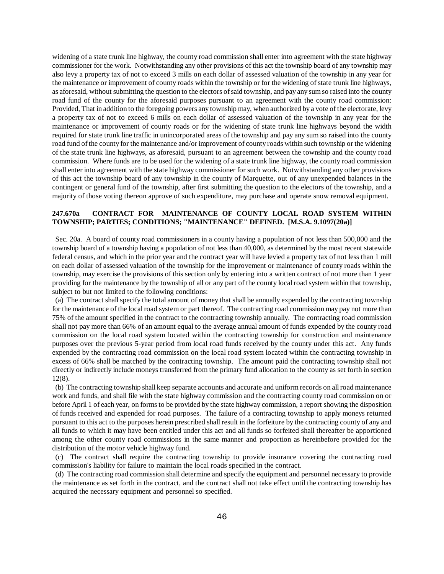widening of a state trunk line highway, the county road commission shall enter into agreement with the state highway commissioner for the work. Notwithstanding any other provisions of this act the township board of any township may also levy a property tax of not to exceed 3 mills on each dollar of assessed valuation of the township in any year for the maintenance or improvement of county roads within the township or for the widening of state trunk line highways, as aforesaid, without submitting the question to the electors of said township, and pay any sum so raised into the county road fund of the county for the aforesaid purposes pursuant to an agreement with the county road commission: Provided, That in addition to the foregoing powers any township may, when authorized by a vote of the electorate, levy a property tax of not to exceed 6 mills on each dollar of assessed valuation of the township in any year for the maintenance or improvement of county roads or for the widening of state trunk line highways beyond the width required for state trunk line traffic in unincorporated areas of the township and pay any sum so raised into the county road fund of the county for the maintenance and/or improvement of county roads within such township or the widening of the state trunk line highways, as aforesaid, pursuant to an agreement between the township and the county road commission. Where funds are to be used for the widening of a state trunk line highway, the county road commission shall enter into agreement with the state highway commissioner for such work. Notwithstanding any other provisions of this act the township board of any township in the county of Marquette, out of any unexpended balances in the contingent or general fund of the township, after first submitting the question to the electors of the township, and a majority of those voting thereon approve of such expenditure, may purchase and operate snow removal equipment.

## **247.670a CONTRACT FOR MAINTENANCE OF COUNTY LOCAL ROAD SYSTEM WITHIN TOWNSHIP; PARTIES; CONDITIONS; "MAINTENANCE" DEFINED. [M.S.A. 9.1097(20a)]**

Sec. 20a. A board of county road commissioners in a county having a population of not less than 500,000 and the township board of a township having a population of not less than 40,000, as determined by the most recent statewide federal census, and which in the prior year and the contract year will have levied a property tax of not less than 1 mill on each dollar of assessed valuation of the township for the improvement or maintenance of county roads within the township, may exercise the provisions of this section only by entering into a written contract of not more than 1 year providing for the maintenance by the township of all or any part of the county local road system within that township, subject to but not limited to the following conditions:

(a) The contract shall specify the total amount of money that shall be annually expended by the contracting township for the maintenance of the local road system or part thereof. The contracting road commission may pay not more than 75% of the amount specified in the contract to the contracting township annually. The contracting road commission shall not pay more than 66% of an amount equal to the average annual amount of funds expended by the county road commission on the local road system located within the contracting township for construction and maintenance purposes over the previous 5-year period from local road funds received by the county under this act. Any funds expended by the contracting road commission on the local road system located within the contracting township in excess of 66% shall be matched by the contracting township. The amount paid the contracting township shall not directly or indirectly include moneys transferred from the primary fund allocation to the county as set forth in section 12(8).

(b) The contracting township shall keep separate accounts and accurate and uniform records on all road maintenance work and funds, and shall file with the state highway commission and the contracting county road commission on or before April 1 of each year, on forms to be provided by the state highway commission, a report showing the disposition of funds received and expended for road purposes. The failure of a contracting township to apply moneys returned pursuant to this act to the purposes herein prescribed shall result in the forfeiture by the contracting county of any and all funds to which it may have been entitled under this act and all funds so forfeited shall thereafter be apportioned among the other county road commissions in the same manner and proportion as hereinbefore provided for the distribution of the motor vehicle highway fund.

(c) The contract shall require the contracting township to provide insurance covering the contracting road commission's liability for failure to maintain the local roads specified in the contract.

(d) The contracting road commission shall determine and specify the equipment and personnel necessary to provide the maintenance as set forth in the contract, and the contract shall not take effect until the contracting township has acquired the necessary equipment and personnel so specified.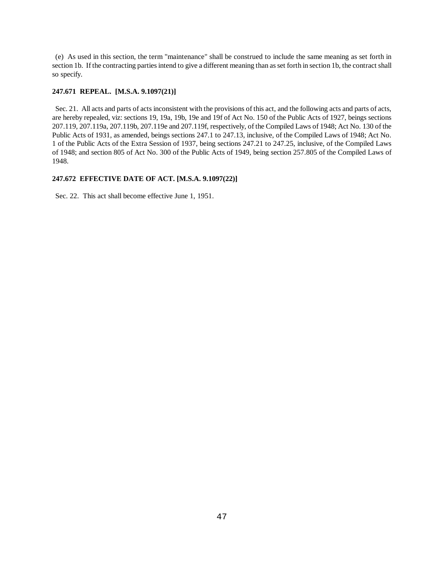(e) As used in this section, the term "maintenance" shall be construed to include the same meaning as set forth in section 1b. If the contracting parties intend to give a different meaning than as set forth in section 1b, the contract shall so specify.

#### **247.671 REPEAL. [M.S.A. 9.1097(21)]**

Sec. 21. All acts and parts of acts inconsistent with the provisions of this act, and the following acts and parts of acts, are hereby repealed, viz: sections 19, 19a, 19b, 19e and 19f of Act No. 150 of the Public Acts of 1927, beings sections 207.119, 207.119a, 207.119b, 207.119e and 207.119f, respectively, of the Compiled Laws of 1948; Act No. 130 of the Public Acts of 1931, as amended, beings sections 247.1 to 247.13, inclusive, of the Compiled Laws of 1948; Act No. 1 of the Public Acts of the Extra Session of 1937, being sections 247.21 to 247.25, inclusive, of the Compiled Laws of 1948; and section 805 of Act No. 300 of the Public Acts of 1949, being section 257.805 of the Compiled Laws of 1948.

#### **247.672 EFFECTIVE DATE OF ACT. [M.S.A. 9.1097(22)]**

Sec. 22. This act shall become effective June 1, 1951.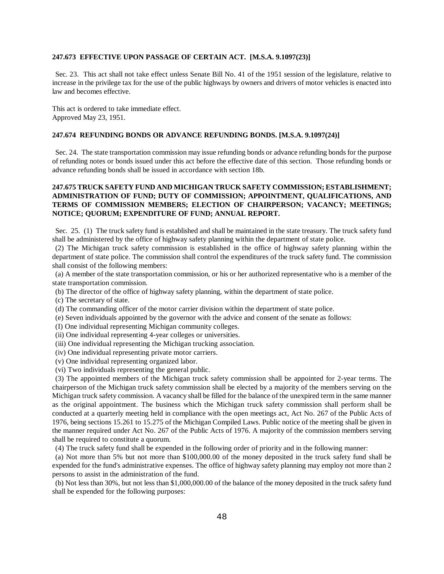#### **247.673 EFFECTIVE UPON PASSAGE OF CERTAIN ACT. [M.S.A. 9.1097(23)]**

Sec. 23. This act shall not take effect unless Senate Bill No. 41 of the 1951 session of the legislature, relative to increase in the privilege tax for the use of the public highways by owners and drivers of motor vehicles is enacted into law and becomes effective.

This act is ordered to take immediate effect. Approved May 23, 1951.

#### **247.674 REFUNDING BONDS OR ADVANCE REFUNDING BONDS. [M.S.A. 9.1097(24)]**

Sec. 24. The state transportation commission may issue refunding bonds or advance refunding bonds for the purpose of refunding notes or bonds issued under this act before the effective date of this section. Those refunding bonds or advance refunding bonds shall be issued in accordance with section 18b.

# **247.675 TRUCK SAFETY FUND AND MICHIGAN TRUCK SAFETY COMMISSION; ESTABLISHMENT; ADMINISTRATION OF FUND; DUTY OF COMMISSION; APPOINTMENT, QUALIFICATIONS, AND TERMS OF COMMISSION MEMBERS; ELECTION OF CHAIRPERSON; VACANCY; MEETINGS; NOTICE; QUORUM; EXPENDITURE OF FUND; ANNUAL REPORT.**

Sec. 25. (1) The truck safety fund is established and shall be maintained in the state treasury. The truck safety fund shall be administered by the office of highway safety planning within the department of state police.

(2) The Michigan truck safety commission is established in the office of highway safety planning within the department of state police. The commission shall control the expenditures of the truck safety fund. The commission shall consist of the following members:

(a) A member of the state transportation commission, or his or her authorized representative who is a member of the state transportation commission.

- (b) The director of the office of highway safety planning, within the department of state police.
- (c) The secretary of state.
- (d) The commanding officer of the motor carrier division within the department of state police.
- (e) Seven individuals appointed by the governor with the advice and consent of the senate as follows:
- (I) One individual representing Michigan community colleges.
- (ii) One individual representing 4-year colleges or universities.
- (iii) One individual representing the Michigan trucking association.
- (iv) One individual representing private motor carriers.
- (v) One individual representing organized labor.
- (vi) Two individuals representing the general public.

(3) The appointed members of the Michigan truck safety commission shall be appointed for 2-year terms. The chairperson of the Michigan truck safety commission shall be elected by a majority of the members serving on the Michigan truck safety commission. A vacancy shall be filled for the balance of the unexpired term in the same manner as the original appointment. The business which the Michigan truck safety commission shall perform shall be conducted at a quarterly meeting held in compliance with the open meetings act, Act No. 267 of the Public Acts of 1976, being sections 15.261 to 15.275 of the Michigan Compiled Laws. Public notice of the meeting shall be given in the manner required under Act No. 267 of the Public Acts of 1976. A majority of the commission members serving shall be required to constitute a quorum.

(4) The truck safety fund shall be expended in the following order of priority and in the following manner:

(a) Not more than 5% but not more than \$100,000.00 of the money deposited in the truck safety fund shall be expended for the fund's administrative expenses. The office of highway safety planning may employ not more than 2 persons to assist in the administration of the fund.

(b) Not less than 30%, but not less than \$1,000,000.00 of the balance of the money deposited in the truck safety fund shall be expended for the following purposes: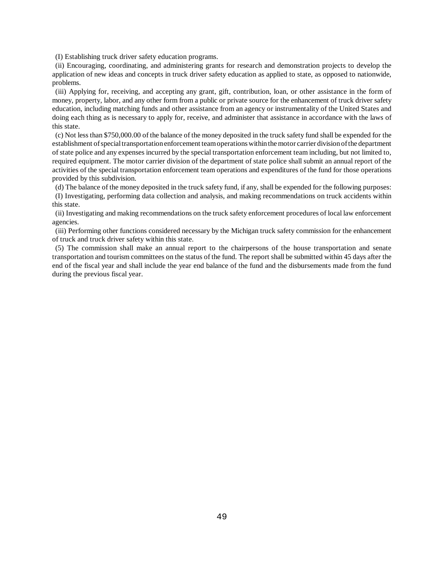(I) Establishing truck driver safety education programs.

(ii) Encouraging, coordinating, and administering grants for research and demonstration projects to develop the application of new ideas and concepts in truck driver safety education as applied to state, as opposed to nationwide, problems.

(iii) Applying for, receiving, and accepting any grant, gift, contribution, loan, or other assistance in the form of money, property, labor, and any other form from a public or private source for the enhancement of truck driver safety education, including matching funds and other assistance from an agency or instrumentality of the United States and doing each thing as is necessary to apply for, receive, and administer that assistance in accordance with the laws of this state.

(c) Not less than \$750,000.00 of the balance of the money deposited in the truck safety fund shall be expended for the establishment of special transportation enforcement team operations within the motor carrier division of the department of state police and any expenses incurred by the special transportation enforcement team including, but not limited to, required equipment. The motor carrier division of the department of state police shall submit an annual report of the activities of the special transportation enforcement team operations and expenditures of the fund for those operations provided by this subdivision.

(d) The balance of the money deposited in the truck safety fund, if any, shall be expended for the following purposes: (I) Investigating, performing data collection and analysis, and making recommendations on truck accidents within this state.

(ii) Investigating and making recommendations on the truck safety enforcement procedures of local law enforcement agencies.

(iii) Performing other functions considered necessary by the Michigan truck safety commission for the enhancement of truck and truck driver safety within this state.

(5) The commission shall make an annual report to the chairpersons of the house transportation and senate transportation and tourism committees on the status of the fund. The report shall be submitted within 45 days after the end of the fiscal year and shall include the year end balance of the fund and the disbursements made from the fund during the previous fiscal year.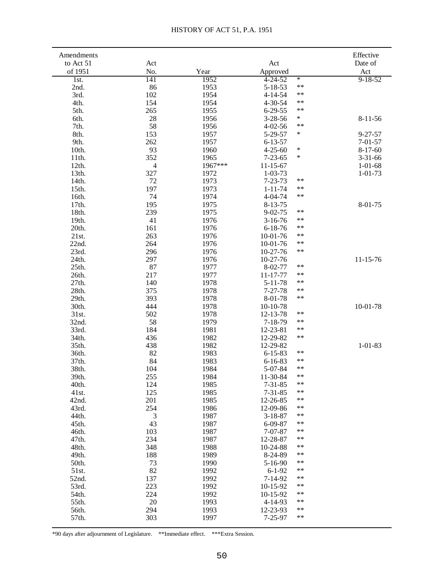| Amendments     |           |              |                                    | Effective      |
|----------------|-----------|--------------|------------------------------------|----------------|
| to Act 51      | Act       |              | Act                                | Date of        |
| of 1951        | No.       | Year         | Approved                           | Act            |
| 1st.           | 141       | 1952         | ¥.<br>$4 - 24 - 52$                | $9 - 18 - 52$  |
| 2nd.           | 86        | 1953         | $***$<br>$5 - 18 - 53$             |                |
| 3rd.           | 102       | 1954         | $***$<br>$4 - 14 - 54$             |                |
| 4th.           | 154       | 1954         | $***$<br>$4 - 30 - 54$             |                |
| 5th.           | 265       | 1955         | $***$<br>$6 - 29 - 55$             |                |
| 6th.           | 28        | 1956         | $\ast$<br>$3 - 28 - 56$            | $8 - 11 - 56$  |
| 7th.           | 58        | 1956         | $***$<br>$4 - 02 - 56$             |                |
| 8th.           | 153       | 1957         | $\ast$<br>5-29-57                  | $9 - 27 - 57$  |
| 9th.           | 262       | 1957         | $6 - 13 - 57$                      | $7 - 01 - 57$  |
| 10th.          | 93        | 1960         | $\ast$<br>$4 - 25 - 60$            | $8-17-60$      |
| 11th.          | 352       | 1965         | $\ast$<br>$7 - 23 - 65$            | $3 - 31 - 66$  |
| 12th.          | 4         | 1967***      | $11 - 15 - 67$                     | $1 - 01 - 68$  |
| 13th.          | 327       | 1972         | $1 - 03 - 73$                      | $1 - 01 - 73$  |
| 14th.          | 72        | 1973         | $***$<br>$7 - 23 - 73$<br>$***$    |                |
| 15th.          | 197       | 1973         | $1 - 11 - 74$<br>$***$             |                |
| 16th.          | 74        | 1974         | 4-04-74                            |                |
| 17th.          | 195       | 1975         | $8 - 13 - 75$<br>$***$             | $8 - 01 - 75$  |
| 18th.          | 239       | 1975         | $9 - 02 - 75$<br>$***$             |                |
| 19th.          | 41        | 1976         | $3-16-76$<br>$***$                 |                |
| 20th.          | 161       | 1976         | $6 - 18 - 76$<br>$***$             |                |
| 21st.          | 263       | 1976         | $10-01-76$<br>$***$<br>$10-01-76$  |                |
| 22nd.          | 264       | 1976         | $***$                              |                |
| 23rd.          | 296       | 1976         | 10-27-76                           |                |
| 24th.<br>25th. | 297<br>87 | 1976         | 10-27-76<br>$***$<br>$8 - 02 - 77$ | $11 - 15 - 76$ |
| 26th.          | 217       | 1977<br>1977 | $\ast\ast$<br>11-17-77             |                |
| 27th.          | 140       | 1978         | $***$<br>$5 - 11 - 78$             |                |
| 28th.          | 375       | 1978         | $***$<br>$7 - 27 - 78$             |                |
| 29th.          | 393       | 1978         | $***$<br>8-01-78                   |                |
| 30th.          | 444       | 1978         | $10-10-78$                         | 10-01-78       |
| 31st.          | 502       | 1978         | $***$<br>12-13-78                  |                |
| 32nd.          | 58        | 1979         | $***$<br>$7 - 18 - 79$             |                |
| 33rd.          | 184       | 1981         | $***$<br>12-23-81                  |                |
| 34th.          | 436       | 1982         | $***$<br>12-29-82                  |                |
| 35th.          | 438       | 1982         | 12-29-82                           | $1 - 01 - 83$  |
| 36th.          | 82        | 1983         | $***$<br>$6 - 15 - 83$             |                |
| 37th.          | 84        | 1983         | $***$<br>$6 - 16 - 83$             |                |
| 38th.          | 104       | 1984         | $***$<br>$5 - 07 - 84$             |                |
| 39th.          | 255       | 1984         | 11-30-84<br>$***$                  |                |
| 40th.          | 124       | 1985         | $***$<br>$7 - 31 - 85$             |                |
| 41st.          | 125       | 1985         | $\ast\ast$<br>$7 - 31 - 85$        |                |
| 42nd.          | 201       | 1985         | $***$<br>12-26-85                  |                |
| 43rd.          | 254       | 1986         | $***$<br>12-09-86                  |                |
| 44th.          | 3         | 1987         | $***$<br>$3 - 18 - 87$             |                |
| 45th.          | 43        | 1987         | $***$<br>$6 - 09 - 87$             |                |
| 46th.          | 103       | 1987         | $***$<br>$7 - 07 - 87$             |                |
| 47th.          | 234       | 1987         | $***$<br>12-28-87                  |                |
| 48th.          | 348       | 1988         | $***$<br>10-24-88                  |                |
| 49th.          | 188       | 1989         | $***$<br>8-24-89                   |                |
| 50th.          | 73        | 1990         | $***$<br>$5 - 16 - 90$             |                |
| 51st.          | 82        | 1992         | $***$<br>$6 - 1 - 92$              |                |
| 52nd.          | 137       | 1992         | $***$<br>$7 - 14 - 92$             |                |
| 53rd.          | 223       | 1992         | $***$<br>10-15-92                  |                |
| 54th.          | 224       | 1992         | $***$<br>10-15-92                  |                |
| 55th.          | 20        | 1993         | $***$<br>$4 - 14 - 93$             |                |
| 56th.          | 294       | 1993         | $***$<br>12-23-93                  |                |
| 57th.          | 303       | 1997         | $***$<br>$7 - 25 - 97$             |                |

\*90 days after adjournment of Legislature. \*\*Immediate effect. \*\*\*Extra Session.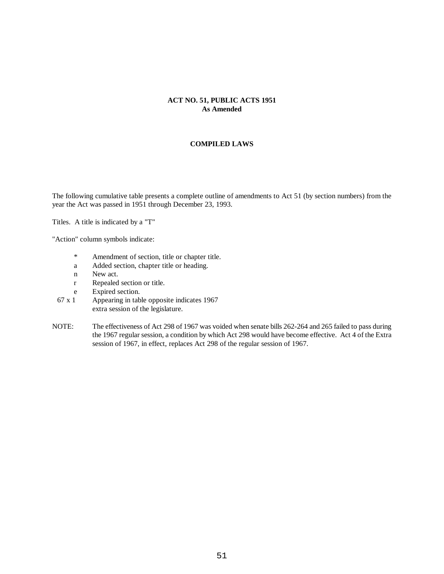# **ACT NO. 51, PUBLIC ACTS 1951 As Amended**

#### **COMPILED LAWS**

The following cumulative table presents a complete outline of amendments to Act 51 (by section numbers) from the year the Act was passed in 1951 through December 23, 1993.

Titles. A title is indicated by a "T"

"Action" column symbols indicate:

- \* Amendment of section, title or chapter title.
- a Added section, chapter title or heading.
- n New act.
- r Repealed section or title.
- e Expired section.
- 67 x 1 Appearing in table opposite indicates 1967 extra session of the legislature.
- NOTE: The effectiveness of Act 298 of 1967 was voided when senate bills 262-264 and 265 failed to pass during the 1967 regular session, a condition by which Act 298 would have become effective. Act 4 of the Extra session of 1967, in effect, replaces Act 298 of the regular session of 1967.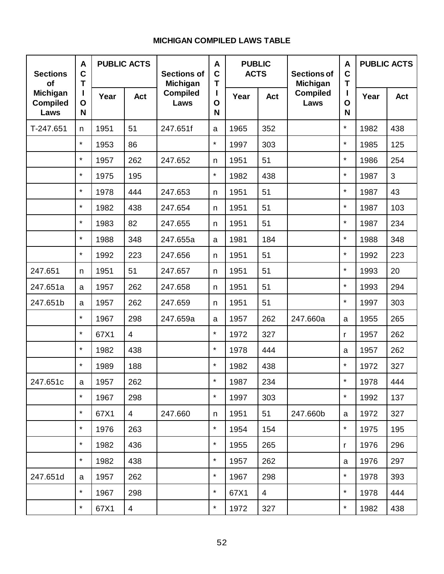| <b>Sections</b><br><b>of</b>        | A<br>$\mathbf C$<br>T |      | <b>PUBLIC ACTS</b> | <b>Sections of</b><br>Michigan | A<br>$\mathbf C$<br>T | <b>PUBLIC</b><br><b>ACTS</b> |                | <b>Sections of</b><br>Michigan | A<br>$\mathbf c$<br>T |      | <b>PUBLIC ACTS</b> |
|-------------------------------------|-----------------------|------|--------------------|--------------------------------|-----------------------|------------------------------|----------------|--------------------------------|-----------------------|------|--------------------|
| Michigan<br><b>Compiled</b><br>Laws | O<br>N                | Year | <b>Act</b>         | <b>Compiled</b><br>Laws        | L<br>$\mathbf 0$<br>N | Year                         | <b>Act</b>     | <b>Compiled</b><br>Laws        | O<br>N                | Year | <b>Act</b>         |
| T-247.651                           | n                     | 1951 | 51                 | 247.651f                       | a                     | 1965                         | 352            |                                | $\star$               | 1982 | 438                |
|                                     | $\star$               | 1953 | 86                 |                                | $\star$               | 1997                         | 303            |                                | $\star$               | 1985 | 125                |
|                                     | $\star$               | 1957 | 262                | 247.652                        | n                     | 1951                         | 51             |                                | $\star$               | 1986 | 254                |
|                                     | $\star$               | 1975 | 195                |                                | $\star$               | 1982                         | 438            |                                | $\star$               | 1987 | 3                  |
|                                     | $\star$               | 1978 | 444                | 247.653                        | n                     | 1951                         | 51             |                                | $\star$               | 1987 | 43                 |
|                                     | $\star$               | 1982 | 438                | 247.654                        | n                     | 1951                         | 51             |                                | $\star$               | 1987 | 103                |
|                                     | $\star$               | 1983 | 82                 | 247.655                        | n                     | 1951                         | 51             |                                | $\star$               | 1987 | 234                |
|                                     | $\star$               | 1988 | 348                | 247.655a                       | a                     | 1981                         | 184            |                                | $\star$               | 1988 | 348                |
|                                     | $\star$               | 1992 | 223                | 247.656                        | n                     | 1951                         | 51             |                                | $\star$               | 1992 | 223                |
| 247.651                             | n                     | 1951 | 51                 | 247.657                        | n                     | 1951                         | 51             |                                | $\star$               | 1993 | 20                 |
| 247.651a                            | a                     | 1957 | 262                | 247.658                        | n                     | 1951                         | 51             |                                | $\star$               | 1993 | 294                |
| 247.651b                            | a                     | 1957 | 262                | 247.659                        | n                     | 1951                         | 51             |                                | $\star$               | 1997 | 303                |
|                                     | $\star$               | 1967 | 298                | 247.659a                       | a                     | 1957                         | 262            | 247.660a                       | a                     | 1955 | 265                |
|                                     | $\star$               | 67X1 | $\overline{4}$     |                                | $\star$               | 1972                         | 327            |                                | $\mathsf{r}$          | 1957 | 262                |
|                                     | $\star$               | 1982 | 438                |                                | $\star$               | 1978                         | 444            |                                | a                     | 1957 | 262                |
|                                     | $\star$               | 1989 | 188                |                                | $\star$               | 1982                         | 438            |                                | $\star$               | 1972 | 327                |
| 247.651c                            | a                     | 1957 | 262                |                                |                       | 1987                         | 234            |                                |                       | 1978 | 444                |
|                                     | $\star$               | 1967 | 298                |                                | $\star$               | 1997                         | 303            |                                | $\star$               | 1992 | 137                |
|                                     | $\star$               | 67X1 | $\overline{4}$     | 247.660                        | n                     | 1951                         | 51             | 247.660b                       | a                     | 1972 | 327                |
|                                     | $\star$               | 1976 | 263                |                                | $\star$               | 1954                         | 154            |                                | $\star$               | 1975 | 195                |
|                                     | $\star$               | 1982 | 436                |                                | $\star$               | 1955                         | 265            |                                | $\mathsf{r}$          | 1976 | 296                |
|                                     | $\star$               | 1982 | 438                |                                | $\star$               | 1957                         | 262            |                                | a                     | 1976 | 297                |
| 247.651d                            | a                     | 1957 | 262                |                                | $\star$               | 1967                         | 298            |                                | $\star$               | 1978 | 393                |
|                                     | $\star$               | 1967 | 298                |                                | $\star$               | 67X1                         | $\overline{4}$ |                                | $\star$               | 1978 | 444                |
|                                     | $\star$               | 67X1 | 4                  |                                | $\star$               | 1972                         | 327            |                                | $\star$               | 1982 | 438                |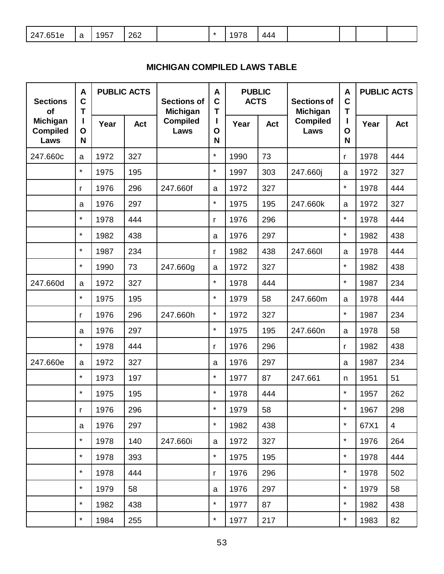| <b>Sections</b><br>of                      | A<br>$\mathbf C$<br>T |      | <b>PUBLIC ACTS</b> | <b>Sections of</b><br><b>Michigan</b> | A<br>$\mathbf C$<br>T  | <b>PUBLIC</b><br><b>ACTS</b> |     | <b>Sections of</b><br><b>Michigan</b> | A<br>$\mathbf C$<br>T | <b>PUBLIC ACTS</b> |                |
|--------------------------------------------|-----------------------|------|--------------------|---------------------------------------|------------------------|------------------------------|-----|---------------------------------------|-----------------------|--------------------|----------------|
| <b>Michigan</b><br><b>Compiled</b><br>Laws | Ш<br>O<br>N           | Year | Act                | <b>Compiled</b><br>Laws               | п<br>$\mathbf{o}$<br>N | Year                         | Act | <b>Compiled</b><br>Laws               | $\mathbf O$<br>N      | Year               | Act            |
| 247.660c                                   | a                     | 1972 | 327                |                                       | $\star$                | 1990                         | 73  |                                       | r                     | 1978               | 444            |
|                                            | $\star$               | 1975 | 195                |                                       | $\star$                | 1997                         | 303 | 247.660j                              | a                     | 1972               | 327            |
|                                            | r                     | 1976 | 296                | 247.660f                              | a                      | 1972                         | 327 |                                       | $\star$               | 1978               | 444            |
|                                            | a                     | 1976 | 297                |                                       | $\star$                | 1975                         | 195 | 247.660k                              | a                     | 1972               | 327            |
|                                            | $\star$               | 1978 | 444                |                                       | r                      | 1976                         | 296 |                                       | $\star$               | 1978               | 444            |
|                                            | $\star$               | 1982 | 438                |                                       | a                      | 1976                         | 297 |                                       | $\star$               | 1982               | 438            |
|                                            | $\star$               | 1987 | 234                |                                       | r                      | 1982                         | 438 | 247.660                               | a                     | 1978               | 444            |
|                                            | $\star$               | 1990 | 73                 | 247.660g                              | a                      | 1972                         | 327 |                                       | $\star$               | 1982               | 438            |
| 247.660d                                   | a                     | 1972 | 327                |                                       | $\star$                | 1978                         | 444 |                                       | $\star$               | 1987               | 234            |
|                                            | $\star$               | 1975 | 195                |                                       | $\star$                | 1979                         | 58  | 247.660m                              | a                     | 1978               | 444            |
|                                            | r                     | 1976 | 296                | 247.660h                              | $\star$                | 1972                         | 327 |                                       | $\star$               | 1987               | 234            |
|                                            | $\mathbf a$           | 1976 | 297                |                                       | $\star$                | 1975                         | 195 | 247.660n                              | a                     | 1978               | 58             |
|                                            | $\star$               | 1978 | 444                |                                       | r                      | 1976                         | 296 |                                       | r                     | 1982               | 438            |
| 247.660e                                   | a                     | 1972 | 327                |                                       | a                      | 1976                         | 297 |                                       | a                     | 1987               | 234            |
|                                            | $\star$               | 1973 | 197                |                                       | $\star$                | 1977                         | 87  | 247.661                               | n                     | 1951               | 51             |
|                                            | $\star$               | 1975 | 195                |                                       | $\star$                | 1978                         | 444 |                                       | $\star$               | 1957               | 262            |
|                                            | r                     | 1976 | 296                |                                       |                        | 1979                         | 58  |                                       |                       | 1967               | 298            |
|                                            | a                     | 1976 | 297                |                                       | $\star$                | 1982                         | 438 |                                       | $\star$               | 67X1               | $\overline{4}$ |
|                                            | $\star$               | 1978 | 140                | 247.660i                              | a                      | 1972                         | 327 |                                       | $\star$               | 1976               | 264            |
|                                            | $\star$               | 1978 | 393                |                                       | $\star$                | 1975                         | 195 |                                       | $\star$               | 1978               | 444            |
|                                            | $\star$               | 1978 | 444                |                                       | r                      | 1976                         | 296 |                                       | $\star$               | 1978               | 502            |
|                                            | $\star$               | 1979 | 58                 |                                       | a                      | 1976                         | 297 |                                       | $\star$               | 1979               | 58             |
|                                            | $\star$               | 1982 | 438                |                                       | $\star$                | 1977                         | 87  |                                       | $\star$               | 1982               | 438            |
|                                            | $\star$               | 1984 | 255                |                                       | $\star$                | 1977                         | 217 |                                       | $\star$               | 1983               | 82             |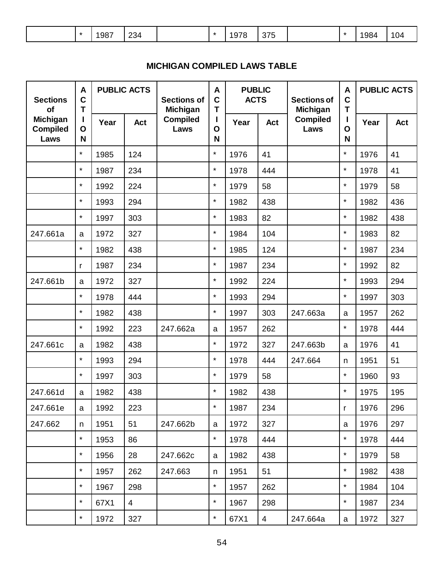| 234<br>375<br>1987<br>1978<br>1984<br>04<br>$\mathbf{r}$<br>$\sim$<br>____ |  |
|----------------------------------------------------------------------------|--|
|----------------------------------------------------------------------------|--|

| <b>Sections</b><br><b>of</b>        | A<br>$\mathbf C$<br>T |      | <b>PUBLIC ACTS</b><br><b>Sections of</b> |                         | <b>PUBLIC</b><br>A<br>$\mathbf C$<br><b>ACTS</b><br>T |      | <b>Sections of</b> |                         | Michigan     |      | <b>Michigan</b> |  |  |  | A<br>$\mathbf c$<br>T |  | <b>PUBLIC ACTS</b> |  |
|-------------------------------------|-----------------------|------|------------------------------------------|-------------------------|-------------------------------------------------------|------|--------------------|-------------------------|--------------|------|-----------------|--|--|--|-----------------------|--|--------------------|--|
| Michigan<br><b>Compiled</b><br>Laws | O<br>N                | Year | <b>Act</b>                               | <b>Compiled</b><br>Laws | L<br>O<br>N                                           | Year | Act                | <b>Compiled</b><br>Laws | O<br>N       | Year | Act             |  |  |  |                       |  |                    |  |
|                                     | $\star$               | 1985 | 124                                      |                         | $\star$                                               | 1976 | 41                 |                         | $\star$      | 1976 | 41              |  |  |  |                       |  |                    |  |
|                                     | $\star$               | 1987 | 234                                      |                         | $\star$                                               | 1978 | 444                |                         | $\star$      | 1978 | 41              |  |  |  |                       |  |                    |  |
|                                     | $\star$               | 1992 | 224                                      |                         | $\star$                                               | 1979 | 58                 |                         | $\star$      | 1979 | 58              |  |  |  |                       |  |                    |  |
|                                     | $\star$               | 1993 | 294                                      |                         | $\star$                                               | 1982 | 438                |                         | $\star$      | 1982 | 436             |  |  |  |                       |  |                    |  |
|                                     | $\star$               | 1997 | 303                                      |                         | $\star$                                               | 1983 | 82                 |                         | $\star$      | 1982 | 438             |  |  |  |                       |  |                    |  |
| 247.661a                            | $\mathbf a$           | 1972 | 327                                      |                         | $\star$                                               | 1984 | 104                |                         | $\star$      | 1983 | 82              |  |  |  |                       |  |                    |  |
|                                     | $\star$               | 1982 | 438                                      |                         | $\star$                                               | 1985 | 124                |                         | $\star$      | 1987 | 234             |  |  |  |                       |  |                    |  |
|                                     | r                     | 1987 | 234                                      |                         | $\star$                                               | 1987 | 234                |                         | $\star$      | 1992 | 82              |  |  |  |                       |  |                    |  |
| 247.661b                            | $\mathbf a$           | 1972 | 327                                      |                         | $\star$                                               | 1992 | 224                |                         | $\star$      | 1993 | 294             |  |  |  |                       |  |                    |  |
|                                     | $\star$               | 1978 | 444                                      |                         | $\star$                                               | 1993 | 294                |                         | $\star$      | 1997 | 303             |  |  |  |                       |  |                    |  |
|                                     | $\star$               | 1982 | 438                                      |                         | $\star$                                               | 1997 | 303                | 247.663a                | a            | 1957 | 262             |  |  |  |                       |  |                    |  |
|                                     | $\star$               | 1992 | 223                                      | 247.662a                | a                                                     | 1957 | 262                |                         | $\star$      | 1978 | 444             |  |  |  |                       |  |                    |  |
| 247.661c                            | a                     | 1982 | 438                                      |                         | $\star$                                               | 1972 | 327                | 247.663b                | $\mathsf{a}$ | 1976 | 41              |  |  |  |                       |  |                    |  |
|                                     | $\star$               | 1993 | 294                                      |                         | $\star$                                               | 1978 | 444                | 247.664                 | n            | 1951 | 51              |  |  |  |                       |  |                    |  |
|                                     | $\star$               | 1997 | 303                                      |                         | $\star$                                               | 1979 | 58                 |                         | $\star$      | 1960 | 93              |  |  |  |                       |  |                    |  |
| 247.661d                            | a                     | 1982 | 438                                      |                         | $\star$                                               | 1982 | 438                |                         | $\star$      | 1975 | 195             |  |  |  |                       |  |                    |  |
| 247.661e                            | a                     | 1992 | 223                                      |                         |                                                       | 1987 | 234                |                         | r            | 1976 | 296             |  |  |  |                       |  |                    |  |
| 247.662                             | n                     | 1951 | 51                                       | 247.662b                | a                                                     | 1972 | 327                |                         | a            | 1976 | 297             |  |  |  |                       |  |                    |  |
|                                     | $\star$               | 1953 | 86                                       |                         | $\star$                                               | 1978 | 444                |                         | $\star$      | 1978 | 444             |  |  |  |                       |  |                    |  |
|                                     | $\star$               | 1956 | 28                                       | 247.662c                | a                                                     | 1982 | 438                |                         | $\star$      | 1979 | 58              |  |  |  |                       |  |                    |  |
|                                     | $\star$               | 1957 | 262                                      | 247.663                 | n                                                     | 1951 | 51                 |                         | $\star$      | 1982 | 438             |  |  |  |                       |  |                    |  |
|                                     | $\star$               | 1967 | 298                                      |                         | $\star$                                               | 1957 | 262                |                         | $\star$      | 1984 | 104             |  |  |  |                       |  |                    |  |
|                                     | $\star$               | 67X1 | $\overline{4}$                           |                         | $\star$                                               | 1967 | 298                |                         | $\star$      | 1987 | 234             |  |  |  |                       |  |                    |  |
|                                     | $\star$               | 1972 | 327                                      |                         | $\star$                                               | 67X1 | $\overline{4}$     | 247.664a                | $\mathsf{a}$ | 1972 | 327             |  |  |  |                       |  |                    |  |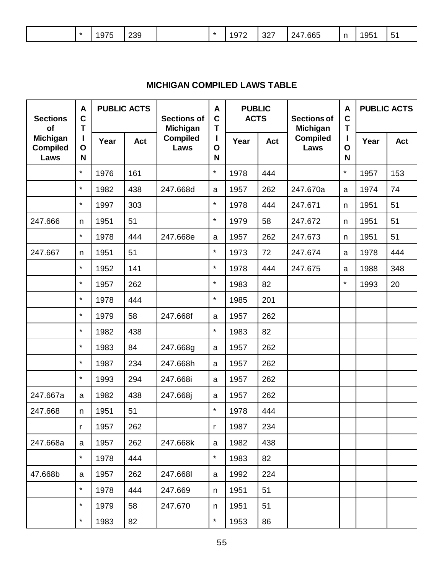| <b>Sections</b><br>of                      | A<br>$\mathbf C$<br>T |      | <b>PUBLIC ACTS</b><br><b>Sections of</b><br>Michigan |                         | A<br>$\mathbf C$<br>T | <b>PUBLIC</b><br><b>ACTS</b> |            | <b>Sections of</b><br>Michigan | A<br>$\mathbf C$<br>T | <b>PUBLIC ACTS</b> |     |
|--------------------------------------------|-----------------------|------|------------------------------------------------------|-------------------------|-----------------------|------------------------------|------------|--------------------------------|-----------------------|--------------------|-----|
| <b>Michigan</b><br><b>Compiled</b><br>Laws | O<br>N                | Year | <b>Act</b>                                           | <b>Compiled</b><br>Laws | Ш<br>$\mathbf O$<br>N | Year                         | <b>Act</b> | <b>Compiled</b><br>Laws        | $\mathbf O$<br>N      | Year               | Act |
|                                            | $\star$               | 1976 | 161                                                  |                         | $\star$               | 1978                         | 444        |                                | $\star$               | 1957               | 153 |
|                                            | $\star$               | 1982 | 438                                                  | 247.668d                | a                     | 1957                         | 262        | 247.670a                       | a                     | 1974               | 74  |
|                                            | $\star$               | 1997 | 303                                                  |                         | $\star$               | 1978                         | 444        | 247.671                        | n.                    | 1951               | 51  |
| 247.666                                    | n                     | 1951 | 51                                                   |                         | $\star$               | 1979                         | 58         | 247.672                        | n                     | 1951               | 51  |
|                                            | $\star$               | 1978 | 444                                                  | 247.668e                | $\mathbf a$           | 1957                         | 262        | 247.673                        | n                     | 1951               | 51  |
| 247.667                                    | n                     | 1951 | 51                                                   |                         | $\star$               | 1973                         | 72         | 247.674                        | a                     | 1978               | 444 |
|                                            | $\star$               | 1952 | 141                                                  |                         | $\star$               | 1978                         | 444        | 247.675                        | a                     | 1988               | 348 |
|                                            | $\star$               | 1957 | 262                                                  |                         | $\star$               | 1983                         | 82         |                                | $\star$               | 1993               | 20  |
|                                            | $\star$               | 1978 | 444                                                  |                         | $\star$               | 1985                         | 201        |                                |                       |                    |     |
|                                            | $\star$               | 1979 | 58                                                   | 247.668f                | $\mathbf a$           | 1957                         | 262        |                                |                       |                    |     |
|                                            | $\star$               | 1982 | 438                                                  |                         | $\star$               | 1983                         | 82         |                                |                       |                    |     |
|                                            | $\star$               | 1983 | 84                                                   | 247.668g                | a                     | 1957                         | 262        |                                |                       |                    |     |
|                                            | $\star$               | 1987 | 234                                                  | 247.668h                | $\mathsf a$           | 1957                         | 262        |                                |                       |                    |     |
|                                            | $\star$               | 1993 | 294                                                  | 247.668i                | $\mathbf{a}$          | 1957                         | 262        |                                |                       |                    |     |
| 247.667a                                   | a                     | 1982 | 438                                                  | 247.668j                | $\mathbf a$           | 1957                         | 262        |                                |                       |                    |     |
| 247.668                                    | n                     | 1951 | 51                                                   |                         | $\star$               | 1978                         | 444        |                                |                       |                    |     |
|                                            | T                     | 1957 | 262                                                  |                         | r                     | 1987                         | 234        |                                |                       |                    |     |
| 247.668a                                   | a                     | 1957 | 262                                                  | 247.668k                | a                     | 1982                         | 438        |                                |                       |                    |     |
|                                            | $\star$               | 1978 | 444                                                  |                         | $\star$               | 1983                         | 82         |                                |                       |                    |     |
| 47.668b                                    | a                     | 1957 | 262                                                  | 247.6681                | a                     | 1992                         | 224        |                                |                       |                    |     |
|                                            | $\star$               | 1978 | 444                                                  | 247.669                 | n                     | 1951                         | 51         |                                |                       |                    |     |
|                                            | $\star$               | 1979 | 58                                                   | 247.670                 | n                     | 1951                         | 51         |                                |                       |                    |     |
|                                            | $\star$               | 1983 | 82                                                   |                         | $\star$               | 1953                         | 86         |                                |                       |                    |     |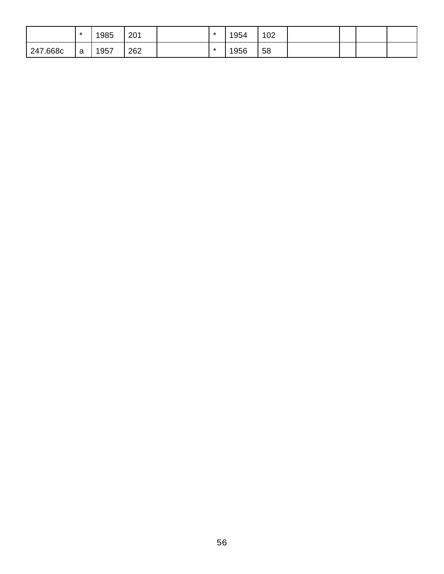|          | $\star$ | 1985 | 201 | $\star$ | 1954 | 102 |  |  |
|----------|---------|------|-----|---------|------|-----|--|--|
| 247.668c | - a     | 1957 | 262 | $\star$ | 1956 | 58  |  |  |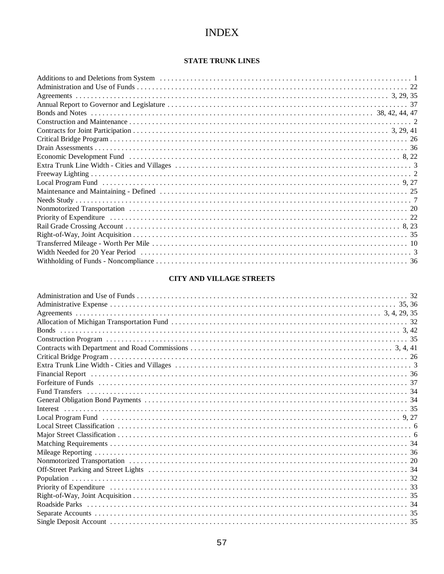# **INDEX**

# **STATE TRUNK LINES**

| Economic Development Fund (and the content of the content of the content of the content of the content of the state of the state of the state of the state of the state of the state of the state of the state of the state of |  |
|--------------------------------------------------------------------------------------------------------------------------------------------------------------------------------------------------------------------------------|--|
|                                                                                                                                                                                                                                |  |
|                                                                                                                                                                                                                                |  |
|                                                                                                                                                                                                                                |  |
|                                                                                                                                                                                                                                |  |
|                                                                                                                                                                                                                                |  |
|                                                                                                                                                                                                                                |  |
|                                                                                                                                                                                                                                |  |
|                                                                                                                                                                                                                                |  |
|                                                                                                                                                                                                                                |  |
|                                                                                                                                                                                                                                |  |
|                                                                                                                                                                                                                                |  |
|                                                                                                                                                                                                                                |  |

# **CITY AND VILLAGE STREETS**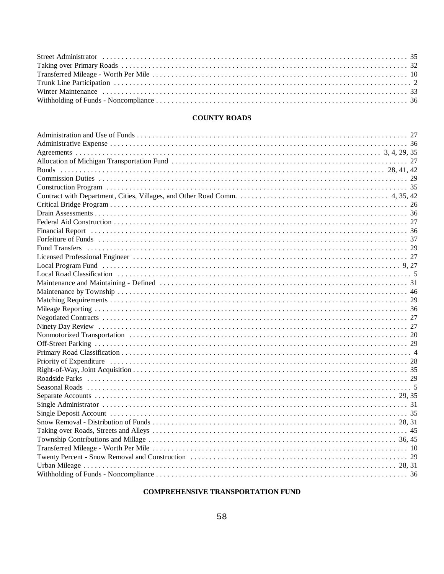# **COUNTY ROADS**

| <b>Bonds</b> |  |
|--------------|--|
|              |  |
|              |  |
|              |  |
|              |  |
|              |  |
|              |  |
|              |  |
|              |  |
|              |  |
|              |  |
|              |  |
|              |  |
|              |  |
|              |  |
|              |  |
|              |  |
|              |  |
|              |  |
|              |  |
|              |  |
|              |  |
|              |  |
|              |  |
|              |  |
|              |  |
|              |  |
|              |  |
|              |  |
|              |  |
|              |  |
|              |  |
|              |  |
|              |  |
|              |  |
|              |  |

# **COMPREHENSIVE TRANSPORTATION FUND**